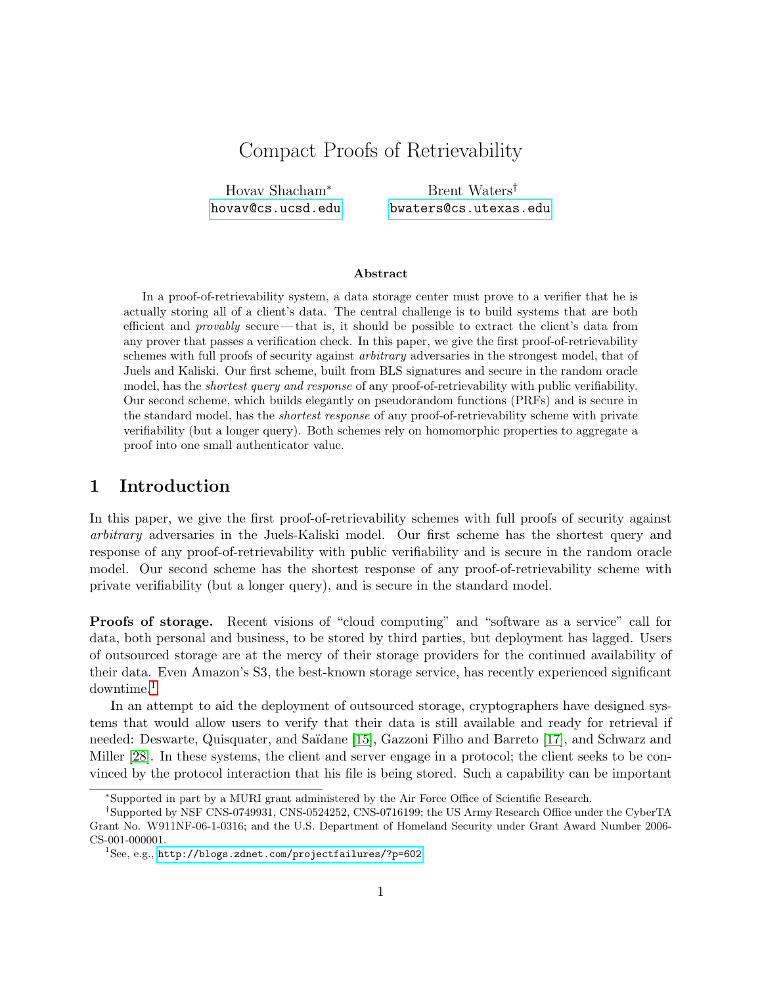# Compact Proofs of Retrievability

Hovav Shacham<sup>∗</sup> <hovav@cs.ucsd.edu>

Brent Waters† <bwaters@cs.utexas.edu>

### Abstract

In a proof-of-retrievability system, a data storage center must prove to a verifier that he is actually storing all of a client's data. The central challenge is to build systems that are both efficient and *provably* secure—that is, it should be possible to extract the client's data from any prover that passes a verification check. In this paper, we give the first proof-of-retrievability schemes with full proofs of security against *arbitrary* adversaries in the strongest model, that of Juels and Kaliski. Our first scheme, built from BLS signatures and secure in the random oracle model, has the *shortest query and response* of any proof-of-retrievability with public verifiability. Our second scheme, which builds elegantly on pseudorandom functions (PRFs) and is secure in the standard model, has the *shortest response* of any proof-of-retrievability scheme with private verifiability (but a longer query). Both schemes rely on homomorphic properties to aggregate a proof into one small authenticator value.

### <span id="page-0-1"></span>1 Introduction

In this paper, we give the first proof-of-retrievability schemes with full proofs of security against arbitrary adversaries in the Juels-Kaliski model. Our first scheme has the shortest query and response of any proof-of-retrievability with public verifiability and is secure in the random oracle model. Our second scheme has the shortest response of any proof-of-retrievability scheme with private verifiability (but a longer query), and is secure in the standard model.

Proofs of storage. Recent visions of "cloud computing" and "software as a service" call for data, both personal and business, to be stored by third parties, but deployment has lagged. Users of outsourced storage are at the mercy of their storage providers for the continued availability of their data. Even Amazon's S3, the best-known storage service, has recently experienced significant downtime.<sup>[1](#page-0-0)</sup>

In an attempt to aid the deployment of outsourced storage, cryptographers have designed systems that would allow users to verify that their data is still available and ready for retrieval if needed: Deswarte, Quisquater, and Saïdane [\[15\]](#page-30-0), Gazzoni Filho and Barreto [\[17\]](#page-30-1), and Schwarz and Miller [\[28\]](#page-31-0). In these systems, the client and server engage in a protocol; the client seeks to be convinced by the protocol interaction that his file is being stored. Such a capability can be important

<sup>∗</sup>Supported in part by a MURI grant administered by the Air Force Office of Scientific Research.

<sup>†</sup>Supported by NSF CNS-0749931, CNS-0524252, CNS-0716199; the US Army Research Office under the CyberTA Grant No. W911NF-06-1-0316; and the U.S. Department of Homeland Security under Grant Award Number 2006- CS-001-000001.

<span id="page-0-0"></span><sup>1</sup>See, e.g., <http://blogs.zdnet.com/projectfailures/?p=602>.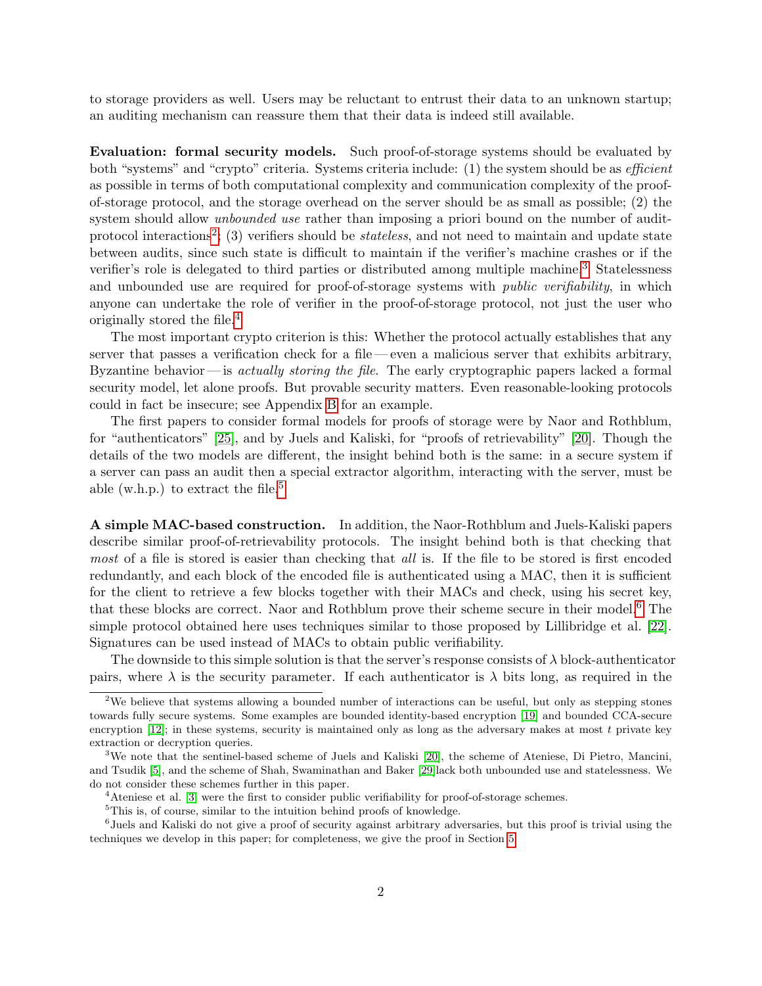to storage providers as well. Users may be reluctant to entrust their data to an unknown startup; an auditing mechanism can reassure them that their data is indeed still available.

Evaluation: formal security models. Such proof-of-storage systems should be evaluated by both "systems" and "crypto" criteria. Systems criteria include: (1) the system should be as *efficient* as possible in terms of both computational complexity and communication complexity of the proofof-storage protocol, and the storage overhead on the server should be as small as possible; (2) the system should allow *unbounded use* rather than imposing a priori bound on the number of audit-protocol interactions<sup>[2](#page-1-0)</sup>; (3) verifiers should be *stateless*, and not need to maintain and update state between audits, since such state is difficult to maintain if the verifier's machine crashes or if the verifier's role is delegated to third parties or distributed among multiple machine.<sup>[3](#page-1-1)</sup> Statelessness and unbounded use are required for proof-of-storage systems with *public verifiability*, in which anyone can undertake the role of verifier in the proof-of-storage protocol, not just the user who originally stored the file.[4](#page-1-2)

The most important crypto criterion is this: Whether the protocol actually establishes that any server that passes a verification check for a file — even a malicious server that exhibits arbitrary, Byzantine behavior— is *actually storing the file*. The early cryptographic papers lacked a formal security model, let alone proofs. But provable security matters. Even reasonable-looking protocols could in fact be insecure; see Appendix [B](#page-33-0) for an example.

The first papers to consider formal models for proofs of storage were by Naor and Rothblum, for "authenticators" [\[25\]](#page-31-1), and by Juels and Kaliski, for "proofs of retrievability" [\[20\]](#page-31-2). Though the details of the two models are different, the insight behind both is the same: in a secure system if a server can pass an audit then a special extractor algorithm, interacting with the server, must be able (w.h.p.) to extract the file.<sup>[5](#page-1-3)</sup>

A simple MAC-based construction. In addition, the Naor-Rothblum and Juels-Kaliski papers describe similar proof-of-retrievability protocols. The insight behind both is that checking that most of a file is stored is easier than checking that all is. If the file to be stored is first encoded redundantly, and each block of the encoded file is authenticated using a MAC, then it is sufficient for the client to retrieve a few blocks together with their MACs and check, using his secret key, that these blocks are correct. Naor and Rothblum prove their scheme secure in their model.[6](#page-1-4) The simple protocol obtained here uses techniques similar to those proposed by Lillibridge et al. [\[22\]](#page-31-3). Signatures can be used instead of MACs to obtain public verifiability.

The downside to this simple solution is that the server's response consists of  $\lambda$  block-authenticator pairs, where  $\lambda$  is the security parameter. If each authenticator is  $\lambda$  bits long, as required in the

<span id="page-1-0"></span><sup>&</sup>lt;sup>2</sup>We believe that systems allowing a bounded number of interactions can be useful, but only as stepping stones towards fully secure systems. Some examples are bounded identity-based encryption [\[19\]](#page-31-4) and bounded CCA-secure encryption  $[12]$ ; in these systems, security is maintained only as long as the adversary makes at most t private key extraction or decryption queries.

<span id="page-1-1"></span><sup>3</sup>We note that the sentinel-based scheme of Juels and Kaliski [\[20\]](#page-31-2), the scheme of Ateniese, Di Pietro, Mancini, and Tsudik [\[5\]](#page-30-3), and the scheme of Shah, Swaminathan and Baker [\[29\]](#page-31-5)lack both unbounded use and statelessness. We do not consider these schemes further in this paper.

<span id="page-1-2"></span><sup>&</sup>lt;sup>4</sup> Ateniese et al. [\[3\]](#page-29-0) were the first to consider public verifiability for proof-of-storage schemes.

<span id="page-1-4"></span><span id="page-1-3"></span><sup>&</sup>lt;sup>5</sup>This is, of course, similar to the intuition behind proofs of knowledge.

<sup>&</sup>lt;sup>6</sup> Juels and Kaliski do not give a proof of security against arbitrary adversaries, but this proof is trivial using the techniques we develop in this paper; for completeness, we give the proof in Section [5.](#page-22-0)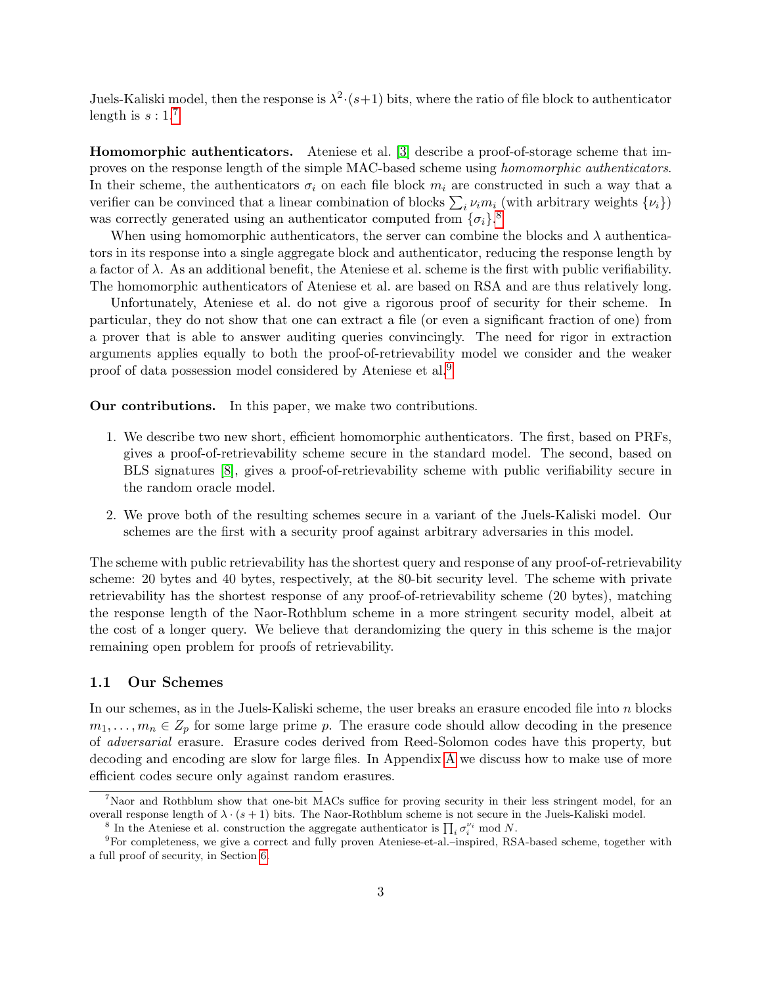Juels-Kaliski model, then the response is  $\lambda^2 \cdot (s+1)$  bits, where the ratio of file block to authenticator length is  $s:1.^7$  $s:1.^7$ 

Homomorphic authenticators. Ateniese et al. [\[3\]](#page-29-0) describe a proof-of-storage scheme that improves on the response length of the simple MAC-based scheme using homomorphic authenticators. In their scheme, the authenticators  $\sigma_i$  on each file block  $m_i$  are constructed in such a way that a verifier can be convinced that a linear combination of blocks  $\sum_i \nu_i m_i$  (with arbitrary weights  $\{\nu_i\}$ ) was correctly generated using an authenticator computed from  $\{\sigma_i\}$ .<sup>[8](#page-2-1)</sup>

When using homomorphic authenticators, the server can combine the blocks and  $\lambda$  authenticators in its response into a single aggregate block and authenticator, reducing the response length by a factor of  $\lambda$ . As an additional benefit, the Ateniese et al. scheme is the first with public verifiability. The homomorphic authenticators of Ateniese et al. are based on RSA and are thus relatively long.

Unfortunately, Ateniese et al. do not give a rigorous proof of security for their scheme. In particular, they do not show that one can extract a file (or even a significant fraction of one) from a prover that is able to answer auditing queries convincingly. The need for rigor in extraction arguments applies equally to both the proof-of-retrievability model we consider and the weaker proof of data possession model considered by Ateniese et al.[9](#page-2-2)

Our contributions. In this paper, we make two contributions.

- 1. We describe two new short, efficient homomorphic authenticators. The first, based on PRFs, gives a proof-of-retrievability scheme secure in the standard model. The second, based on BLS signatures [\[8\]](#page-30-4), gives a proof-of-retrievability scheme with public verifiability secure in the random oracle model.
- 2. We prove both of the resulting schemes secure in a variant of the Juels-Kaliski model. Our schemes are the first with a security proof against arbitrary adversaries in this model.

The scheme with public retrievability has the shortest query and response of any proof-of-retrievability scheme: 20 bytes and 40 bytes, respectively, at the 80-bit security level. The scheme with private retrievability has the shortest response of any proof-of-retrievability scheme (20 bytes), matching the response length of the Naor-Rothblum scheme in a more stringent security model, albeit at the cost of a longer query. We believe that derandomizing the query in this scheme is the major remaining open problem for proofs of retrievability.

#### <span id="page-2-3"></span>1.1 Our Schemes

In our schemes, as in the Juels-Kaliski scheme, the user breaks an erasure encoded file into n blocks  $m_1, \ldots, m_n \in \mathbb{Z}_p$  for some large prime p. The erasure code should allow decoding in the presence of adversarial erasure. Erasure codes derived from Reed-Solomon codes have this property, but decoding and encoding are slow for large files. In Appendix [A](#page-31-6) we discuss how to make use of more efficient codes secure only against random erasures.

<span id="page-2-0"></span><sup>7</sup>Naor and Rothblum show that one-bit MACs suffice for proving security in their less stringent model, for an overall response length of  $\lambda \cdot (s + 1)$  bits. The Naor-Rothblum scheme is not secure in the Juels-Kaliski model.

<span id="page-2-2"></span><span id="page-2-1"></span><sup>&</sup>lt;sup>8</sup> In the Ateniese et al. construction the aggregate authenticator is  $\prod_i \sigma_i^{\nu_i}$  mod N.

<sup>&</sup>lt;sup>9</sup>For completeness, we give a correct and fully proven Ateniese-et-al.–inspired, RSA-based scheme, together with a full proof of security, in Section [6.](#page-24-0)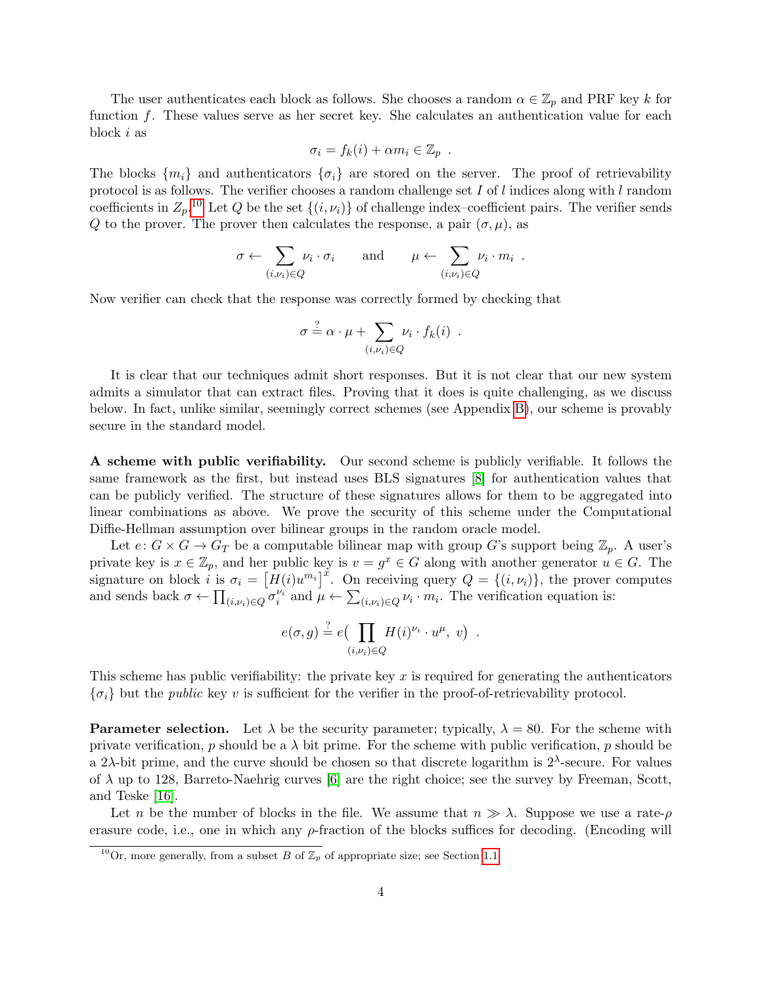The user authenticates each block as follows. She chooses a random  $\alpha \in \mathbb{Z}_p$  and PRF key k for function  $f$ . These values serve as her secret key. She calculates an authentication value for each block i as

$$
\sigma_i = f_k(i) + \alpha m_i \in \mathbb{Z}_p .
$$

The blocks  $\{m_i\}$  and authenticators  $\{\sigma_i\}$  are stored on the server. The proof of retrievability protocol is as follows. The verifier chooses a random challenge set I of l indices along with l random coefficients in  $Z_p$ .<sup>[10](#page-3-0)</sup> Let Q be the set  $\{(i, \nu_i)\}$  of challenge index-coefficient pairs. The verifier sends Q to the prover. The prover then calculates the response, a pair  $(\sigma, \mu)$ , as

$$
\sigma \leftarrow \sum_{(i,\nu_i)\in Q} \nu_i \cdot \sigma_i \quad \text{and} \quad \mu \leftarrow \sum_{(i,\nu_i)\in Q} \nu_i \cdot m_i \ .
$$

Now verifier can check that the response was correctly formed by checking that

$$
\sigma \stackrel{?}{=} \alpha \cdot \mu + \sum_{(i,\nu_i) \in Q} \nu_i \cdot f_k(i) .
$$

It is clear that our techniques admit short responses. But it is not clear that our new system admits a simulator that can extract files. Proving that it does is quite challenging, as we discuss below. In fact, unlike similar, seemingly correct schemes (see Appendix [B\)](#page-33-0), our scheme is provably secure in the standard model.

A scheme with public verifiability. Our second scheme is publicly verifiable. It follows the same framework as the first, but instead uses BLS signatures [\[8\]](#page-30-4) for authentication values that can be publicly verified. The structure of these signatures allows for them to be aggregated into linear combinations as above. We prove the security of this scheme under the Computational Diffie-Hellman assumption over bilinear groups in the random oracle model.

Let  $e: G \times G \to G_T$  be a computable bilinear map with group G's support being  $\mathbb{Z}_p$ . A user's private key is  $x \in \mathbb{Z}_p$ , and her public key is  $v = g^x \in G$  along with another generator  $u \in G$ . The signature on block i is  $\sigma_i = \left[ H(i) u^{m_i} \right]^{\tilde{x}}$ . On receiving query  $Q = \{(i, \nu_i)\}\$ , the prover computes and sends back  $\sigma \leftarrow \prod_{(i,\nu_i)\in Q} \sigma_i^{\nu_i}$  and  $\mu \leftarrow \sum_{(i,\nu_i)\in Q} \nu_i \cdot m_i$ . The verification equation is:

$$
e(\sigma, g) \stackrel{?}{=} e\left(\prod_{(i,\nu_i)\in Q} H(i)^{\nu_i} \cdot u^{\mu}, v\right) .
$$

This scheme has public verifiability: the private key x is required for generating the authenticators  $\{\sigma_i\}$  but the *public* key v is sufficient for the verifier in the proof-of-retrievability protocol.

**Parameter selection.** Let  $\lambda$  be the security parameter; typically,  $\lambda = 80$ . For the scheme with private verification, p should be a  $\lambda$  bit prime. For the scheme with public verification, p should be a 2 $\lambda$ -bit prime, and the curve should be chosen so that discrete logarithm is  $2^{\lambda}$ -secure. For values of  $\lambda$  up to 128, Barreto-Naehrig curves [\[6\]](#page-30-5) are the right choice; see the survey by Freeman, Scott, and Teske [\[16\]](#page-30-6).

Let n be the number of blocks in the file. We assume that  $n \gg \lambda$ . Suppose we use a rate- $\rho$ erasure code, i.e., one in which any  $\rho$ -fraction of the blocks suffices for decoding. (Encoding will

<span id="page-3-0"></span><sup>&</sup>lt;sup>10</sup>Or, more generally, from a subset B of  $\mathbb{Z}_p$  of appropriate size; see Section [1.1.](#page-2-3)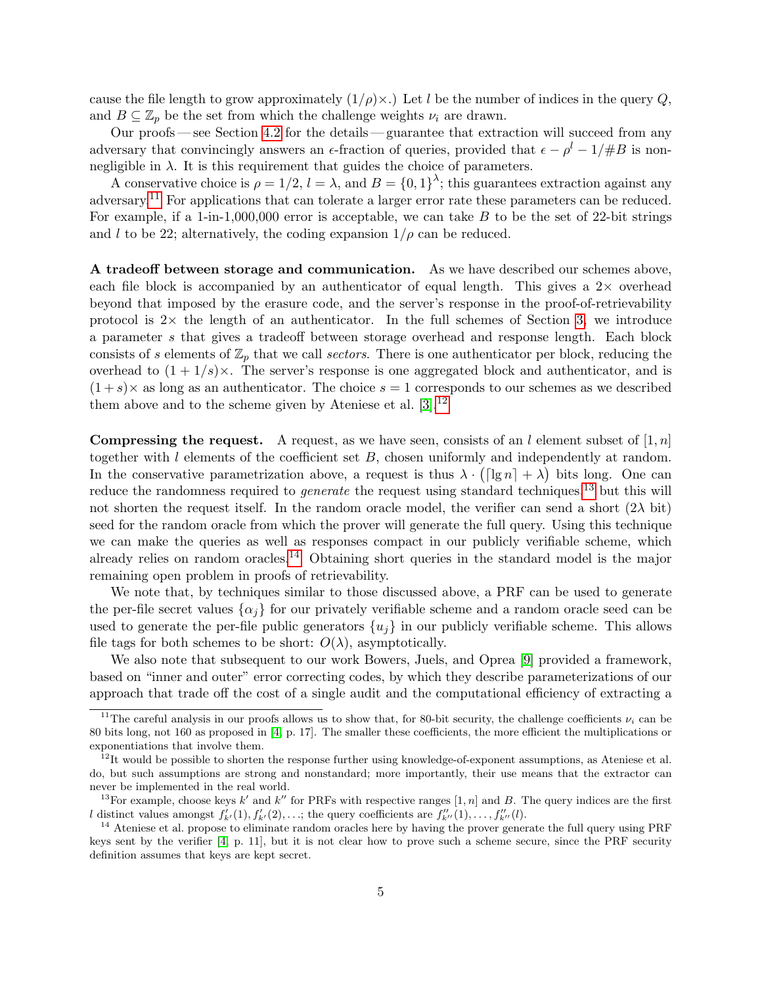cause the file length to grow approximately  $(1/\rho) \times$ .) Let l be the number of indices in the query Q, and  $B \subseteq \mathbb{Z}_p$  be the set from which the challenge weights  $\nu_i$  are drawn.

Our proofs — see Section [4.2](#page-18-0) for the details— guarantee that extraction will succeed from any adversary that convincingly answers an  $\epsilon$ -fraction of queries, provided that  $\epsilon - \rho^l - 1/\#B$  is nonnegligible in  $\lambda$ . It is this requirement that guides the choice of parameters.

A conservative choice is  $\rho = 1/2$ ,  $l = \lambda$ , and  $B = \{0, 1\}^{\lambda}$ ; this guarantees extraction against any adversary.[11](#page-4-0) For applications that can tolerate a larger error rate these parameters can be reduced. For example, if a 1-in-1,000,000 error is acceptable, we can take  $B$  to be the set of 22-bit strings and l to be 22; alternatively, the coding expansion  $1/\rho$  can be reduced.

A tradeoff between storage and communication. As we have described our schemes above, each file block is accompanied by an authenticator of equal length. This gives a  $2\times$  overhead beyond that imposed by the erasure code, and the server's response in the proof-of-retrievability protocol is  $2\times$  the length of an authenticator. In the full schemes of Section [3,](#page-9-0) we introduce a parameter s that gives a tradeoff between storage overhead and response length. Each block consists of s elements of  $\mathbb{Z}_p$  that we call sectors. There is one authenticator per block, reducing the overhead to  $(1 + 1/s) \times$ . The server's response is one aggregated block and authenticator, and is  $(1+s)\times$  as long as an authenticator. The choice  $s=1$  corresponds to our schemes as we described them above and to the scheme given by Ateniese et al.  $[3].^{12}$  $[3].^{12}$  $[3].^{12}$  $[3].^{12}$ 

**Compressing the request.** A request, as we have seen, consists of an l element subset of  $[1, n]$ together with  $l$  elements of the coefficient set  $B$ , chosen uniformly and independently at random. In the conservative parametrization above, a request is thus  $\lambda \cdot (\lceil \lg n \rceil + \lambda)$  bits long. One can reduce the randomness required to *generate* the request using standard techniques,<sup>[13](#page-4-2)</sup> but this will not shorten the request itself. In the random oracle model, the verifier can send a short  $(2\lambda \text{ bit})$ seed for the random oracle from which the prover will generate the full query. Using this technique we can make the queries as well as responses compact in our publicly verifiable scheme, which already relies on random oracles.<sup>[14](#page-4-3)</sup> Obtaining short queries in the standard model is the major remaining open problem in proofs of retrievability.

We note that, by techniques similar to those discussed above, a PRF can be used to generate the per-file secret values  $\{\alpha_i\}$  for our privately verifiable scheme and a random oracle seed can be used to generate the per-file public generators  $\{u_i\}$  in our publicly verifiable scheme. This allows file tags for both schemes to be short:  $O(\lambda)$ , asymptotically.

We also note that subsequent to our work Bowers, Juels, and Oprea [\[9\]](#page-30-7) provided a framework. based on "inner and outer" error correcting codes, by which they describe parameterizations of our approach that trade off the cost of a single audit and the computational efficiency of extracting a

<span id="page-4-0"></span><sup>&</sup>lt;sup>11</sup>The careful analysis in our proofs allows us to show that, for 80-bit security, the challenge coefficients  $\nu_i$  can be 80 bits long, not 160 as proposed in [\[4,](#page-30-8) p. 17]. The smaller these coefficients, the more efficient the multiplications or exponentiations that involve them.

<span id="page-4-1"></span> $12$ It would be possible to shorten the response further using knowledge-of-exponent assumptions, as Ateniese et al. do, but such assumptions are strong and nonstandard; more importantly, their use means that the extractor can never be implemented in the real world.

<span id="page-4-2"></span><sup>&</sup>lt;sup>13</sup>For example, choose keys k' and k'' for PRFs with respective ranges [1, n] and B. The query indices are the first *l* distinct values amongst  $f'_{k'}(1), f'_{k'}(2), \ldots$ ; the query coefficients are  $f''_{k''}(1), \ldots, f''_{k''}(l)$ .

<span id="page-4-3"></span><sup>&</sup>lt;sup>14</sup> Ateniese et al. propose to eliminate random oracles here by having the prover generate the full query using PRF keys sent by the verifier [\[4,](#page-30-8) p. 11], but it is not clear how to prove such a scheme secure, since the PRF security definition assumes that keys are kept secret.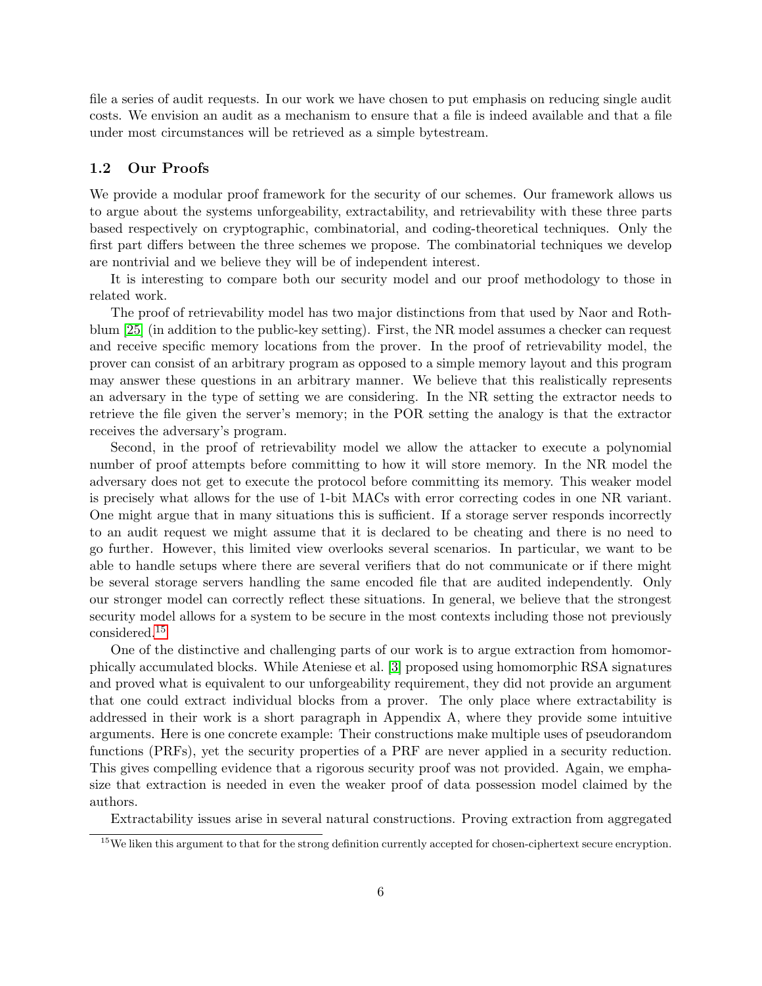file a series of audit requests. In our work we have chosen to put emphasis on reducing single audit costs. We envision an audit as a mechanism to ensure that a file is indeed available and that a file under most circumstances will be retrieved as a simple bytestream.

### 1.2 Our Proofs

We provide a modular proof framework for the security of our schemes. Our framework allows us to argue about the systems unforgeability, extractability, and retrievability with these three parts based respectively on cryptographic, combinatorial, and coding-theoretical techniques. Only the first part differs between the three schemes we propose. The combinatorial techniques we develop are nontrivial and we believe they will be of independent interest.

It is interesting to compare both our security model and our proof methodology to those in related work.

The proof of retrievability model has two major distinctions from that used by Naor and Rothblum [\[25\]](#page-31-1) (in addition to the public-key setting). First, the NR model assumes a checker can request and receive specific memory locations from the prover. In the proof of retrievability model, the prover can consist of an arbitrary program as opposed to a simple memory layout and this program may answer these questions in an arbitrary manner. We believe that this realistically represents an adversary in the type of setting we are considering. In the NR setting the extractor needs to retrieve the file given the server's memory; in the POR setting the analogy is that the extractor receives the adversary's program.

Second, in the proof of retrievability model we allow the attacker to execute a polynomial number of proof attempts before committing to how it will store memory. In the NR model the adversary does not get to execute the protocol before committing its memory. This weaker model is precisely what allows for the use of 1-bit MACs with error correcting codes in one NR variant. One might argue that in many situations this is sufficient. If a storage server responds incorrectly to an audit request we might assume that it is declared to be cheating and there is no need to go further. However, this limited view overlooks several scenarios. In particular, we want to be able to handle setups where there are several verifiers that do not communicate or if there might be several storage servers handling the same encoded file that are audited independently. Only our stronger model can correctly reflect these situations. In general, we believe that the strongest security model allows for a system to be secure in the most contexts including those not previously considered.[15](#page-5-0)

One of the distinctive and challenging parts of our work is to argue extraction from homomorphically accumulated blocks. While Ateniese et al. [\[3\]](#page-29-0) proposed using homomorphic RSA signatures and proved what is equivalent to our unforgeability requirement, they did not provide an argument that one could extract individual blocks from a prover. The only place where extractability is addressed in their work is a short paragraph in Appendix A, where they provide some intuitive arguments. Here is one concrete example: Their constructions make multiple uses of pseudorandom functions (PRFs), yet the security properties of a PRF are never applied in a security reduction. This gives compelling evidence that a rigorous security proof was not provided. Again, we emphasize that extraction is needed in even the weaker proof of data possession model claimed by the authors.

Extractability issues arise in several natural constructions. Proving extraction from aggregated

<span id="page-5-0"></span><sup>&</sup>lt;sup>15</sup>We liken this argument to that for the strong definition currently accepted for chosen-ciphertext secure encryption.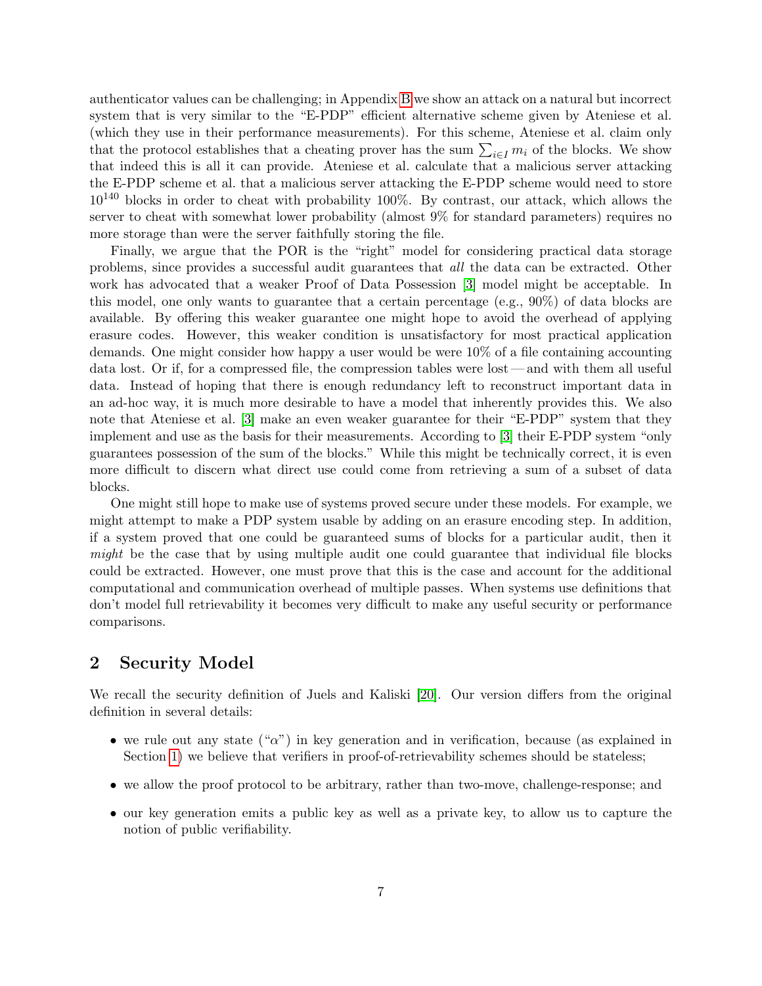authenticator values can be challenging; in Appendix [B](#page-33-0) we show an attack on a natural but incorrect system that is very similar to the "E-PDP" efficient alternative scheme given by Ateniese et al. (which they use in their performance measurements). For this scheme, Ateniese et al. claim only that the protocol establishes that a cheating prover has the sum  $\sum_{i\in I} m_i$  of the blocks. We show that indeed this is all it can provide. Ateniese et al. calculate that a malicious server attacking the E-PDP scheme et al. that a malicious server attacking the E-PDP scheme would need to store  $10^{140}$  blocks in order to cheat with probability 100%. By contrast, our attack, which allows the server to cheat with somewhat lower probability (almost 9% for standard parameters) requires no more storage than were the server faithfully storing the file.

Finally, we argue that the POR is the "right" model for considering practical data storage problems, since provides a successful audit guarantees that all the data can be extracted. Other work has advocated that a weaker Proof of Data Possession [\[3\]](#page-29-0) model might be acceptable. In this model, one only wants to guarantee that a certain percentage (e.g., 90%) of data blocks are available. By offering this weaker guarantee one might hope to avoid the overhead of applying erasure codes. However, this weaker condition is unsatisfactory for most practical application demands. One might consider how happy a user would be were 10% of a file containing accounting data lost. Or if, for a compressed file, the compression tables were lost— and with them all useful data. Instead of hoping that there is enough redundancy left to reconstruct important data in an ad-hoc way, it is much more desirable to have a model that inherently provides this. We also note that Ateniese et al. [\[3\]](#page-29-0) make an even weaker guarantee for their "E-PDP" system that they implement and use as the basis for their measurements. According to [\[3\]](#page-29-0) their E-PDP system "only guarantees possession of the sum of the blocks." While this might be technically correct, it is even more difficult to discern what direct use could come from retrieving a sum of a subset of data blocks.

One might still hope to make use of systems proved secure under these models. For example, we might attempt to make a PDP system usable by adding on an erasure encoding step. In addition, if a system proved that one could be guaranteed sums of blocks for a particular audit, then it might be the case that by using multiple audit one could guarantee that individual file blocks could be extracted. However, one must prove that this is the case and account for the additional computational and communication overhead of multiple passes. When systems use definitions that don't model full retrievability it becomes very difficult to make any useful security or performance comparisons.

# <span id="page-6-0"></span>2 Security Model

We recall the security definition of Juels and Kaliski [\[20\]](#page-31-2). Our version differs from the original definition in several details:

- we rule out any state  $({}^{\alpha} \alpha^{\gamma})$  in key generation and in verification, because (as explained in Section [1\)](#page-0-1) we believe that verifiers in proof-of-retrievability schemes should be stateless;
- we allow the proof protocol to be arbitrary, rather than two-move, challenge-response; and
- our key generation emits a public key as well as a private key, to allow us to capture the notion of public verifiability.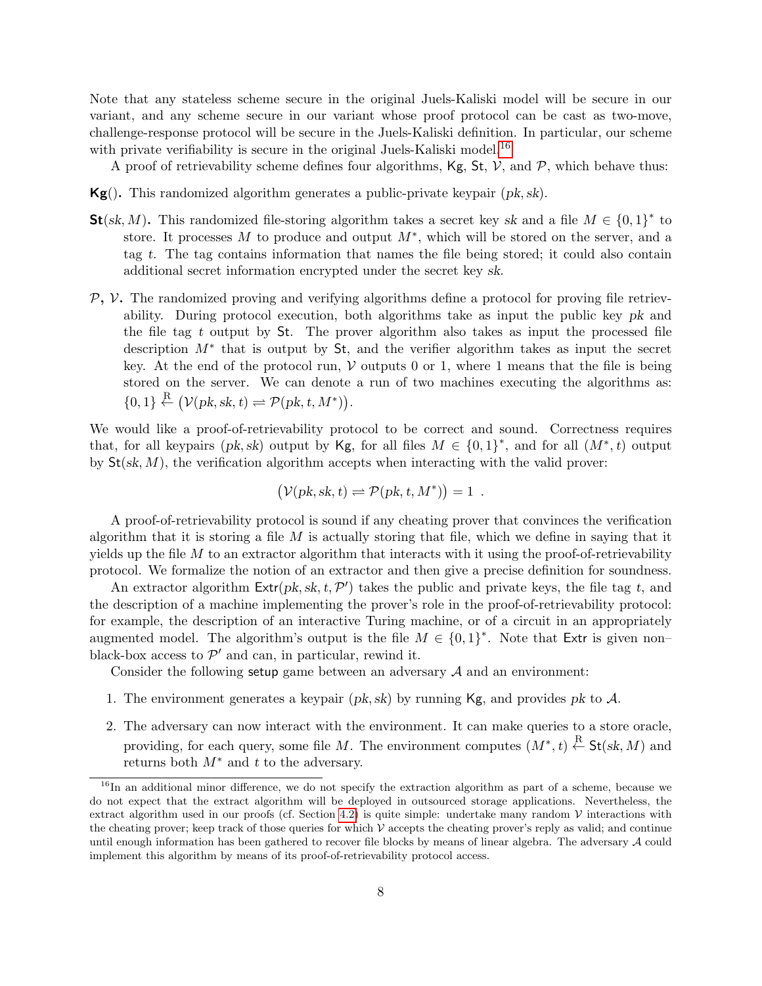Note that any stateless scheme secure in the original Juels-Kaliski model will be secure in our variant, and any scheme secure in our variant whose proof protocol can be cast as two-move, challenge-response protocol will be secure in the Juels-Kaliski definition. In particular, our scheme with private verifiability is secure in the original Juels-Kaliski model.<sup>[16](#page-7-0)</sup>

A proof of retrievability scheme defines four algorithms,  $Kg$ ,  $St$ ,  $V$ , and  $P$ , which behave thus:

- $\mathbf{Kg}$ . This randomized algorithm generates a public-private keypair (*pk, sk*).
- **St**(sk, M). This randomized file-storing algorithm takes a secret key sk and a file  $M \in \{0,1\}^*$  to store. It processes M to produce and output  $M^*$ , which will be stored on the server, and a tag t. The tag contains information that names the file being stored; it could also contain additional secret information encrypted under the secret key sk.
- $\mathcal{P}, \mathcal{V}.$  The randomized proving and verifying algorithms define a protocol for proving file retrievability. During protocol execution, both algorithms take as input the public key pk and the file tag t output by  $St$ . The prover algorithm also takes as input the processed file description  $M^*$  that is output by  $St$ , and the verifier algorithm takes as input the secret key. At the end of the protocol run,  $\mathcal V$  outputs 0 or 1, where 1 means that the file is being stored on the server. We can denote a run of two machines executing the algorithms as:  $\{0,1\} \stackrel{\text{R}}{\leftarrow} (\mathcal{V}(pk, sk, t) \rightleftarrows \mathcal{P}(pk, t, M^*)).$

We would like a proof-of-retrievability protocol to be correct and sound. Correctness requires that, for all keypairs (pk, sk) output by Kg, for all files  $M \in \{0,1\}^*$ , and for all  $(M^*, t)$  output by  $St(sk, M)$ , the verification algorithm accepts when interacting with the valid prover:

$$
(\mathcal{V}(pk, sk, t) \rightleftharpoons \mathcal{P}(pk, t, M^*)) = 1.
$$

A proof-of-retrievability protocol is sound if any cheating prover that convinces the verification algorithm that it is storing a file  $M$  is actually storing that file, which we define in saying that it yields up the file  $M$  to an extractor algorithm that interacts with it using the proof-of-retrievability protocol. We formalize the notion of an extractor and then give a precise definition for soundness.

An extractor algorithm  $\textsf{Extr}(pk, sk, t, \mathcal{P}')$  takes the public and private keys, the file tag t, and the description of a machine implementing the prover's role in the proof-of-retrievability protocol: for example, the description of an interactive Turing machine, or of a circuit in an appropriately augmented model. The algorithm's output is the file  $M \in \{0,1\}^*$ . Note that Extr is given nonblack-box access to  $\mathcal{P}'$  and can, in particular, rewind it.

Consider the following setup game between an adversary  $A$  and an environment:

- 1. The environment generates a keypair  $(pk, sk)$  by running Kg, and provides pk to A.
- 2. The adversary can now interact with the environment. It can make queries to a store oracle, providing, for each query, some file M. The environment computes  $(M^*, t) \stackrel{\text{R}}{\leftarrow} \mathsf{St}(sk, M)$  and returns both  $M^*$  and t to the adversary.

<span id="page-7-0"></span><sup>&</sup>lt;sup>16</sup>In an additional minor difference, we do not specify the extraction algorithm as part of a scheme, because we do not expect that the extract algorithm will be deployed in outsourced storage applications. Nevertheless, the extract algorithm used in our proofs (cf. Section [4.2\)](#page-18-0) is quite simple: undertake many random  $V$  interactions with the cheating prover; keep track of those queries for which  $\mathcal V$  accepts the cheating prover's reply as valid; and continue until enough information has been gathered to recover file blocks by means of linear algebra. The adversary  $A$  could implement this algorithm by means of its proof-of-retrievability protocol access.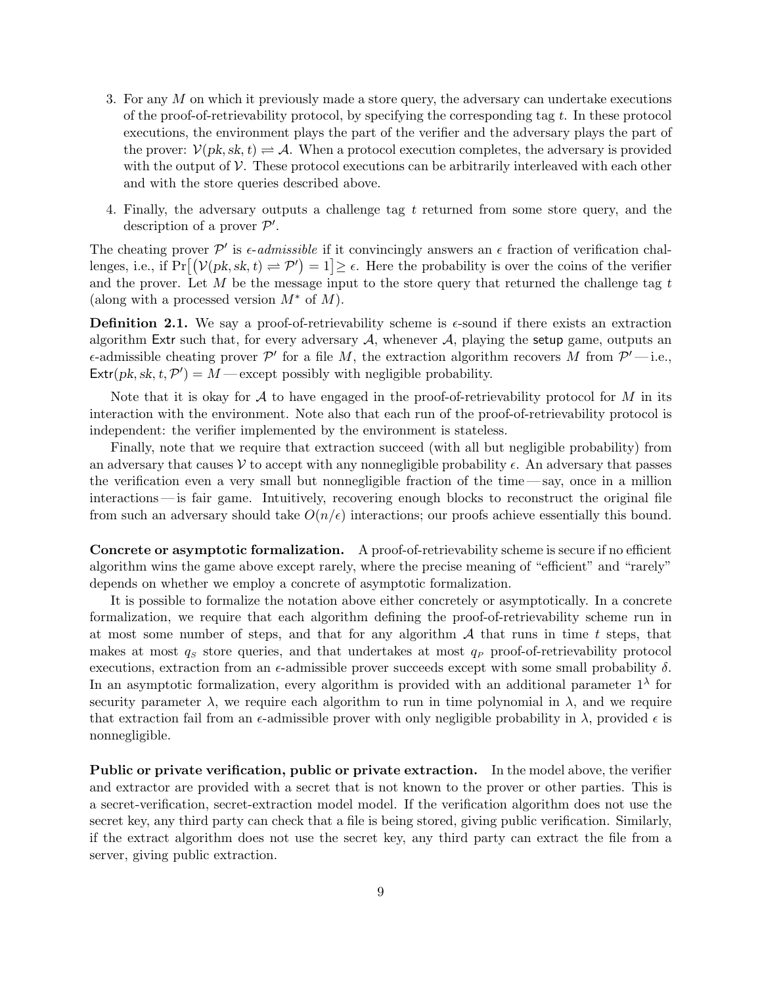- 3. For any M on which it previously made a store query, the adversary can undertake executions of the proof-of-retrievability protocol, by specifying the corresponding tag t. In these protocol executions, the environment plays the part of the verifier and the adversary plays the part of the prover:  $V(pk, sk, t) \rightleftharpoons \mathcal{A}$ . When a protocol execution completes, the adversary is provided with the output of  $\mathcal V$ . These protocol executions can be arbitrarily interleaved with each other and with the store queries described above.
- 4. Finally, the adversary outputs a challenge tag t returned from some store query, and the description of a prover  $\mathcal{P}'$ .

The cheating prover  $\mathcal{P}'$  is  $\epsilon$ -admissible if it convincingly answers an  $\epsilon$  fraction of verification challenges, i.e., if  $Pr[(\mathcal{V}(pk, sk, t) \rightleftharpoons \mathcal{P}')] \ge \epsilon$ . Here the probability is over the coins of the verifier and the prover. Let  $M$  be the message input to the store query that returned the challenge tag  $t$ (along with a processed version  $M^*$  of  $M$ ).

**Definition 2.1.** We say a proof-of-retrievability scheme is  $\epsilon$ -sound if there exists an extraction algorithm Extr such that, for every adversary  $A$ , whenever  $A$ , playing the setup game, outputs an  $\epsilon$ -admissible cheating prover  $\mathcal{P}'$  for a file M, the extraction algorithm recovers M from  $\mathcal{P}'$  -i.e.,  $\text{Extr}(pk, sk, t, \mathcal{P}') = M - \text{except possibly with negligible probability.}$ 

Note that it is okay for  $\mathcal A$  to have engaged in the proof-of-retrievability protocol for M in its interaction with the environment. Note also that each run of the proof-of-retrievability protocol is independent: the verifier implemented by the environment is stateless.

Finally, note that we require that extraction succeed (with all but negligible probability) from an adversary that causes  $V$  to accept with any nonnegligible probability  $\epsilon$ . An adversary that passes the verification even a very small but nonnegligible fraction of the time — say, once in a million interactions — is fair game. Intuitively, recovering enough blocks to reconstruct the original file from such an adversary should take  $O(n/\epsilon)$  interactions; our proofs achieve essentially this bound.

Concrete or asymptotic formalization. A proof-of-retrievability scheme is secure if no efficient algorithm wins the game above except rarely, where the precise meaning of "efficient" and "rarely" depends on whether we employ a concrete of asymptotic formalization.

It is possible to formalize the notation above either concretely or asymptotically. In a concrete formalization, we require that each algorithm defining the proof-of-retrievability scheme run in at most some number of steps, and that for any algorithm  $A$  that runs in time t steps, that makes at most  $q<sub>S</sub>$  store queries, and that undertakes at most  $q<sub>P</sub>$  proof-of-retrievability protocol executions, extraction from an  $\epsilon$ -admissible prover succeeds except with some small probability  $\delta$ . In an asymptotic formalization, every algorithm is provided with an additional parameter  $1^{\lambda}$  for security parameter  $\lambda$ , we require each algorithm to run in time polynomial in  $\lambda$ , and we require that extraction fail from an  $\epsilon$ -admissible prover with only negligible probability in  $\lambda$ , provided  $\epsilon$  is nonnegligible.

Public or private verification, public or private extraction. In the model above, the verifier and extractor are provided with a secret that is not known to the prover or other parties. This is a secret-verification, secret-extraction model model. If the verification algorithm does not use the secret key, any third party can check that a file is being stored, giving public verification. Similarly, if the extract algorithm does not use the secret key, any third party can extract the file from a server, giving public extraction.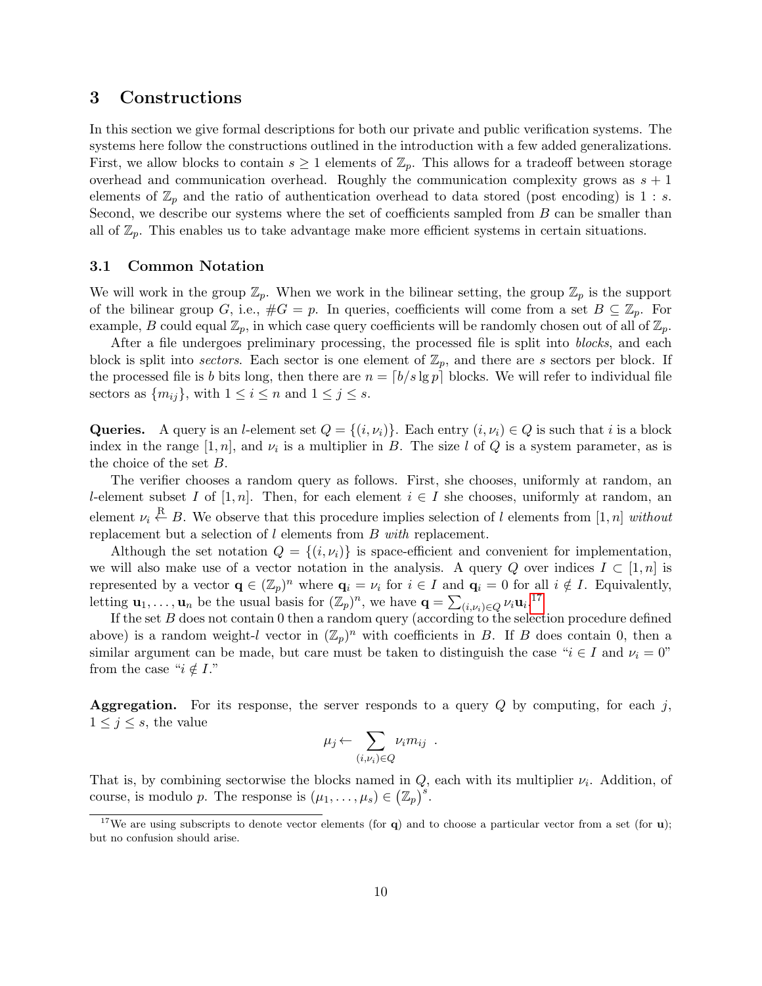### <span id="page-9-0"></span>3 Constructions

In this section we give formal descriptions for both our private and public verification systems. The systems here follow the constructions outlined in the introduction with a few added generalizations. First, we allow blocks to contain  $s \geq 1$  elements of  $\mathbb{Z}_p$ . This allows for a tradeoff between storage overhead and communication overhead. Roughly the communication complexity grows as  $s + 1$ elements of  $\mathbb{Z}_p$  and the ratio of authentication overhead to data stored (post encoding) is 1 : s. Second, we describe our systems where the set of coefficients sampled from B can be smaller than all of  $\mathbb{Z}_p$ . This enables us to take advantage make more efficient systems in certain situations.

### <span id="page-9-2"></span>3.1 Common Notation

We will work in the group  $\mathbb{Z}_p$ . When we work in the bilinear setting, the group  $\mathbb{Z}_p$  is the support of the bilinear group G, i.e.,  $\#G = p$ . In queries, coefficients will come from a set  $B \subseteq \mathbb{Z}_p$ . For example, B could equal  $\mathbb{Z}_p$ , in which case query coefficients will be randomly chosen out of all of  $\mathbb{Z}_p$ .

After a file undergoes preliminary processing, the processed file is split into *blocks*, and each block is split into sectors. Each sector is one element of  $\mathbb{Z}_p$ , and there are s sectors per block. If the processed file is b bits long, then there are  $n = \lfloor b/s \lg p \rfloor$  blocks. We will refer to individual file sectors as  $\{m_{ij}\}\$ , with  $1 \leq i \leq n$  and  $1 \leq j \leq s$ .

Queries. A query is an *l*-element set  $Q = \{(i, \nu_i)\}\$ . Each entry  $(i, \nu_i) \in Q$  is such that i is a block index in the range  $[1, n]$ , and  $\nu_i$  is a multiplier in B. The size l of Q is a system parameter, as is the choice of the set B.

The verifier chooses a random query as follows. First, she chooses, uniformly at random, an l-element subset I of [1, n]. Then, for each element  $i \in I$  she chooses, uniformly at random, an element  $\nu_i \stackrel{\text{R}}{\leftarrow} B$ . We observe that this procedure implies selection of l elements from [1, n] without replacement but a selection of l elements from B with replacement.

Although the set notation  $Q = \{(i, \nu_i)\}\$ is space-efficient and convenient for implementation, we will also make use of a vector notation in the analysis. A query Q over indices  $I \subset [1,n]$  is represented by a vector  $\mathbf{q} \in (\mathbb{Z}_p)^n$  where  $\mathbf{q}_i = \nu_i$  for  $i \in I$  and  $\mathbf{q}_i = 0$  for all  $i \notin I$ . Equivalently, letting  $\mathbf{u}_1,\ldots,\mathbf{u}_n$  be the usual basis for  $(\mathbb{Z}_p)^n$ , we have  $\mathbf{q} = \sum_{(i,\nu_i)\in Q} \nu_i \mathbf{u}_i$ .<sup>[17](#page-9-1)</sup>

If the set  $B$  does not contain 0 then a random query (according to the selection procedure defined above) is a random weight-l vector in  $(\mathbb{Z}_p)^n$  with coefficients in B. If B does contain 0, then a similar argument can be made, but care must be taken to distinguish the case " $i \in I$  and  $\nu_i = 0$ " from the case " $i \notin I$ ."

**Aggregation.** For its response, the server responds to a query  $Q$  by computing, for each j,  $1 \leq j \leq s$ , the value

$$
\mu_j \leftarrow \sum_{(i,\nu_i)\in Q} \nu_i m_{ij} .
$$

That is, by combining sectorwise the blocks named in  $Q$ , each with its multiplier  $\nu_i$ . Addition, of course, is modulo p. The response is  $(\mu_1, \ldots, \mu_s) \in (\mathbb{Z}_p)^s$ .

<span id="page-9-1"></span><sup>&</sup>lt;sup>17</sup>We are using subscripts to denote vector elements (for q) and to choose a particular vector from a set (for **u**); but no confusion should arise.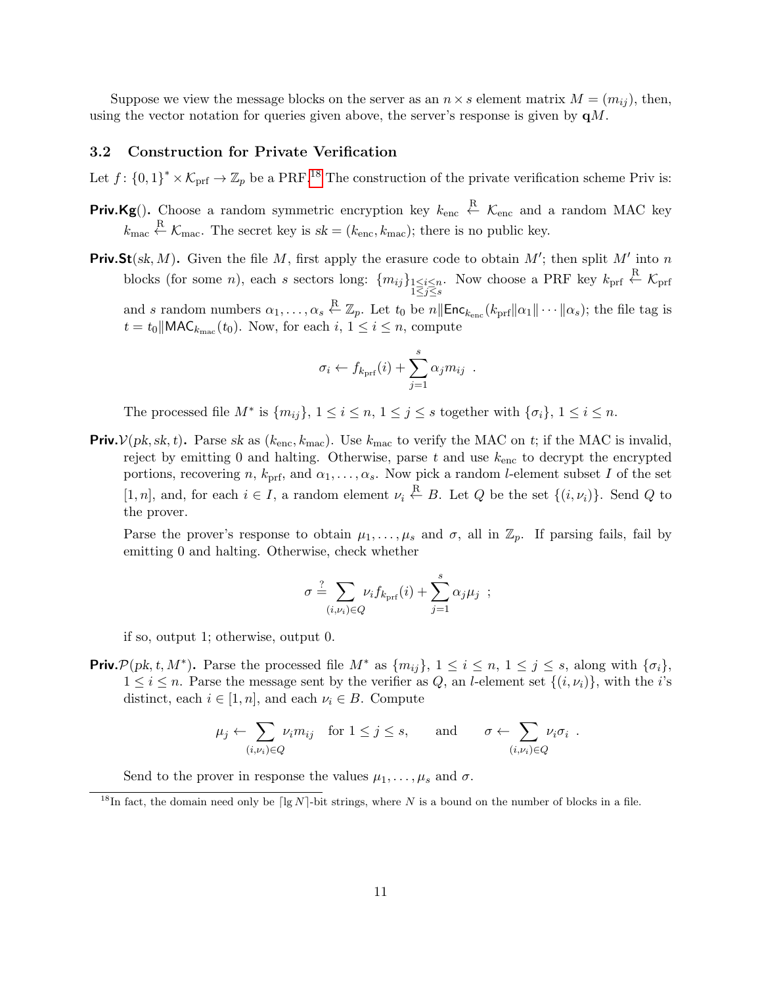Suppose we view the message blocks on the server as an  $n \times s$  element matrix  $M = (m_{ij})$ , then, using the vector notation for queries given above, the server's response is given by  $qM$ .

### 3.2 Construction for Private Verification

Let  $f: \{0,1\}^* \times \mathcal{K}_{\text{prf}} \to \mathbb{Z}_p$  be a PRF.<sup>[18](#page-10-0)</sup> The construction of the private verification scheme Priv is:

- **Priv.Kg**(). Choose a random symmetric encryption key  $k_{\text{enc}} \leftarrow \mathcal{K}_{\text{enc}}$  and a random MAC key  $k_{\text{mac}} \stackrel{\text{R}}{\leftarrow} \mathcal{K}_{\text{mac}}$ . The secret key is  $sk = (k_{\text{enc}}, k_{\text{mac}})$ ; there is no public key.
- **Priv. St**(sk, M). Given the file M, first apply the erasure code to obtain  $M'$ ; then split M' into n blocks (for some *n*), each s sectors long:  $\{m_{ij}\}_{\substack{1 \le i \le n \\ 1 \le j \le s}}$ . Now choose a PRF key  $k_{\text{prf}} \overset{R}{\leftarrow} \mathcal{K}_{\text{prf}}$ and s random numbers  $\alpha_1, \ldots, \alpha_s \stackrel{R}{\leftarrow} \mathbb{Z}_p$ . Let  $t_0$  be  $n||\textsf{Enc}_{k_{enc}}(k_{\text{prf}}||\alpha_1|| \cdots ||\alpha_s)$ ; the file tag is  $t = t_0 \|\text{MAC}_{k_{\text{mac}}}(t_0)$ . Now, for each  $i, 1 \leq i \leq n$ , compute

$$
\sigma_i \leftarrow f_{k_{\text{prf}}}(i) + \sum_{j=1}^s \alpha_j m_{ij} .
$$

The processed file  $M^*$  is  $\{m_{ij}\}, 1 \leq i \leq n, 1 \leq j \leq s$  together with  $\{\sigma_i\}, 1 \leq i \leq n$ .

**Priv.**  $\mathcal{V}(pk, sk, t)$ . Parse sk as  $(k_{enc}, k_{mac})$ . Use  $k_{mac}$  to verify the MAC on t; if the MAC is invalid, reject by emitting 0 and halting. Otherwise, parse t and use  $k_{\text{enc}}$  to decrypt the encrypted portions, recovering n,  $k_{\text{prf}}$ , and  $\alpha_1, \ldots, \alpha_s$ . Now pick a random *l*-element subset I of the set [1, n], and, for each  $i \in I$ , a random element  $\nu_i \stackrel{R}{\leftarrow} B$ . Let Q be the set  $\{(i, \nu_i)\}$ . Send Q to the prover.

Parse the prover's response to obtain  $\mu_1, \ldots, \mu_s$  and  $\sigma$ , all in  $\mathbb{Z}_p$ . If parsing fails, fail by emitting 0 and halting. Otherwise, check whether

$$
\sigma \stackrel{?}{=} \sum_{(i,\nu_i)\in Q} \nu_i f_{k_{\text{prf}}}(i) + \sum_{j=1}^s \alpha_j \mu_j ;
$$

if so, output 1; otherwise, output 0.

**Priv.** $\mathcal{P}(pk, t, M^*)$ . Parse the processed file  $M^*$  as  $\{m_{ij}\}\$ ,  $1 \leq i \leq n, 1 \leq j \leq s$ , along with  $\{\sigma_i\}\$ ,  $1 \leq i \leq n$ . Parse the message sent by the verifier as Q, an l-element set  $\{(i, \nu_i)\}\,$  with the i's distinct, each  $i \in [1, n]$ , and each  $\nu_i \in B$ . Compute

$$
\mu_j \leftarrow \sum_{(i,\nu_i)\in Q} \nu_i m_{ij}
$$
 for  $1 \le j \le s$ , and  $\sigma \leftarrow \sum_{(i,\nu_i)\in Q} \nu_i \sigma_i$ 

.

Send to the prover in response the values  $\mu_1, \ldots, \mu_s$  and  $\sigma$ .

<span id="page-10-0"></span><sup>&</sup>lt;sup>18</sup>In fact, the domain need only be  $\lceil \lg N \rceil$ -bit strings, where N is a bound on the number of blocks in a file.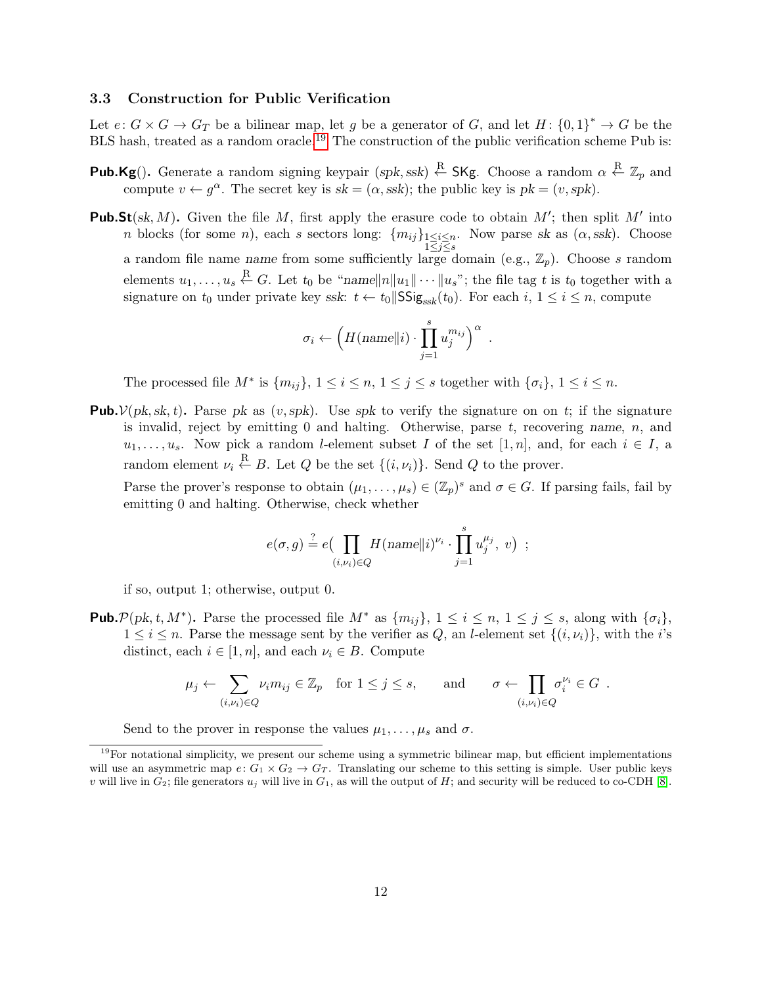### 3.3 Construction for Public Verification

Let  $e: G \times G \to G_T$  be a bilinear map, let g be a generator of G, and let  $H: \{0,1\}^* \to G$  be the BLS hash, treated as a random oracle.<sup>[19](#page-11-0)</sup> The construction of the public verification scheme Pub is:

- **Pub.Kg**(). Generate a random signing keypair (spk, ssk)  $\stackrel{R}{\leftarrow}$  SKg. Choose a random  $\alpha \stackrel{R}{\leftarrow} \mathbb{Z}_p$  and compute  $v \leftarrow g^{\alpha}$ . The secret key is  $sk = (\alpha, ssk)$ ; the public key is  $pk = (v, spk)$ .
- **Pub.St**(sk, M). Given the file M, first apply the erasure code to obtain  $M'$ ; then split M' into *n* blocks (for some *n*), each *s* sectors long:  $\{m_{ij}\}_{1 \leq i \leq n}$ . Now parse *sk* as  $(\alpha, s s k)$ . Choose a random file name name from some sufficiently large domain (e.g.,  $\mathbb{Z}_p$ ). Choose s random elements  $u_1, \ldots, u_s \stackrel{R}{\leftarrow} G$ . Let  $t_0$  be "name $||n||u_1|| \cdots ||u_s$ "; the file tag t is  $t_0$  together with a signature on  $t_0$  under private key ssk:  $t \leftarrow t_0$  Sig<sub>ssk</sub> $(t_0)$ . For each  $i, 1 \le i \le n$ , compute

$$
\sigma_i \leftarrow \left( H(\text{name}||i) \cdot \prod_{j=1}^s u_j^{m_{ij}} \right)^{\alpha} .
$$

The processed file  $M^*$  is  $\{m_{ij}\}, 1 \leq i \leq n, 1 \leq j \leq s$  together with  $\{\sigma_i\}, 1 \leq i \leq n$ .

**Pub.** $V(pk, sk, t)$ . Parse pk as  $(v, spk)$ . Use spk to verify the signature on on t; if the signature is invalid, reject by emitting 0 and halting. Otherwise, parse t, recovering name,  $n$ , and  $u_1, \ldots, u_s$ . Now pick a random *l*-element subset I of the set [1, n], and, for each  $i \in I$ , a random element  $\nu_i \stackrel{\text{R}}{\leftarrow} B$ . Let  $Q$  be the set  $\{(i, \nu_i)\}$ . Send  $Q$  to the prover.

Parse the prover's response to obtain  $(\mu_1, \ldots, \mu_s) \in (\mathbb{Z}_p)^s$  and  $\sigma \in G$ . If parsing fails, fail by emitting 0 and halting. Otherwise, check whether

$$
e(\sigma, g) \stackrel{?}{=} e\Big(\prod_{(i,\nu_i)\in Q} H(\text{name}||i)^{\nu_i} \cdot \prod_{j=1}^s u_j^{\mu_j}, v\Big) ;
$$

if so, output 1; otherwise, output 0.

**Pub.** $\mathcal{P}(pk, t, M^*)$ . Parse the processed file  $M^*$  as  $\{m_{ij}\}\$ ,  $1 \leq i \leq n, 1 \leq j \leq s$ , along with  $\{\sigma_i\}\$ ,  $1 \leq i \leq n$ . Parse the message sent by the verifier as Q, an l-element set  $\{(i, \nu_i)\}\$ , with the i's distinct, each  $i \in [1, n]$ , and each  $\nu_i \in B$ . Compute

$$
\mu_j \leftarrow \sum_{(i,\nu_i)\in Q} \nu_i m_{ij} \in \mathbb{Z}_p
$$
 for  $1 \leq j \leq s$ , and  $\sigma \leftarrow \prod_{(i,\nu_i)\in Q} \sigma_i^{\nu_i} \in G$ .

Send to the prover in response the values  $\mu_1, \ldots, \mu_s$  and  $\sigma$ .

<span id="page-11-0"></span> $19$ For notational simplicity, we present our scheme using a symmetric bilinear map, but efficient implementations will use an asymmetric map  $e: G_1 \times G_2 \to G_T$ . Translating our scheme to this setting is simple. User public keys v will live in  $G_2$ ; file generators  $u_j$  will live in  $G_1$ , as will the output of H; and security will be reduced to co-CDH [\[8\]](#page-30-4).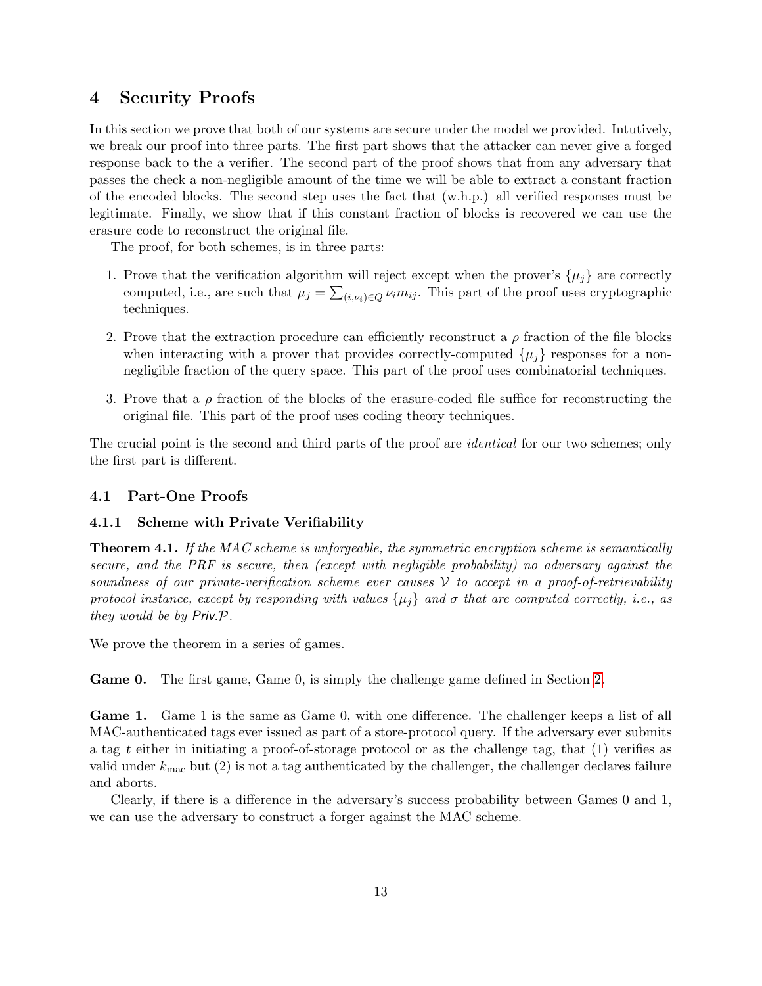### 4 Security Proofs

In this section we prove that both of our systems are secure under the model we provided. Intutively, we break our proof into three parts. The first part shows that the attacker can never give a forged response back to the a verifier. The second part of the proof shows that from any adversary that passes the check a non-negligible amount of the time we will be able to extract a constant fraction of the encoded blocks. The second step uses the fact that (w.h.p.) all verified responses must be legitimate. Finally, we show that if this constant fraction of blocks is recovered we can use the erasure code to reconstruct the original file.

The proof, for both schemes, is in three parts:

- 1. Prove that the verification algorithm will reject except when the prover's  $\{\mu_j\}$  are correctly computed, i.e., are such that  $\mu_j = \sum_{(i,\nu_i)\in Q} \nu_i m_{ij}$ . This part of the proof uses cryptographic techniques.
- 2. Prove that the extraction procedure can efficiently reconstruct a  $\rho$  fraction of the file blocks when interacting with a prover that provides correctly-computed  $\{\mu_j\}$  responses for a nonnegligible fraction of the query space. This part of the proof uses combinatorial techniques.
- 3. Prove that a  $\rho$  fraction of the blocks of the erasure-coded file suffice for reconstructing the original file. This part of the proof uses coding theory techniques.

The crucial point is the second and third parts of the proof are *identical* for our two schemes; only the first part is different.

### <span id="page-12-1"></span>4.1 Part-One Proofs

#### 4.1.1 Scheme with Private Verifiability

<span id="page-12-0"></span>**Theorem 4.1.** If the MAC scheme is unforgeable, the symmetric encryption scheme is semantically secure, and the PRF is secure, then (except with negligible probability) no adversary against the soundness of our private-verification scheme ever causes  $\mathcal V$  to accept in a proof-of-retrievability protocol instance, except by responding with values  $\{\mu_i\}$  and  $\sigma$  that are computed correctly, i.e., as they would be by Priv.P.

We prove the theorem in a series of games.

Game 0. The first game, Game 0, is simply the challenge game defined in Section [2.](#page-6-0)

Game 1. Game 1 is the same as Game 0, with one difference. The challenger keeps a list of all MAC-authenticated tags ever issued as part of a store-protocol query. If the adversary ever submits a tag t either in initiating a proof-of-storage protocol or as the challenge tag, that (1) verifies as valid under  $k_{\text{mac}}$  but (2) is not a tag authenticated by the challenger, the challenger declares failure and aborts.

Clearly, if there is a difference in the adversary's success probability between Games 0 and 1, we can use the adversary to construct a forger against the MAC scheme.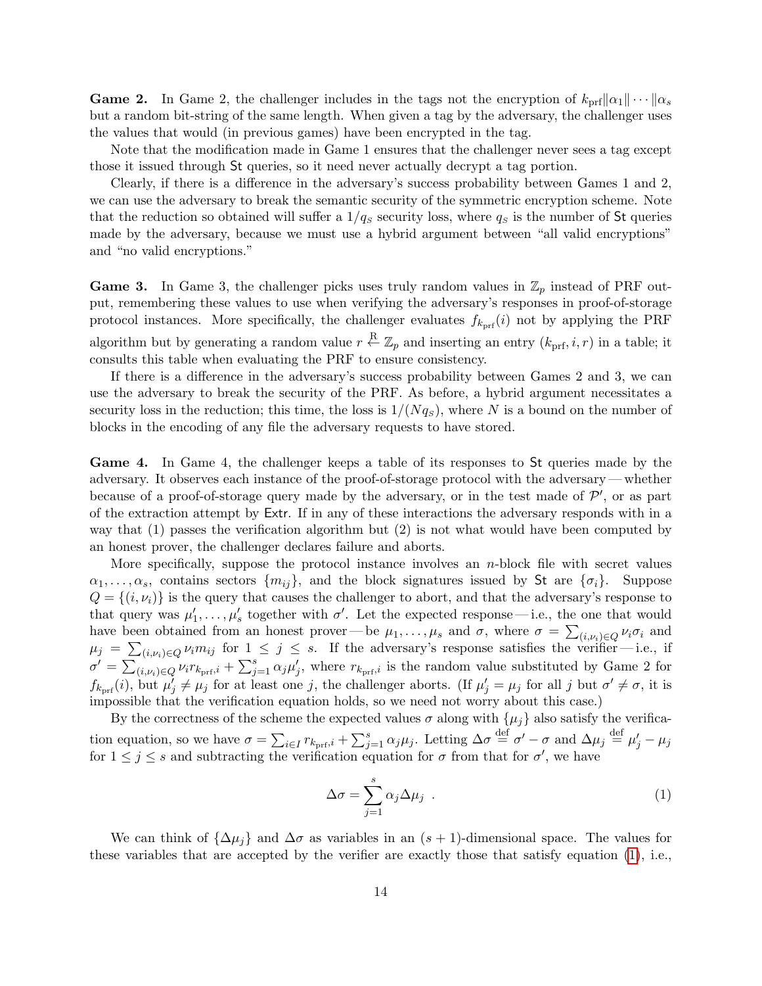**Game 2.** In Game 2, the challenger includes in the tags not the encryption of  $k_{\text{prf}}\|\alpha_1\|\cdots\|\alpha_s$ but a random bit-string of the same length. When given a tag by the adversary, the challenger uses the values that would (in previous games) have been encrypted in the tag.

Note that the modification made in Game 1 ensures that the challenger never sees a tag except those it issued through St queries, so it need never actually decrypt a tag portion.

Clearly, if there is a difference in the adversary's success probability between Games 1 and 2, we can use the adversary to break the semantic security of the symmetric encryption scheme. Note that the reduction so obtained will suffer a  $1/q<sub>S</sub>$  security loss, where  $q<sub>S</sub>$  is the number of St queries made by the adversary, because we must use a hybrid argument between "all valid encryptions" and "no valid encryptions."

**Game 3.** In Game 3, the challenger picks uses truly random values in  $\mathbb{Z}_p$  instead of PRF output, remembering these values to use when verifying the adversary's responses in proof-of-storage protocol instances. More specifically, the challenger evaluates  $f_{k_{\text{prf}}}(i)$  not by applying the PRF algorithm but by generating a random value  $r \stackrel{\text{R}}{\leftarrow} \mathbb{Z}_p$  and inserting an entry  $(k_{\text{prf}}, i, r)$  in a table; it consults this table when evaluating the PRF to ensure consistency.

If there is a difference in the adversary's success probability between Games 2 and 3, we can use the adversary to break the security of the PRF. As before, a hybrid argument necessitates a security loss in the reduction; this time, the loss is  $1/(Nq<sub>S</sub>)$ , where N is a bound on the number of blocks in the encoding of any file the adversary requests to have stored.

Game 4. In Game 4, the challenger keeps a table of its responses to St queries made by the adversary. It observes each instance of the proof-of-storage protocol with the adversary — whether because of a proof-of-storage query made by the adversary, or in the test made of  $\mathcal{P}'$ , or as part of the extraction attempt by Extr. If in any of these interactions the adversary responds with in a way that (1) passes the verification algorithm but (2) is not what would have been computed by an honest prover, the challenger declares failure and aborts.

More specifically, suppose the protocol instance involves an  $n$ -block file with secret values  $\alpha_1, \ldots, \alpha_s$ , contains sectors  $\{m_{ij}\}\$ , and the block signatures issued by St are  $\{\sigma_i\}\$ . Suppose  $Q = \{(i, v_i)\}\$ is the query that causes the challenger to abort, and that the adversary's response to that query was  $\mu'_1, \ldots, \mu'_s$  together with  $\sigma'$ . Let the expected response—i.e., the one that would have been obtained from an honest prover—be  $\mu_1, \ldots, \mu_s$  and  $\sigma$ , where  $\sigma = \sum_{(i,\nu_i)\in Q} \nu_i \sigma_i$  and  $\mu_j = \sum_{(i,\nu_i)\in Q} \nu_i m_{ij}$  for  $1 \leq j \leq s$ . If the adversary's response satisfies the verifier—i.e., if  $\sigma' = \sum_{(i,\nu_i)\in Q} \nu_i r_{k_{\text{prf}},i} + \sum_{j=1}^s \alpha_j \mu'_j$ , where  $r_{k_{\text{prf}},i}$  is the random value substituted by Game 2 for  $f_{k_{\text{prf}}}(i)$ , but  $\mu'_j \neq \mu_j$  for at least one j, the challenger aborts. (If  $\mu'_j = \mu_j$  for all j but  $\sigma' \neq \sigma$ , it is impossible that the verification equation holds, so we need not worry about this case.)

By the correctness of the scheme the expected values  $\sigma$  along with  $\{\mu_i\}$  also satisfy the verification equation, so we have  $\sigma = \sum_{i \in I} r_{k_{\text{prf}},i} + \sum_{j=1}^{s} \alpha_j \mu_j$ . Letting  $\Delta \sigma \stackrel{\text{def}}{=} \sigma' - \sigma$  and  $\Delta \mu_j \stackrel{\text{def}}{=} \mu'_j - \mu_j$ for  $1 \leq j \leq s$  and subtracting the verification equation for  $\sigma$  from that for  $\sigma'$ , we have

<span id="page-13-0"></span>
$$
\Delta \sigma = \sum_{j=1}^{s} \alpha_j \Delta \mu_j \quad . \tag{1}
$$

We can think of  $\{\Delta \mu_i\}$  and  $\Delta \sigma$  as variables in an  $(s + 1)$ -dimensional space. The values for these variables that are accepted by the verifier are exactly those that satisfy equation [\(1\)](#page-13-0), i.e.,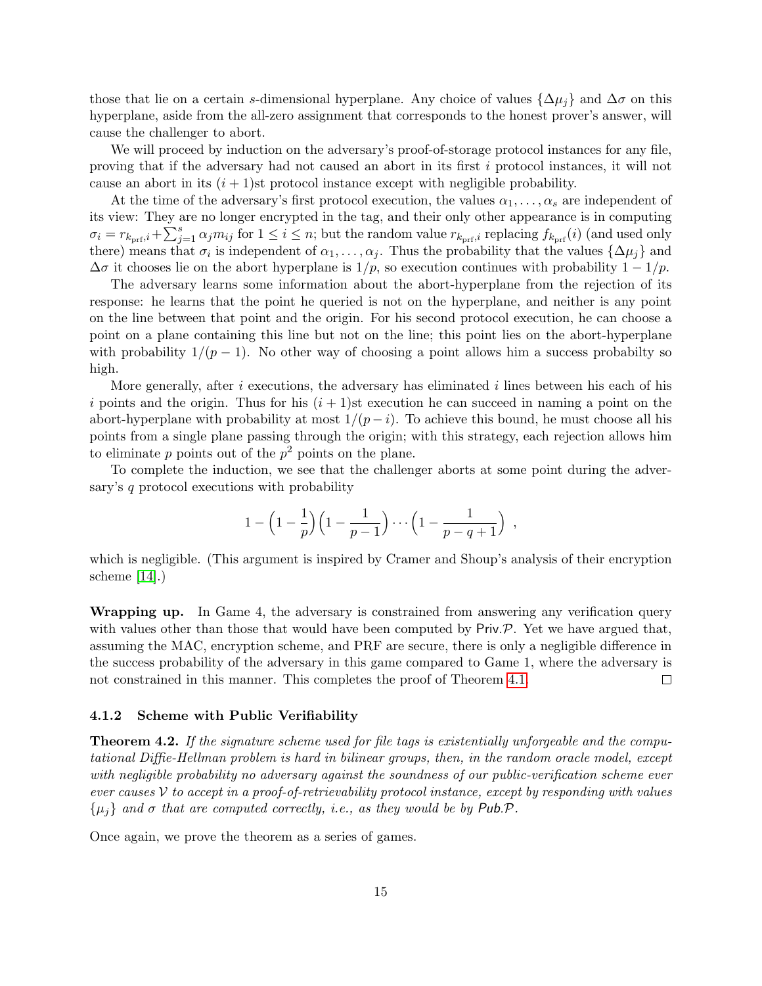those that lie on a certain s-dimensional hyperplane. Any choice of values  $\{\Delta \mu_j\}$  and  $\Delta \sigma$  on this hyperplane, aside from the all-zero assignment that corresponds to the honest prover's answer, will cause the challenger to abort.

We will proceed by induction on the adversary's proof-of-storage protocol instances for any file, proving that if the adversary had not caused an abort in its first i protocol instances, it will not cause an abort in its  $(i + 1)$ st protocol instance except with negligible probability.

At the time of the adversary's first protocol execution, the values  $\alpha_1, \ldots, \alpha_s$  are independent of its view: They are no longer encrypted in the tag, and their only other appearance is in computing  $\sigma_i = r_{k_{\text{prf}},i} + \sum_{j=1}^s \alpha_j m_{ij}$  for  $1 \le i \le n$ ; but the random value  $r_{k_{\text{prf}},i}$  replacing  $f_{k_{\text{prf}}}(i)$  (and used only there) means that  $\sigma_i$  is independent of  $\alpha_1, \ldots, \alpha_j$ . Thus the probability that the values  $\{\Delta \mu_j\}$  and  $\Delta \sigma$  it chooses lie on the abort hyperplane is  $1/p$ , so execution continues with probability  $1 - 1/p$ .

The adversary learns some information about the abort-hyperplane from the rejection of its response: he learns that the point he queried is not on the hyperplane, and neither is any point on the line between that point and the origin. For his second protocol execution, he can choose a point on a plane containing this line but not on the line; this point lies on the abort-hyperplane with probability  $1/(p-1)$ . No other way of choosing a point allows him a success probability so high.

More generally, after i executions, the adversary has eliminated i lines between his each of his i points and the origin. Thus for his  $(i + 1)$ st execution he can succeed in naming a point on the abort-hyperplane with probability at most  $1/(p-i)$ . To achieve this bound, he must choose all his points from a single plane passing through the origin; with this strategy, each rejection allows him to eliminate  $p$  points out of the  $p^2$  points on the plane.

To complete the induction, we see that the challenger aborts at some point during the adversary's q protocol executions with probability

$$
1 - \left(1 - \frac{1}{p}\right)\left(1 - \frac{1}{p-1}\right)\cdots\left(1 - \frac{1}{p-q+1}\right) ,
$$

which is negligible. (This argument is inspired by Cramer and Shoup's analysis of their encryption scheme [\[14\]](#page-30-9).)

Wrapping up. In Game 4, the adversary is constrained from answering any verification query with values other than those that would have been computed by  $Priv.P.$  Yet we have argued that, assuming the MAC, encryption scheme, and PRF are secure, there is only a negligible difference in the success probability of the adversary in this game compared to Game 1, where the adversary is not constrained in this manner. This completes the proof of Theorem [4.1.](#page-12-0)  $\Box$ 

#### 4.1.2 Scheme with Public Verifiability

<span id="page-14-0"></span>**Theorem 4.2.** If the signature scheme used for file tags is existentially unforgeable and the computational Diffie-Hellman problem is hard in bilinear groups, then, in the random oracle model, except with negligible probability no adversary against the soundness of our public-verification scheme ever ever causes  $V$  to accept in a proof-of-retrievability protocol instance, except by responding with values  $\{\mu_i\}$  and  $\sigma$  that are computed correctly, i.e., as they would be by Pub.P.

Once again, we prove the theorem as a series of games.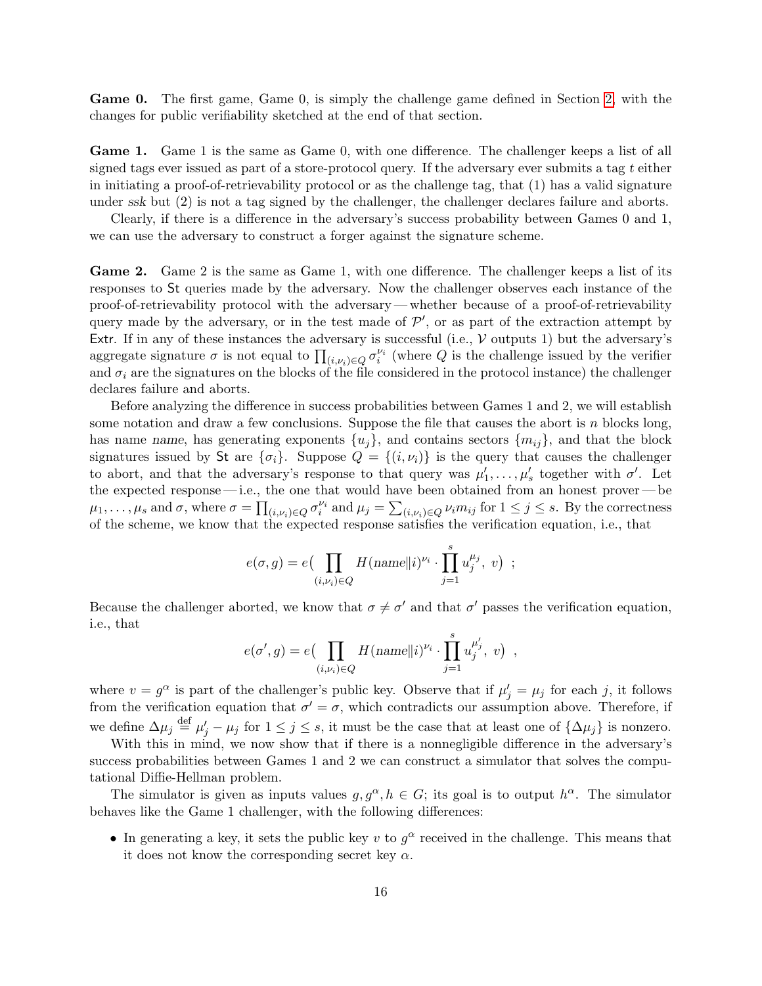Game 0. The first game, Game 0, is simply the challenge game defined in Section [2,](#page-6-0) with the changes for public verifiability sketched at the end of that section.

Game 1. Game 1 is the same as Game 0, with one difference. The challenger keeps a list of all signed tags ever issued as part of a store-protocol query. If the adversary ever submits a tag t either in initiating a proof-of-retrievability protocol or as the challenge tag, that (1) has a valid signature under ssk but (2) is not a tag signed by the challenger, the challenger declares failure and aborts.

Clearly, if there is a difference in the adversary's success probability between Games 0 and 1, we can use the adversary to construct a forger against the signature scheme.

Game 2. Game 2 is the same as Game 1, with one difference. The challenger keeps a list of its responses to St queries made by the adversary. Now the challenger observes each instance of the proof-of-retrievability protocol with the adversary— whether because of a proof-of-retrievability query made by the adversary, or in the test made of  $\mathcal{P}'$ , or as part of the extraction attempt by Extr. If in any of these instances the adversary is successful (i.e.,  $\mathcal V$  outputs 1) but the adversary's aggregate signature  $\sigma$  is not equal to  $\prod_{(i,\nu_i)\in Q} \sigma_i^{\nu_i}$  (where Q is the challenge issued by the verifier and  $\sigma_i$  are the signatures on the blocks of the file considered in the protocol instance) the challenger declares failure and aborts.

Before analyzing the difference in success probabilities between Games 1 and 2, we will establish some notation and draw a few conclusions. Suppose the file that causes the abort is  $n$  blocks long, has name name, has generating exponents  $\{u_i\}$ , and contains sectors  $\{m_{ij}\}$ , and that the block signatures issued by St are  $\{\sigma_i\}$ . Suppose  $Q = \{(i, \nu_i)\}\$ is the query that causes the challenger to abort, and that the adversary's response to that query was  $\mu'_1, \ldots, \mu'_s$  together with  $\sigma'$ . Let the expected response — i.e., the one that would have been obtained from an honest prover — be  $\mu_1,\ldots,\mu_s$  and  $\sigma$ , where  $\sigma = \prod_{(i,\nu_i)\in Q}\sigma_i^{\nu_i}$  and  $\mu_j = \sum_{(i,\nu_i)\in Q}\nu_i m_{ij}$  for  $1 \leq j \leq s$ . By the correctness of the scheme, we know that the expected response satisfies the verification equation, i.e., that

$$
e(\sigma, g) = e\left(\prod_{(i,\nu_i)\in Q} H(\text{name}||i)^{\nu_i} \cdot \prod_{j=1}^s u_j^{\mu_j}, v\right) ;
$$

Because the challenger aborted, we know that  $\sigma \neq \sigma'$  and that  $\sigma'$  passes the verification equation, i.e., that

$$
e(\sigma', g) = e\left(\prod_{(i,\nu_i)\in Q} H(\text{name}||i)^{\nu_i} \cdot \prod_{j=1}^s u_j^{\mu'_j}, v\right) ,
$$

where  $v = g^{\alpha}$  is part of the challenger's public key. Observe that if  $\mu'_j = \mu_j$  for each j, it follows from the verification equation that  $\sigma' = \sigma$ , which contradicts our assumption above. Therefore, if we define  $\Delta \mu_j \stackrel{\text{def}}{=} \mu'_j - \mu_j$  for  $1 \leq j \leq s$ , it must be the case that at least one of  $\{\Delta \mu_j\}$  is nonzero.

With this in mind, we now show that if there is a nonnegligible difference in the adversary's success probabilities between Games 1 and 2 we can construct a simulator that solves the computational Diffie-Hellman problem.

The simulator is given as inputs values  $g, g^{\alpha}, h \in G$ ; its goal is to output  $h^{\alpha}$ . The simulator behaves like the Game 1 challenger, with the following differences:

• In generating a key, it sets the public key v to  $g^{\alpha}$  received in the challenge. This means that it does not know the corresponding secret key  $\alpha$ .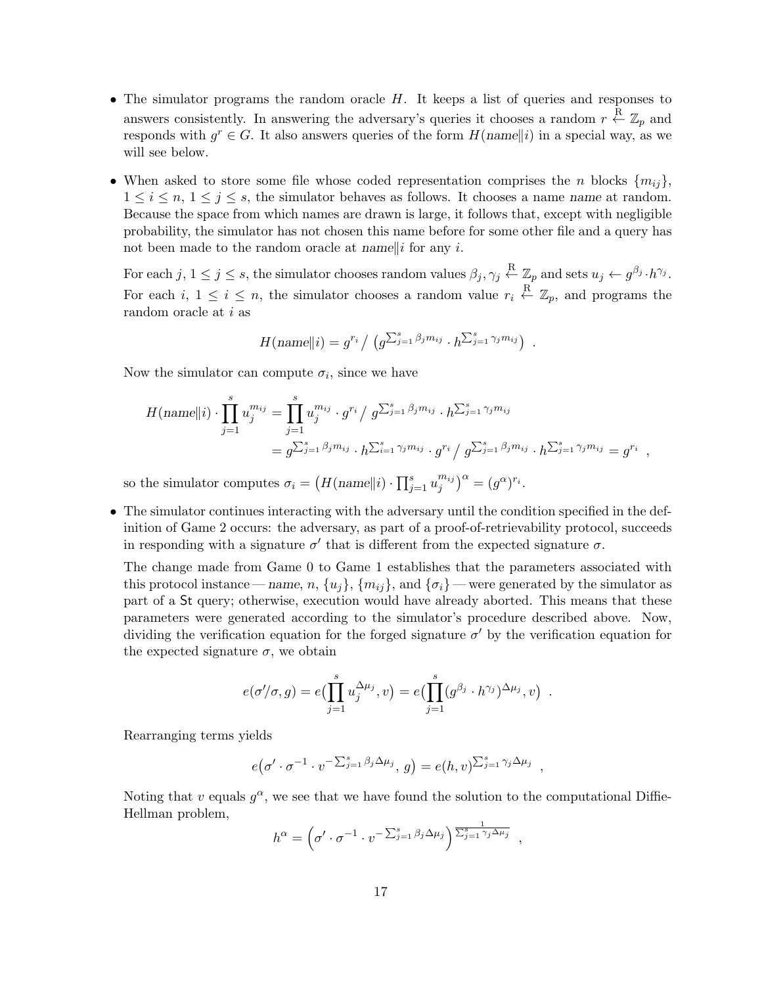- The simulator programs the random oracle  $H$ . It keeps a list of queries and responses to answers consistently. In answering the adversary's queries it chooses a random  $r \stackrel{\text{R}}{\leftarrow} \mathbb{Z}_p$  and responds with  $g^r \in G$ . It also answers queries of the form  $H(name||i)$  in a special way, as we will see below.
- When asked to store some file whose coded representation comprises the n blocks  $\{m_{ij}\},$  $1 \leq i \leq n, 1 \leq j \leq s$ , the simulator behaves as follows. It chooses a name name at random. Because the space from which names are drawn is large, it follows that, except with negligible probability, the simulator has not chosen this name before for some other file and a query has not been made to the random oracle at namelli for any i.

For each  $j, 1 \leq j \leq s$ , the simulator chooses random values  $\beta_j, \gamma_j \stackrel{\text{R}}{\leftarrow} \mathbb{Z}_p$  and sets  $u_j \leftarrow g^{\beta_j} \cdot h^{\gamma_j}$ . For each i,  $1 \leq i \leq n$ , the simulator chooses a random value  $r_i \stackrel{\text{R}}{\leftarrow} \mathbb{Z}_p$ , and programs the random oracle at i as

$$
H(\text{name}||i) = g^{r_i} / (g^{\sum_{j=1}^s \beta_j m_{ij}} \cdot h^{\sum_{j=1}^s \gamma_j m_{ij}}).
$$

Now the simulator can compute  $\sigma_i$ , since we have

$$
H(\text{name}||i) \cdot \prod_{j=1}^{s} u_j^{m_{ij}} = \prod_{j=1}^{s} u_j^{m_{ij}} \cdot g^{r_i} / g^{\sum_{j=1}^{s} \beta_j m_{ij}} \cdot h^{\sum_{j=1}^{s} \gamma_j m_{ij}} = g^{\sum_{j=1}^{s} \beta_j m_{ij}} \cdot h^{\sum_{i=1}^{s} \gamma_j m_{ij}} \cdot g^{r_i} / g^{\sum_{j=1}^{s} \beta_j m_{ij}} \cdot h^{\sum_{j=1}^{s} \gamma_j m_{ij}} = g^{r_i} ,
$$

so the simulator computes  $\sigma_i = (H(name||i) \cdot \prod_{j=1}^s u_j^{m_{ij}})$  $\binom{m_{ij}}{j}^{\alpha} = (g^{\alpha})^{r_i}.$ 

• The simulator continues interacting with the adversary until the condition specified in the definition of Game 2 occurs: the adversary, as part of a proof-of-retrievability protocol, succeeds in responding with a signature  $\sigma'$  that is different from the expected signature  $\sigma$ .

The change made from Game 0 to Game 1 establishes that the parameters associated with this protocol instance — name, n,  $\{u_i\}$ ,  $\{m_{ii}\}$ , and  $\{\sigma_i\}$  — were generated by the simulator as part of a St query; otherwise, execution would have already aborted. This means that these parameters were generated according to the simulator's procedure described above. Now, dividing the verification equation for the forged signature  $\sigma'$  by the verification equation for the expected signature  $\sigma$ , we obtain

$$
e(\sigma'/\sigma, g) = e\left(\prod_{j=1}^s u_j^{\Delta \mu_j}, v\right) = e\left(\prod_{j=1}^s (g^{\beta_j} \cdot h^{\gamma_j})^{\Delta \mu_j}, v\right) .
$$

Rearranging terms yields

$$
e(\sigma' \cdot \sigma^{-1} \cdot v^{-\sum_{j=1}^{s} \beta_j \Delta \mu_j}, g) = e(h, v)^{\sum_{j=1}^{s} \gamma_j \Delta \mu_j}
$$

,

Noting that v equals  $g^{\alpha}$ , we see that we have found the solution to the computational Diffie-Hellman problem,

$$
h^{\alpha} = \left( \sigma' \cdot \sigma^{-1} \cdot v^{-\sum_{j=1}^{s} \beta_j \Delta \mu_j} \right)^{\frac{1}{\sum_{j=1}^{s} \gamma_j \Delta \mu_j}},
$$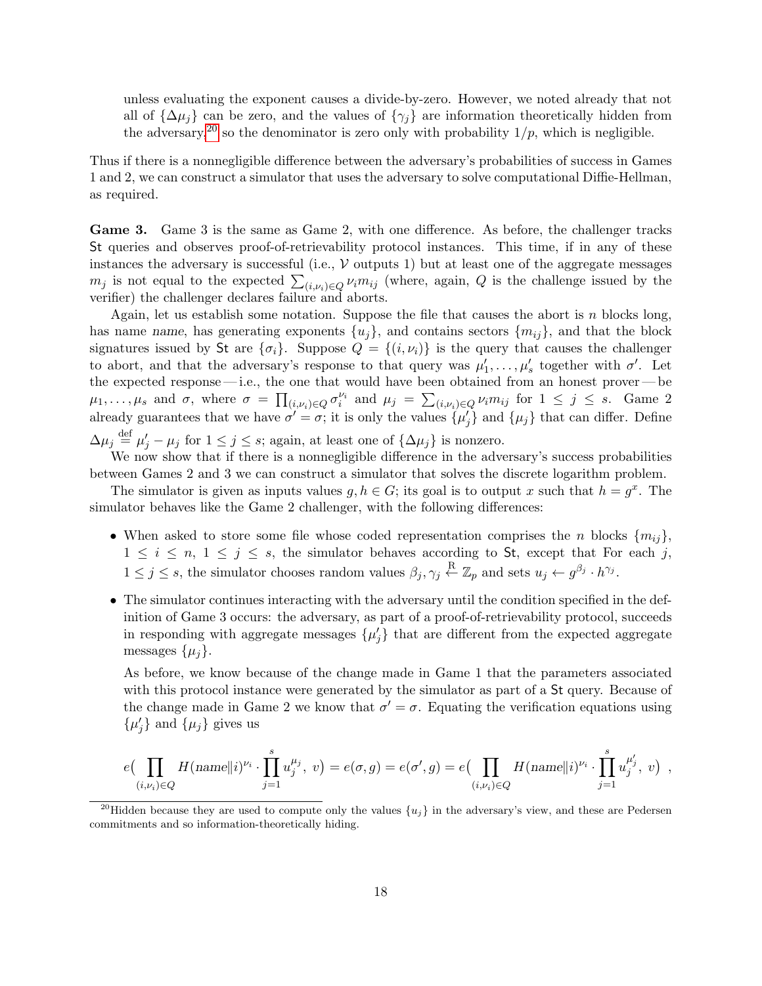unless evaluating the exponent causes a divide-by-zero. However, we noted already that not all of  $\{\Delta \mu_i\}$  can be zero, and the values of  $\{\gamma_i\}$  are information theoretically hidden from the adversary,<sup>[20](#page-17-0)</sup> so the denominator is zero only with probability  $1/p$ , which is negligible.

Thus if there is a nonnegligible difference between the adversary's probabilities of success in Games 1 and 2, we can construct a simulator that uses the adversary to solve computational Diffie-Hellman, as required.

Game 3. Game 3 is the same as Game 2, with one difference. As before, the challenger tracks St queries and observes proof-of-retrievability protocol instances. This time, if in any of these instances the adversary is successful (i.e.,  $\mathcal V$  outputs 1) but at least one of the aggregate messages  $m_j$  is not equal to the expected  $\sum_{(i,\nu_i)\in Q} \nu_i m_{ij}$  (where, again, Q is the challenge issued by the verifier) the challenger declares failure and aborts.

Again, let us establish some notation. Suppose the file that causes the abort is  $n$  blocks long, has name name, has generating exponents  $\{u_i\}$ , and contains sectors  $\{m_{ij}\}\$ , and that the block signatures issued by St are  $\{\sigma_i\}$ . Suppose  $Q = \{(i, \nu_i)\}\$ is the query that causes the challenger to abort, and that the adversary's response to that query was  $\mu'_1, \ldots, \mu'_s$  together with  $\sigma'$ . Let the expected response — i.e., the one that would have been obtained from an honest prover — be  $\mu_1, \ldots, \mu_s$  and  $\sigma$ , where  $\sigma = \prod_{(i,\nu_i)\in Q} \sigma_i^{\nu_i}$  and  $\mu_j = \sum_{(i,\nu_i)\in Q} \nu_i m_{ij}$  for  $1 \leq j \leq s$ . Game 2 already guarantees that we have  $\sigma' = \sigma$ ; it is only the values  $\{\mu'_j\}$  and  $\{\mu_j\}$  that can differ. Define  $\Delta \mu_j \stackrel{\text{def}}{=} \mu'_j - \mu_j$  for  $1 \leq j \leq s$ ; again, at least one of  $\{\Delta \mu_j\}$  is nonzero.

We now show that if there is a nonnegligible difference in the adversary's success probabilities between Games 2 and 3 we can construct a simulator that solves the discrete logarithm problem.

The simulator is given as inputs values  $g, h \in G$ ; its goal is to output x such that  $h = g^x$ . The simulator behaves like the Game 2 challenger, with the following differences:

- When asked to store some file whose coded representation comprises the n blocks  $\{m_{ij}\}$ ,  $1 \leq i \leq n, 1 \leq j \leq s$ , the simulator behaves according to St, except that For each j,  $1 \leq j \leq s$ , the simulator chooses random values  $\beta_j, \gamma_j \stackrel{\text{R}}{\leftarrow} \mathbb{Z}_p$  and sets  $u_j \leftarrow g^{\beta_j} \cdot h^{\gamma_j}$ .
- The simulator continues interacting with the adversary until the condition specified in the definition of Game 3 occurs: the adversary, as part of a proof-of-retrievability protocol, succeeds in responding with aggregate messages  $\{\mu'_j\}$  that are different from the expected aggregate messages  $\{\mu_i\}.$

As before, we know because of the change made in Game 1 that the parameters associated with this protocol instance were generated by the simulator as part of a St query. Because of the change made in Game 2 we know that  $\sigma' = \sigma$ . Equating the verification equations using  $\{\mu'_j\}$  and  $\{\mu_j\}$  gives us

$$
e\left(\prod_{(i,\nu_i)\in Q} H(\text{name}||i)^{\nu_i} \cdot \prod_{j=1}^s u_j^{\mu_j}, v\right) = e(\sigma, g) = e(\sigma', g) = e\left(\prod_{(i,\nu_i)\in Q} H(\text{name}||i)^{\nu_i} \cdot \prod_{j=1}^s u_j^{\mu'_j}, v\right) ,
$$

<span id="page-17-0"></span><sup>&</sup>lt;sup>20</sup>Hidden because they are used to compute only the values  $\{u_j\}$  in the adversary's view, and these are Pedersen commitments and so information-theoretically hiding.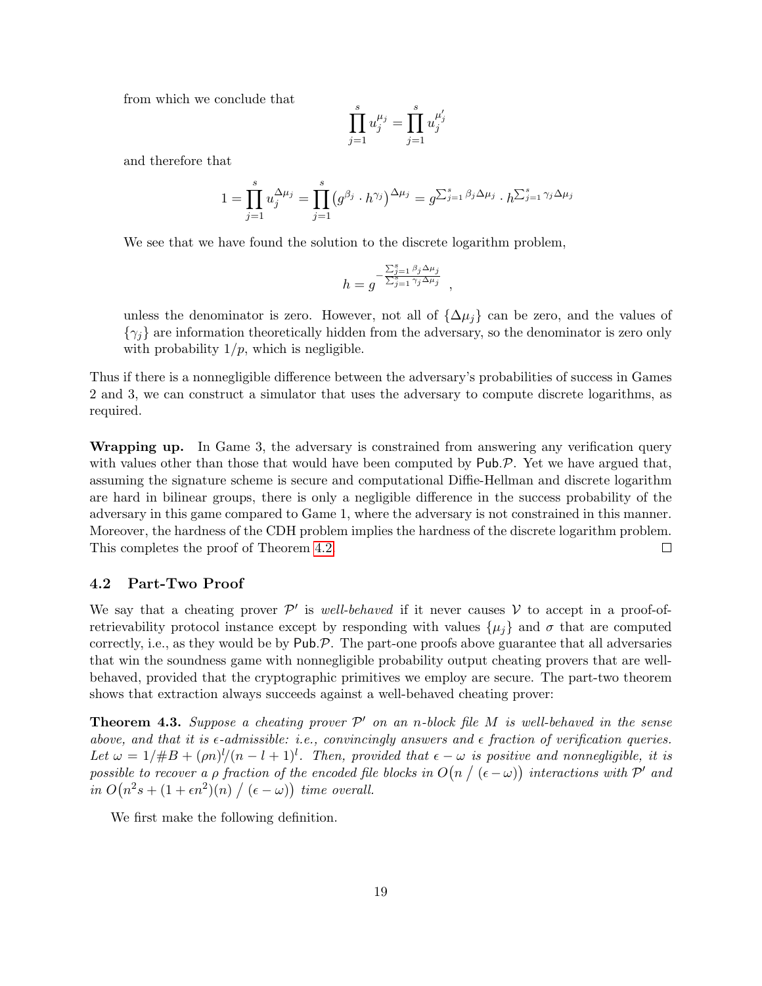from which we conclude that

$$
\prod_{j=1}^{s} u_j^{\mu_j} = \prod_{j=1}^{s} u_j^{\mu'_j}
$$

and therefore that

$$
1 = \prod_{j=1}^s u_j^{\Delta \mu_j} = \prod_{j=1}^s (g^{\beta_j} \cdot h^{\gamma_j})^{\Delta \mu_j} = g^{\sum_{j=1}^s \beta_j \Delta \mu_j} \cdot h^{\sum_{j=1}^s \gamma_j \Delta \mu_j}
$$

We see that we have found the solution to the discrete logarithm problem,

$$
h=g^{-\frac{\sum_{j=1}^s\beta_j\Delta\mu_j}{\sum_{j=1}^s\gamma_j\Delta\mu_j}}\enspace,
$$

unless the denominator is zero. However, not all of  $\{\Delta \mu_i\}$  can be zero, and the values of  $\{\gamma_i\}$  are information theoretically hidden from the adversary, so the denominator is zero only with probability  $1/p$ , which is negligible.

Thus if there is a nonnegligible difference between the adversary's probabilities of success in Games 2 and 3, we can construct a simulator that uses the adversary to compute discrete logarithms, as required.

Wrapping up. In Game 3, the adversary is constrained from answering any verification query with values other than those that would have been computed by  $Pub.P.$  Yet we have argued that, assuming the signature scheme is secure and computational Diffie-Hellman and discrete logarithm are hard in bilinear groups, there is only a negligible difference in the success probability of the adversary in this game compared to Game 1, where the adversary is not constrained in this manner. Moreover, the hardness of the CDH problem implies the hardness of the discrete logarithm problem.  $\Box$ This completes the proof of Theorem [4.2.](#page-14-0)

### <span id="page-18-0"></span>4.2 Part-Two Proof

We say that a cheating prover  $\mathcal{P}'$  is well-behaved if it never causes V to accept in a proof-ofretrievability protocol instance except by responding with values  $\{\mu_i\}$  and  $\sigma$  that are computed correctly, i.e., as they would be by Pub.P. The part-one proofs above guarantee that all adversaries that win the soundness game with nonnegligible probability output cheating provers that are wellbehaved, provided that the cryptographic primitives we employ are secure. The part-two theorem shows that extraction always succeeds against a well-behaved cheating prover:

<span id="page-18-1"></span>**Theorem 4.3.** Suppose a cheating prover  $\mathcal{P}'$  on an n-block file M is well-behaved in the sense above, and that it is  $\epsilon$ -admissible: i.e., convincingly answers and  $\epsilon$  fraction of verification queries. Let  $\omega = 1/\#B + (\rho n)^{l} / (n-l+1)^{l}$ . Then, provided that  $\epsilon - \omega$  is positive and nonnegligible, it is possible to recover a  $\rho$  fraction of the encoded file blocks in  $O(n \mid (\epsilon - \omega))$  interactions with  $\mathcal{P}'$  and in  $O(n^2s + (1 + \epsilon n^2)(n) / (\epsilon - \omega))$  time overall.

We first make the following definition.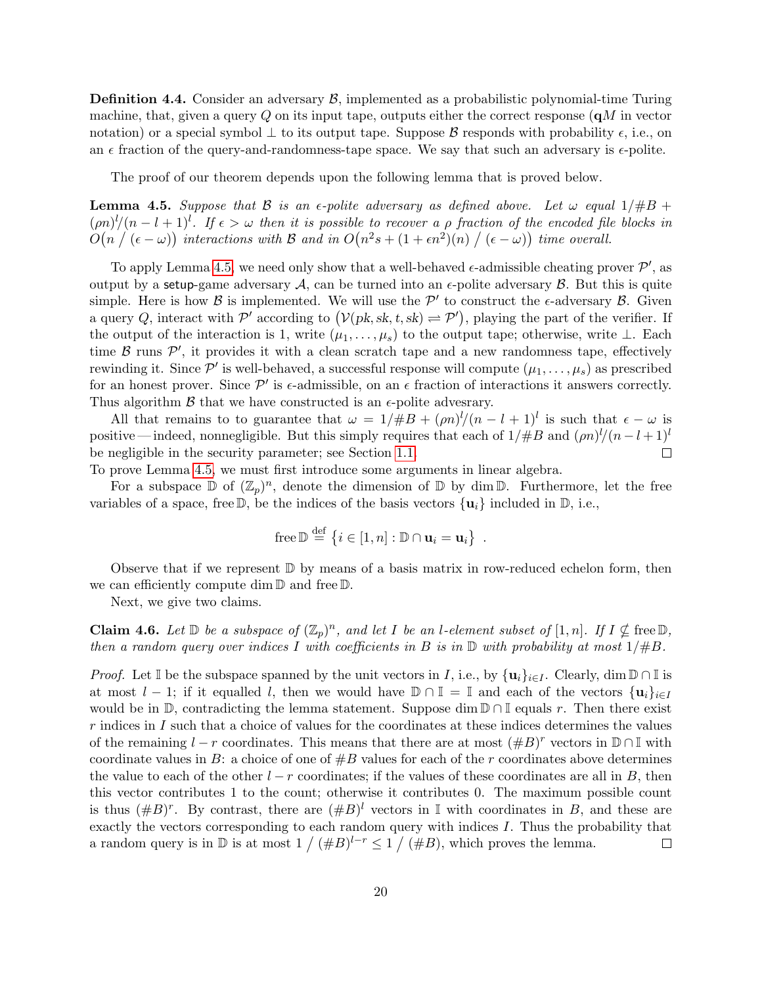**Definition 4.4.** Consider an adversary  $\mathcal{B}$ , implemented as a probabilistic polynomial-time Turing machine, that, given a query  $Q$  on its input tape, outputs either the correct response  $(qM)$  in vector notation) or a special symbol  $\perp$  to its output tape. Suppose B responds with probability  $\epsilon$ , i.e., on an  $\epsilon$  fraction of the query-and-randomness-tape space. We say that such an adversary is  $\epsilon$ -polite.

The proof of our theorem depends upon the following lemma that is proved below.

<span id="page-19-0"></span>**Lemma 4.5.** Suppose that B is an  $\epsilon$ -polite adversary as defined above. Let  $\omega$  equal  $1/\#B$  +  $(\rho n)^{l} / (n - l + 1)^{l}$ . If  $\epsilon > \omega$  then it is possible to recover a  $\rho$  fraction of the encoded file blocks in  $O(n / (\epsilon - \omega))$  interactions with B and in  $O(n^2s + (1 + \epsilon n^2)(n) / (\epsilon - \omega))$  time overall.

To apply Lemma [4.5,](#page-19-0) we need only show that a well-behaved  $\epsilon$ -admissible cheating prover  $\mathcal{P}'$ , as output by a setup-game adversary A, can be turned into an  $\epsilon$ -polite adversary B. But this is quite simple. Here is how  $\beta$  is implemented. We will use the  $\mathcal{P}'$  to construct the  $\epsilon$ -adversary  $\beta$ . Given a query Q, interact with  $\mathcal{P}'$  according to  $(\mathcal{V}(pk, sk, t, sk) \rightleftharpoons \mathcal{P}')$ , playing the part of the verifier. If the output of the interaction is 1, write  $(\mu_1, \ldots, \mu_s)$  to the output tape; otherwise, write ⊥. Each time  $\beta$  runs  $\mathcal{P}'$ , it provides it with a clean scratch tape and a new randomness tape, effectively rewinding it. Since  $\mathcal{P}'$  is well-behaved, a successful response will compute  $(\mu_1, \ldots, \mu_s)$  as prescribed for an honest prover. Since  $\mathcal{P}'$  is  $\epsilon$ -admissible, on an  $\epsilon$  fraction of interactions it answers correctly. Thus algorithm  $\beta$  that we have constructed is an  $\epsilon$ -polite advessary.

All that remains to to guarantee that  $\omega = 1/\#B + (\rho n)^{l}/(n-l+1)^{l}$  is such that  $\epsilon - \omega$  is positive—indeed, nonnegligible. But this simply requires that each of  $1/\#B$  and  $(\rho n)^{l}/(n-l+1)^{l}$ be negligible in the security parameter; see Section [1.1.](#page-2-3)  $\Box$ 

To prove Lemma [4.5,](#page-19-0) we must first introduce some arguments in linear algebra.

For a subspace  $\mathbb D$  of  $(\mathbb Z_p)^n$ , denote the dimension of  $\mathbb D$  by dim  $\mathbb D$ . Furthermore, let the free variables of a space, free  $\mathbb{D}$ , be the indices of the basis vectors  $\{u_i\}$  included in  $\mathbb{D}$ , i.e.,

free 
$$
\mathbb{D} \stackrel{\text{def}}{=} \{i \in [1, n] : \mathbb{D} \cap \mathbf{u}_i = \mathbf{u}_i\}.
$$

Observe that if we represent  $\mathbb D$  by means of a basis matrix in row-reduced echelon form, then we can efficiently compute dim D and free D.

Next, we give two claims.

<span id="page-19-1"></span>**Claim 4.6.** Let  $\mathbb{D}$  be a subspace of  $(\mathbb{Z}_p)^n$ , and let I be an *l*-element subset of  $[1, n]$ . If  $I \nsubseteq \text{free } \mathbb{D}$ , then a random query over indices I with coefficients in B is in  $\mathbb D$  with probability at most  $1/\#B$ .

*Proof.* Let I be the subspace spanned by the unit vectors in I, i.e., by  $\{u_i\}_{i\in I}$ . Clearly, dim  $\mathbb{D} \cap \mathbb{I}$  is at most  $l-1$ ; if it equalled l, then we would have  $\mathbb{D} \cap \mathbb{I} = \mathbb{I}$  and each of the vectors  $\{u_i\}_{i\in I}$ would be in  $\mathbb{D}$ , contradicting the lemma statement. Suppose dim  $\mathbb{D} \cap \mathbb{I}$  equals r. Then there exist r indices in I such that a choice of values for the coordinates at these indices determines the values of the remaining  $l - r$  coordinates. This means that there are at most  $(\#B)^r$  vectors in D ∩ I with coordinate values in B: a choice of one of  $\#B$  values for each of the r coordinates above determines the value to each of the other  $l - r$  coordinates; if the values of these coordinates are all in B, then this vector contributes 1 to the count; otherwise it contributes 0. The maximum possible count is thus  $(\#B)^r$ . By contrast, there are  $(\#B)^l$  vectors in I with coordinates in B, and these are exactly the vectors corresponding to each random query with indices I. Thus the probability that a random query is in  $\mathbb D$  is at most  $1 / (\#B)^{l-r} \leq 1 / (\#B)$ , which proves the lemma.  $\Box$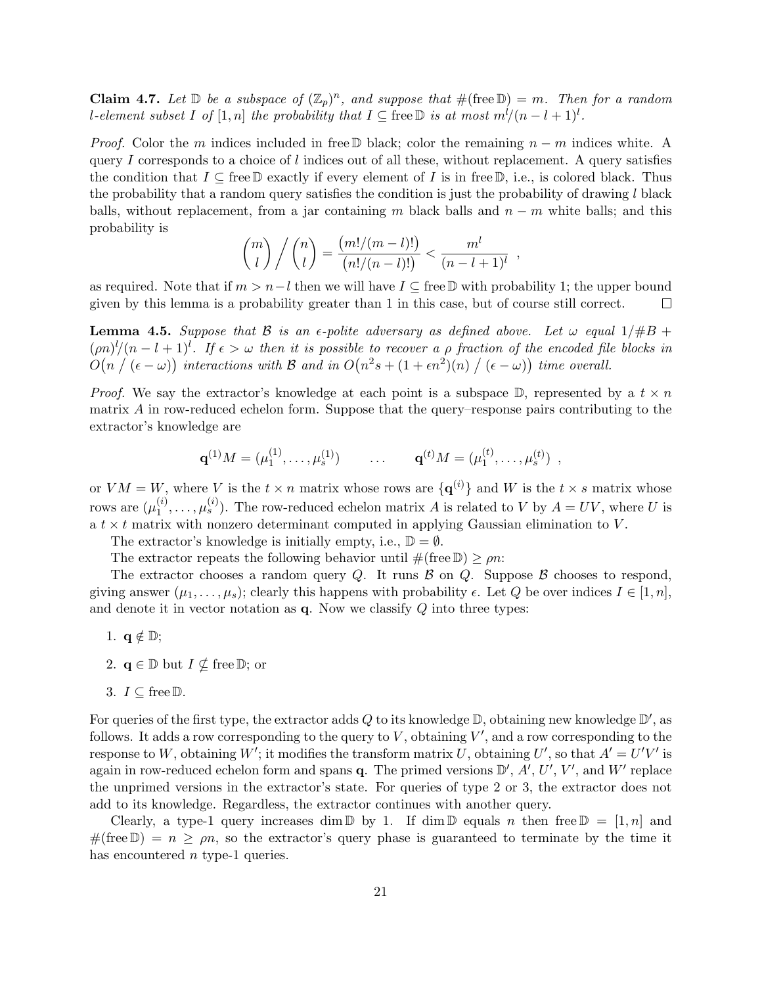<span id="page-20-0"></span>**Claim 4.7.** Let  $\mathbb{D}$  be a subspace of  $(\mathbb{Z}_p)^n$ , and suppose that  $\#(\text{free } \mathbb{D}) = m$ . Then for a random l-element subset I of  $[1,n]$  the probability that  $I \subseteq \text{free} \mathbb{D}$  is at most  $m^l/(n-l+1)^l$ .

*Proof.* Color the m indices included in free D black; color the remaining  $n - m$  indices white. A query I corresponds to a choice of l indices out of all these, without replacement. A query satisfies the condition that  $I \subseteq \text{free } \mathbb{D}$  exactly if every element of I is in free  $\mathbb{D}$ , i.e., is colored black. Thus the probability that a random query satisfies the condition is just the probability of drawing  $l$  black balls, without replacement, from a jar containing m black balls and  $n - m$  white balls; and this probability is

$$
{m \choose l} / {n \choose l} = \frac{(m!/(m-l)!)}{(n!/(n-l)!)} < \frac{m^l}{(n-l+1)^l} ,
$$

as required. Note that if  $m > n - l$  then we will have  $I \subseteq \text{free} \mathbb{D}$  with probability 1; the upper bound given by this lemma is a probability greater than 1 in this case, but of course still correct.  $\Box$ 

**Lemma 4.5.** Suppose that B is an  $\epsilon$ -polite adversary as defined above. Let  $\omega$  equal  $1/\#B$  +  $(\rho n)^{l} / (n - l + 1)^{l}$ . If  $\epsilon > \omega$  then it is possible to recover a  $\rho$  fraction of the encoded file blocks in  $O(n / (\epsilon - \omega))$  interactions with B and in  $O(n^2s + (1 + \epsilon n^2)(n) / (\epsilon - \omega))$  time overall.

*Proof.* We say the extractor's knowledge at each point is a subspace  $\mathbb{D}$ , represented by a  $t \times n$ matrix A in row-reduced echelon form. Suppose that the query–response pairs contributing to the extractor's knowledge are

$$
\mathbf{q}^{(1)}M = (\mu_1^{(1)}, \dots, \mu_s^{(1)}) \qquad \dots \qquad \mathbf{q}^{(t)}M = (\mu_1^{(t)}, \dots, \mu_s^{(t)}) \enspace ,
$$

or  $VM = W$ , where V is the  $t \times n$  matrix whose rows are  $\{q^{(i)}\}$  and W is the  $t \times s$  matrix whose rows are  $(\mu_1^{(i)}$  $\mu_1^{(i)}, \ldots, \mu_s^{(i)}$ ). The row-reduced echelon matrix A is related to V by  $A = UV$ , where U is a  $t \times t$  matrix with nonzero determinant computed in applying Gaussian elimination to V.

The extractor's knowledge is initially empty, i.e.,  $\mathbb{D} = \emptyset$ .

The extractor repeats the following behavior until  $#(\text{free } \mathbb{D}) \geq \rho n$ :

The extractor chooses a random query  $Q$ . It runs  $B$  on  $Q$ . Suppose  $B$  chooses to respond, giving answer  $(\mu_1, \ldots, \mu_s)$ ; clearly this happens with probability  $\epsilon$ . Let Q be over indices  $I \in [1, n]$ , and denote it in vector notation as  $q$ . Now we classify  $Q$  into three types:

- 1.  $\mathbf{q} \notin \mathbb{D}$ ;
- 2.  $\mathbf{q} \in \mathbb{D}$  but  $I \nsubseteq \text{free } \mathbb{D}$ ; or
- 3.  $I \subseteq \text{free } \mathbb{D}$ .

For queries of the first type, the extractor adds Q to its knowledge  $\mathbb{D}$ , obtaining new knowledge  $\mathbb{D}'$ , as follows. It adds a row corresponding to the query to  $V$ , obtaining  $V'$ , and a row corresponding to the response to W, obtaining W'; it modifies the transform matrix U, obtaining U', so that  $A' = U'V'$  is again in row-reduced echelon form and spans q. The primed versions  $\mathbb{D}', A', U', V'$ , and  $W'$  replace the unprimed versions in the extractor's state. For queries of type 2 or 3, the extractor does not add to its knowledge. Regardless, the extractor continues with another query.

Clearly, a type-1 query increases dim  $\mathbb D$  by 1. If dim  $\mathbb D$  equals n then free  $\mathbb D = [1, n]$  and  $\#(\text{free } \mathbb{D}) = n \geq \rho n$ , so the extractor's query phase is guaranteed to terminate by the time it has encountered *n* type-1 queries.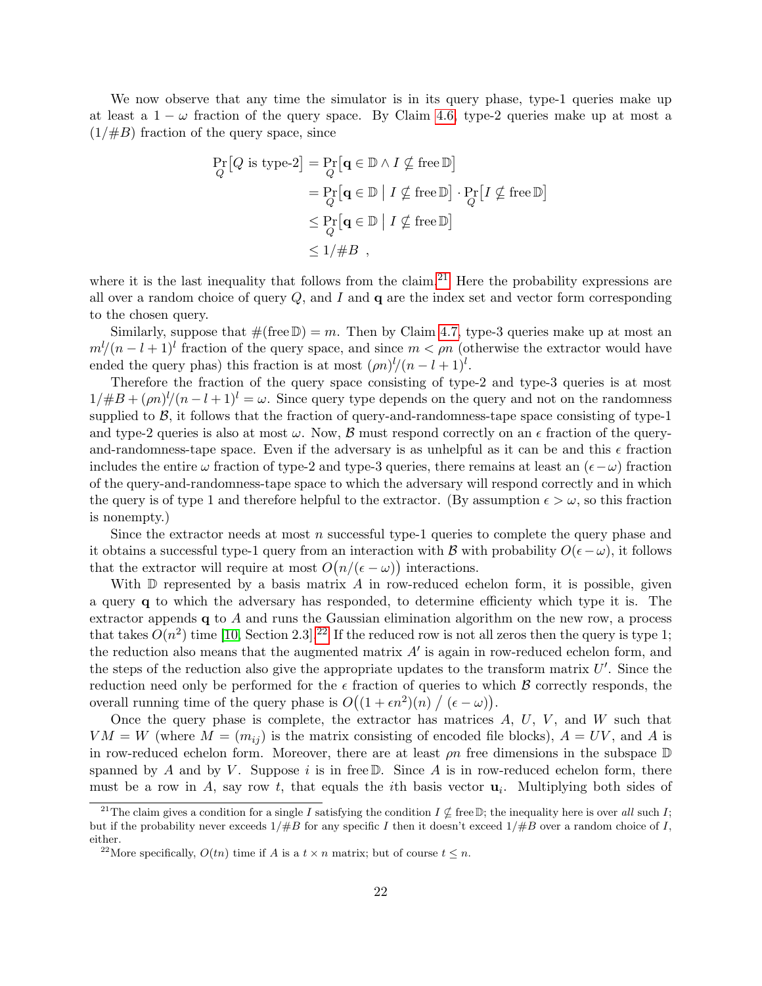We now observe that any time the simulator is in its query phase, type-1 queries make up at least a  $1 - \omega$  fraction of the query space. By Claim [4.6,](#page-19-1) type-2 queries make up at most a  $(1/\#B)$  fraction of the query space, since

$$
\Pr_{Q}[Q \text{ is type-2}] = \Pr_{Q}[\mathbf{q} \in \mathbb{D} \land I \nsubseteq \text{free } \mathbb{D}]
$$
  
= 
$$
\Pr_{Q}[\mathbf{q} \in \mathbb{D} \mid I \nsubseteq \text{free } \mathbb{D}] \cdot \Pr_{Q}[I \nsubseteq \text{free } \mathbb{D}]
$$
  

$$
\leq \Pr_{Q}[\mathbf{q} \in \mathbb{D} \mid I \nsubseteq \text{free } \mathbb{D}]
$$
  

$$
\leq 1/\#B ,
$$

where it is the last inequality that follows from the claim.<sup>[21](#page-21-0)</sup> Here the probability expressions are all over a random choice of query  $Q$ , and  $I$  and  $q$  are the index set and vector form corresponding to the chosen query.

Similarly, suppose that  $\#(\text{free } \mathbb{D}) = m$ . Then by Claim [4.7,](#page-20-0) type-3 queries make up at most an  $m^l/(n-l+1)^l$  fraction of the query space, and since  $m < \rho n$  (otherwise the extractor would have ended the query phas) this fraction is at most  $(\rho n)^{l}/(n-l+1)^{l}$ .

Therefore the fraction of the query space consisting of type-2 and type-3 queries is at most  $1/\#B + (\rho n)l/(n-l+1)^l = \omega$ . Since query type depends on the query and not on the randomness supplied to  $\mathcal{B}$ , it follows that the fraction of query-and-randomness-tape space consisting of type-1 and type-2 queries is also at most  $\omega$ . Now, B must respond correctly on an  $\epsilon$  fraction of the queryand-randomness-tape space. Even if the adversary is as unhelpful as it can be and this  $\epsilon$  fraction includes the entire  $\omega$  fraction of type-2 and type-3 queries, there remains at least an  $(\epsilon - \omega)$  fraction of the query-and-randomness-tape space to which the adversary will respond correctly and in which the query is of type 1 and therefore helpful to the extractor. (By assumption  $\epsilon > \omega$ , so this fraction is nonempty.)

Since the extractor needs at most  $n$  successful type-1 queries to complete the query phase and it obtains a successful type-1 query from an interaction with B with probability  $O(\epsilon - \omega)$ , it follows that the extractor will require at most  $O(n/(\epsilon - \omega))$  interactions.

With  $\mathbb D$  represented by a basis matrix A in row-reduced echelon form, it is possible, given a query q to which the adversary has responded, to determine efficienty which type it is. The extractor appends  $q$  to  $A$  and runs the Gaussian elimination algorithm on the new row, a process that takes  $O(n^2)$  time [\[10,](#page-30-10) Section 2.3].<sup>[22](#page-21-1)</sup> If the reduced row is not all zeros then the query is type 1; the reduction also means that the augmented matrix  $A'$  is again in row-reduced echelon form, and the steps of the reduction also give the appropriate updates to the transform matrix  $U'$ . Since the reduction need only be performed for the  $\epsilon$  fraction of queries to which  $\beta$  correctly responds, the overall running time of the query phase is  $O((1 + \epsilon n^2)(n) / (\epsilon - \omega)).$ 

Once the query phase is complete, the extractor has matrices  $A, U, V$ , and  $W$  such that  $VM = W$  (where  $M = (m_{ij})$  is the matrix consisting of encoded file blocks),  $A = UV$ , and A is in row-reduced echelon form. Moreover, there are at least  $\rho n$  free dimensions in the subspace  $\mathbb D$ spanned by A and by V. Suppose i is in free  $\mathbb D$ . Since A is in row-reduced echelon form, there must be a row in A, say row t, that equals the ith basis vector  $\mathbf{u}_i$ . Multiplying both sides of

<span id="page-21-0"></span><sup>&</sup>lt;sup>21</sup>The claim gives a condition for a single I satisfying the condition  $I \nsubseteq$  free  $\mathbb{D}$ ; the inequality here is over all such I; but if the probability never exceeds  $1/\#B$  for any specific I then it doesn't exceed  $1/\#B$  over a random choice of I, either.

<span id="page-21-1"></span><sup>&</sup>lt;sup>22</sup>More specifically,  $O(tn)$  time if A is a  $t \times n$  matrix; but of course  $t \leq n$ .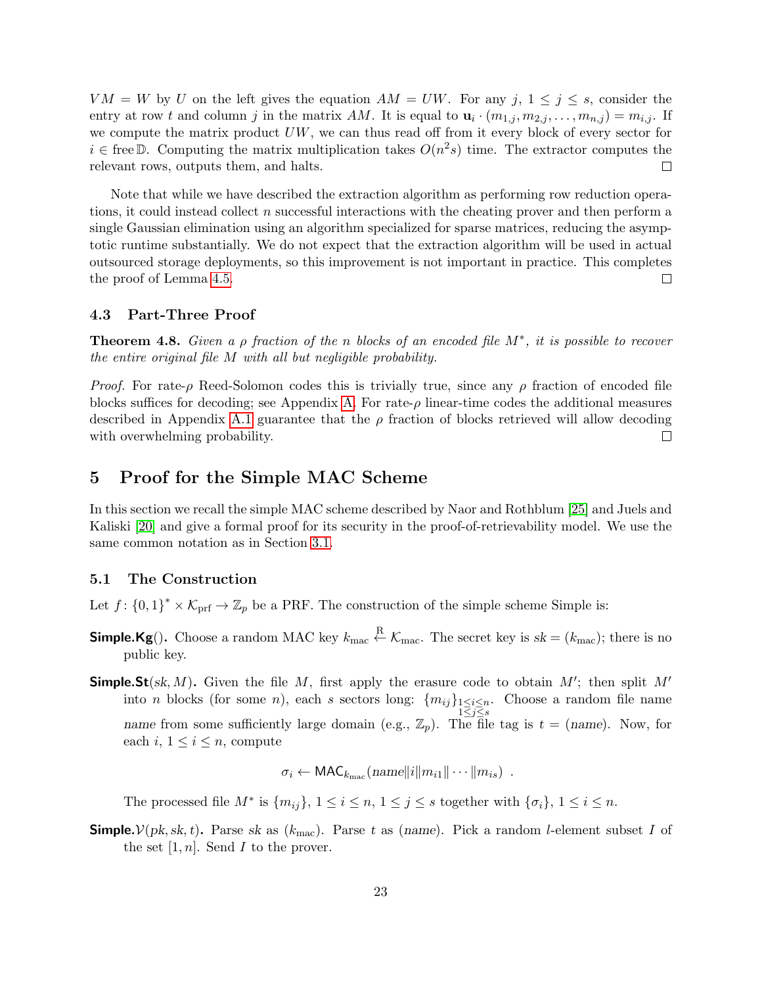$VM = W$  by U on the left gives the equation  $AM = UW$ . For any  $j, 1 \leq j \leq s$ , consider the entry at row t and column j in the matrix AM. It is equal to  $\mathbf{u}_i \cdot (m_{1,j}, m_{2,j}, \ldots, m_{n,j}) = m_{i,j}$ . If we compute the matrix product  $UW$ , we can thus read off from it every block of every sector for  $i \in \text{free } \mathbb{D}$ . Computing the matrix multiplication takes  $O(n^2s)$  time. The extractor computes the relevant rows, outputs them, and halts.  $\Box$ 

Note that while we have described the extraction algorithm as performing row reduction operations, it could instead collect n successful interactions with the cheating prover and then perform a single Gaussian elimination using an algorithm specialized for sparse matrices, reducing the asymptotic runtime substantially. We do not expect that the extraction algorithm will be used in actual outsourced storage deployments, so this improvement is not important in practice. This completes the proof of Lemma [4.5.](#page-19-0)  $\Box$ 

### 4.3 Part-Three Proof

**Theorem 4.8.** Given a  $\rho$  fraction of the n blocks of an encoded file  $M^*$ , it is possible to recover the entire original file M with all but negligible probability.

*Proof.* For rate- $\rho$  Reed-Solomon codes this is trivially true, since any  $\rho$  fraction of encoded file blocks suffices for decoding; see Appendix [A.](#page-31-6) For rate- $\rho$  linear-time codes the additional measures described in Appendix [A.1](#page-32-0) guarantee that the  $\rho$  fraction of blocks retrieved will allow decoding with overwhelming probability.  $\Box$ 

### <span id="page-22-0"></span>5 Proof for the Simple MAC Scheme

In this section we recall the simple MAC scheme described by Naor and Rothblum [\[25\]](#page-31-1) and Juels and Kaliski [\[20\]](#page-31-2) and give a formal proof for its security in the proof-of-retrievability model. We use the same common notation as in Section [3.1.](#page-9-2)

### 5.1 The Construction

Let  $f: \{0,1\}^* \times \mathcal{K}_{\text{prf}} \to \mathbb{Z}_p$  be a PRF. The construction of the simple scheme Simple is:

- **Simple.Kg**(). Choose a random MAC key  $k_{\text{mac}} \leftarrow \mathcal{K}_{\text{mac}}$ . The secret key is  $sk = (k_{\text{mac}})$ ; there is no public key.
- **Simple. St**(sk, M). Given the file M, first apply the erasure code to obtain  $M'$ ; then split M' into *n* blocks (for some *n*), each *s* sectors long:  $\{m_{ij}\}_{\substack{1 \le i \le n \\ 1 \le j \le s}}$ . Choose a random file name name from some sufficiently large domain (e.g.,  $\mathbb{Z}_p$ ). The file tag is  $t = \text{(name)}$ . Now, for each i,  $1 \leq i \leq n$ , compute

$$
\sigma_i \leftarrow \text{MAC}_{k_{\text{mac}}}(\text{name}||i||m_{i1}||\cdots||m_{is})
$$
.

The processed file  $M^*$  is  $\{m_{ij}\}, 1 \leq i \leq n, 1 \leq j \leq s$  together with  $\{\sigma_i\}, 1 \leq i \leq n$ .

**Simple.**  $V(pk, sk, t)$ . Parse sk as  $(k_{\text{mac}})$ . Parse t as (name). Pick a random *l*-element subset I of the set  $[1, n]$ . Send I to the prover.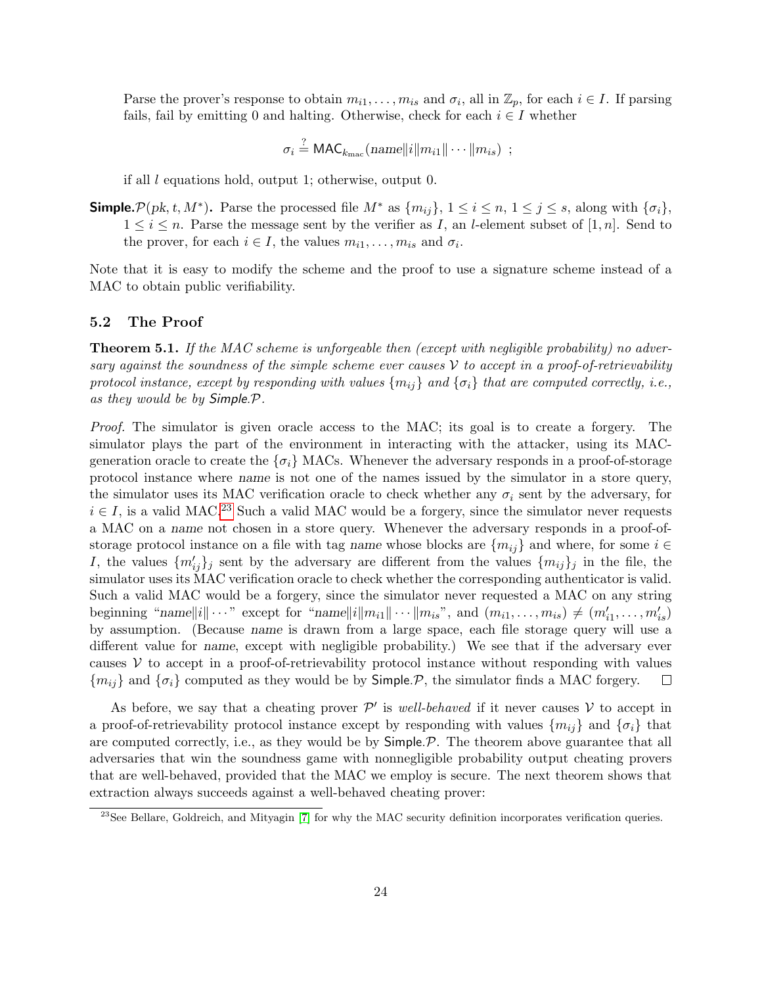Parse the prover's response to obtain  $m_{i1}, \ldots, m_{is}$  and  $\sigma_i$ , all in  $\mathbb{Z}_p$ , for each  $i \in I$ . If parsing fails, fail by emitting 0 and halting. Otherwise, check for each  $i \in I$  whether

$$
\sigma_i \stackrel{?}{=} \mathsf{MAC}_{k_{\max}}(\mathit{name}||i||m_{i1}||\cdots||m_{is}) ;
$$

if all l equations hold, output 1; otherwise, output 0.

**Simple.**  $\mathcal{P}(pk, t, M^*)$ . Parse the processed file  $M^*$  as  $\{m_{ij}\}\$ ,  $1 \leq i \leq n$ ,  $1 \leq j \leq s$ , along with  $\{\sigma_i\}\$ ,  $1 \leq i \leq n$ . Parse the message sent by the verifier as I, an l-element subset of [1, n]. Send to the prover, for each  $i \in I$ , the values  $m_{i1}, \ldots, m_{is}$  and  $\sigma_i$ .

Note that it is easy to modify the scheme and the proof to use a signature scheme instead of a MAC to obtain public verifiability.

### 5.2 The Proof

Theorem 5.1. If the MAC scheme is unforgeable then (except with negligible probability) no adversary against the soundness of the simple scheme ever causes  $\mathcal V$  to accept in a proof-of-retrievability protocol instance, except by responding with values  $\{m_{ij}\}\$  and  $\{\sigma_i\}\$  that are computed correctly, i.e., as they would be by Simple.P.

Proof. The simulator is given oracle access to the MAC; its goal is to create a forgery. The simulator plays the part of the environment in interacting with the attacker, using its MACgeneration oracle to create the  $\{\sigma_i\}$  MACs. Whenever the adversary responds in a proof-of-storage protocol instance where name is not one of the names issued by the simulator in a store query, the simulator uses its MAC verification oracle to check whether any  $\sigma_i$  sent by the adversary, for  $i \in I$ , is a valid MAC.<sup>[23](#page-23-0)</sup> Such a valid MAC would be a forgery, since the simulator never requests a MAC on a name not chosen in a store query. Whenever the adversary responds in a proof-ofstorage protocol instance on a file with tag name whose blocks are  $\{m_{ij}\}\$ and where, for some  $i \in$ I, the values  $\{m'_{ij}\}_j$  sent by the adversary are different from the values  $\{m_{ij}\}_j$  in the file, the simulator uses its MAC verification oracle to check whether the corresponding authenticator is valid. Such a valid MAC would be a forgery, since the simulator never requested a MAC on any string beginning "name $||i|| \cdots$ " except for "name $||i||m_{i1}|| \cdots ||m_{is}$ ", and  $(m_{i1}, \ldots, m_{is}) \neq (m'_{i1}, \ldots, m'_{is})$ by assumption. (Because name is drawn from a large space, each file storage query will use a different value for name, except with negligible probability.) We see that if the adversary ever causes  $V$  to accept in a proof-of-retrievability protocol instance without responding with values  ${m_{ii}}$  and  ${\sigma_i}$  computed as they would be by Simple. P, the simulator finds a MAC forgery.  $\Box$ 

As before, we say that a cheating prover  $\mathcal{P}'$  is well-behaved if it never causes V to accept in a proof-of-retrievability protocol instance except by responding with values  $\{m_{ij}\}\$  and  $\{\sigma_i\}\$  that are computed correctly, i.e., as they would be by  $\mathsf{Simple}.\mathcal{P}$ . The theorem above guarantee that all adversaries that win the soundness game with nonnegligible probability output cheating provers that are well-behaved, provided that the MAC we employ is secure. The next theorem shows that extraction always succeeds against a well-behaved cheating prover:

<span id="page-23-0"></span> $^{23}$ See Bellare, Goldreich, and Mityagin [\[7\]](#page-30-11) for why the MAC security definition incorporates verification queries.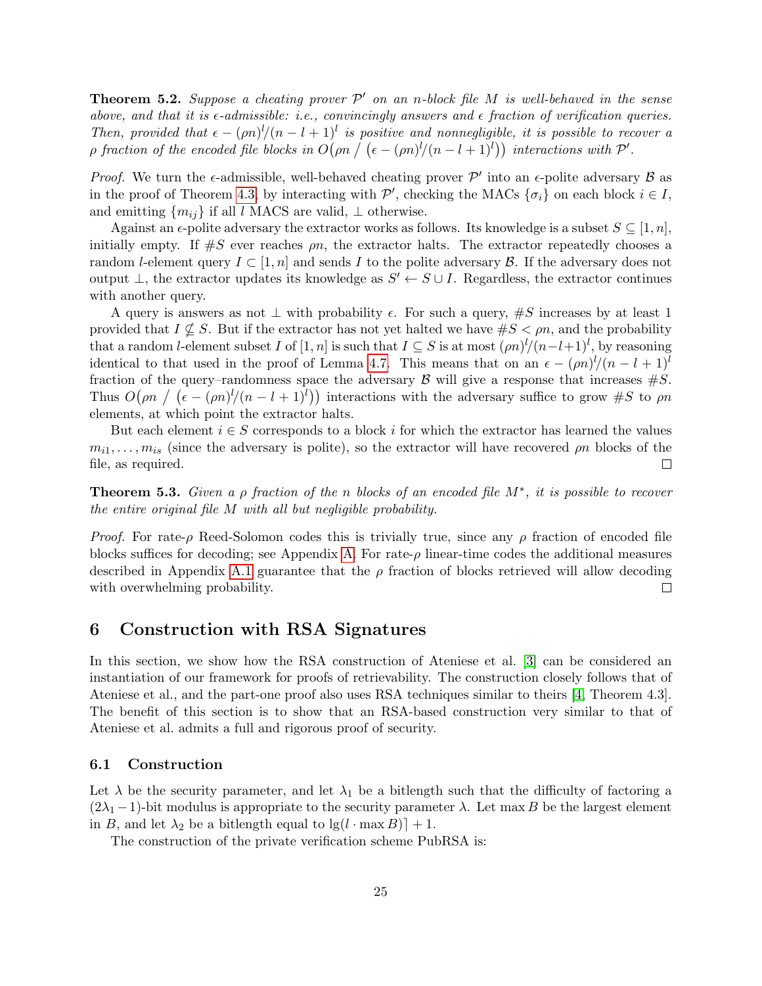**Theorem 5.2.** Suppose a cheating prover  $\mathcal{P}'$  on an n-block file M is well-behaved in the sense above, and that it is  $\epsilon$ -admissible: i.e., convincingly answers and  $\epsilon$  fraction of verification queries. Then, provided that  $\epsilon - (\rho n)^{l} / (n - l + 1)^{l}$  is positive and nonnegligible, it is possible to recover a p fraction of the encoded file blocks in  $O(pn / (\epsilon - (pn)^{l}/(n-l+1)^{l}))$  interactions with  $\mathcal{P}'$ .

*Proof.* We turn the  $\epsilon$ -admissible, well-behaved cheating prover  $\mathcal{P}'$  into an  $\epsilon$ -polite adversary  $\mathcal B$  as in the proof of Theorem [4.3,](#page-18-1) by interacting with  $\mathcal{P}'$ , checking the MACs  $\{\sigma_i\}$  on each block  $i \in I$ , and emitting  $\{m_{ij}\}\$ if all l MACS are valid,  $\perp$  otherwise.

Against an  $\epsilon$ -polite adversary the extractor works as follows. Its knowledge is a subset  $S \subseteq [1, n]$ , initially empty. If  $\#S$  ever reaches  $\rho n$ , the extractor halts. The extractor repeatedly chooses a random l-element query  $I \subset [1, n]$  and sends I to the polite adversary B. If the adversary does not output  $\bot$ , the extractor updates its knowledge as  $S' \leftarrow S \cup I$ . Regardless, the extractor continues with another query.

A query is answers as not  $\perp$  with probability  $\epsilon$ . For such a query,  $\#S$  increases by at least 1 provided that  $I \nsubseteq S$ . But if the extractor has not yet halted we have  $\#S \leq \rho n$ , and the probability that a random *l*-element subset I of  $[1, n]$  is such that  $I \subseteq S$  is at most  $(\rho n)^{l} / (n - l + 1)^{l}$ , by reasoning identical to that used in the proof of Lemma [4.7.](#page-20-0) This means that on an  $\epsilon - (\rho n)^{l} / (n - l + 1)^{l}$ fraction of the query–randomness space the adversary  $\beta$  will give a response that increases  $\#S$ . Thus  $O(pn / (\epsilon - (pn)^{l}/(n - l + 1)^{l})$  interactions with the adversary suffice to grow #S to pn elements, at which point the extractor halts.

But each element  $i \in S$  corresponds to a block i for which the extractor has learned the values  $m_{i1}, \ldots, m_{is}$  (since the adversary is polite), so the extractor will have recovered  $\rho n$  blocks of the file, as required.  $\Box$ 

**Theorem 5.3.** Given a  $\rho$  fraction of the n blocks of an encoded file  $M^*$ , it is possible to recover the entire original file M with all but negligible probability.

*Proof.* For rate- $\rho$  Reed-Solomon codes this is trivially true, since any  $\rho$  fraction of encoded file blocks suffices for decoding; see Appendix [A.](#page-31-6) For rate- $\rho$  linear-time codes the additional measures described in Appendix [A.1](#page-32-0) guarantee that the  $\rho$  fraction of blocks retrieved will allow decoding with overwhelming probability.  $\Box$ 

### <span id="page-24-0"></span>6 Construction with RSA Signatures

In this section, we show how the RSA construction of Ateniese et al. [\[3\]](#page-29-0) can be considered an instantiation of our framework for proofs of retrievability. The construction closely follows that of Ateniese et al., and the part-one proof also uses RSA techniques similar to theirs [\[4,](#page-30-8) Theorem 4.3]. The benefit of this section is to show that an RSA-based construction very similar to that of Ateniese et al. admits a full and rigorous proof of security.

#### 6.1 Construction

Let  $\lambda$  be the security parameter, and let  $\lambda_1$  be a bitlength such that the difficulty of factoring a  $(2\lambda_1 - 1)$ -bit modulus is appropriate to the security parameter  $\lambda$ . Let max B be the largest element in B, and let  $\lambda_2$  be a bitlength equal to  $\lg(l \cdot \max B)$  + 1.

The construction of the private verification scheme PubRSA is: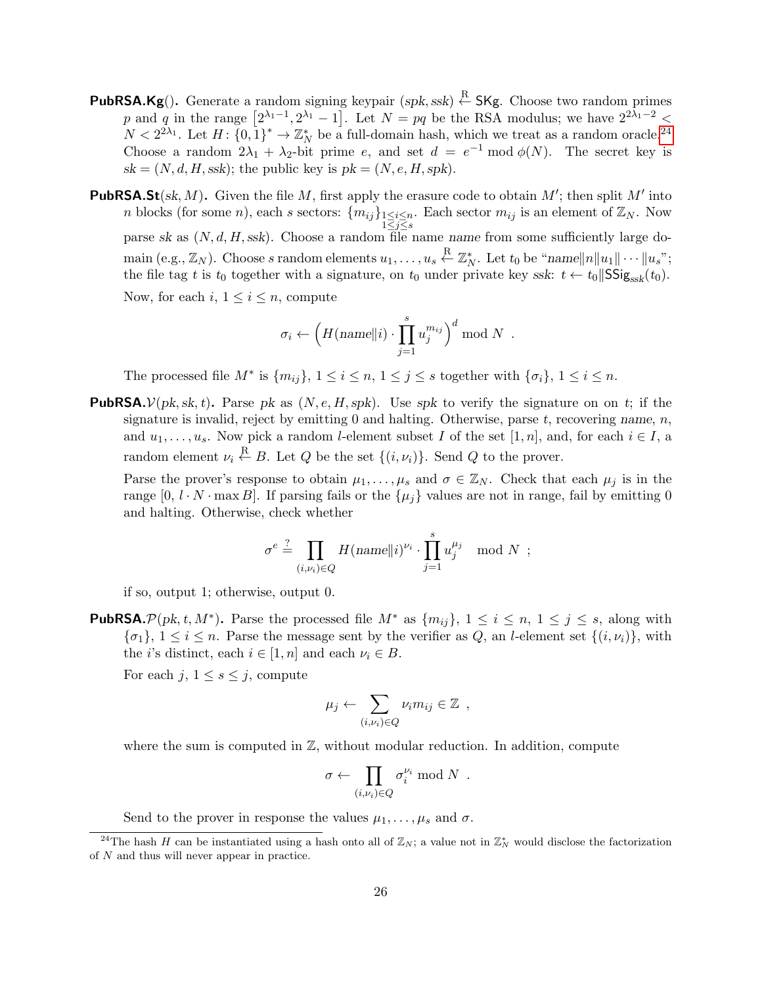- **PubRSA.Kg**(). Generate a random signing keypair  $(spk, ssk) \stackrel{R}{\leftarrow}$  SKg. Choose two random primes p and q in the range  $[2^{\lambda_1-1}, 2^{\lambda_1}-1]$ . Let  $N = pq$  be the RSA modulus; we have  $2^{2\lambda_1-2}$  <  $N < 2^{2\lambda_1}$ . Let  $H: \{0, 1\}^* \to \mathbb{Z}_N^*$  be a full-domain hash, which we treat as a random oracle.<sup>[24](#page-25-0)</sup> Choose a random  $2\lambda_1 + \lambda_2$ -bit prime e, and set  $d = e^{-1} \mod \phi(N)$ . The secret key is  $sk = (N, d, H, ssk);$  the public key is  $pk = (N, e, H, spk).$
- **PubRSA.St**(sk, M). Given the file M, first apply the erasure code to obtain  $M'$ ; then split M' into *n* blocks (for some *n*), each s sectors:  $\{m_{ij}\}_{1 \le i \le n}$ . Each sector  $m_{ij}$  is an element of  $\mathbb{Z}_N$ . Now 1≤j≤s parse sk as  $(N, d, H, ssk)$ . Choose a random file name name from some sufficiently large domain (e.g.,  $\mathbb{Z}_N$ ). Choose s random elements  $u_1, \ldots, u_s \stackrel{R}{\leftarrow} \mathbb{Z}_N^*$ . Let  $t_0$  be "name $||n||u_1|| \cdots ||u_s"$ ; the file tag t is  $t_0$  together with a signature, on  $t_0$  under private key ssk:  $t \leftarrow t_0 \|\mathsf{SSig}_{ssk}(t_0)$ . Now, for each  $i, 1 \leq i \leq n$ , compute

$$
\sigma_i \leftarrow \left( H(\text{name}||i) \cdot \prod_{j=1}^s u_j^{m_{ij}} \right)^d \mod N.
$$

The processed file  $M^*$  is  $\{m_{ij}\}, 1 \leq i \leq n, 1 \leq j \leq s$  together with  $\{\sigma_i\}, 1 \leq i \leq n$ .

**PubRSA.** $V$ (*pk, sk, t*). Parse *pk* as  $(N, e, H, sph)$ . Use *spk* to verify the signature on on t; if the signature is invalid, reject by emitting 0 and halting. Otherwise, parse t, recovering name,  $n$ , and  $u_1, \ldots, u_s$ . Now pick a random *l*-element subset I of the set [1, n], and, for each  $i \in I$ , a random element  $\nu_i \stackrel{\text{R}}{\leftarrow} B$ . Let  $Q$  be the set  $\{(i, \nu_i)\}$ . Send  $Q$  to the prover.

Parse the prover's response to obtain  $\mu_1, \ldots, \mu_s$  and  $\sigma \in \mathbb{Z}_N$ . Check that each  $\mu_j$  is in the range  $[0, l \cdot N \cdot \max B]$ . If parsing fails or the  $\{\mu_i\}$  values are not in range, fail by emitting 0 and halting. Otherwise, check whether

$$
\sigma^e \stackrel{?}{=} \prod_{(i,\nu_i) \in Q} H(\text{name}||i)^{\nu_i} \cdot \prod_{j=1}^s u_j^{\mu_j} \mod N ;
$$

if so, output 1; otherwise, output 0.

**PubRSA.** $\mathcal{P}(pk, t, M^*)$ . Parse the processed file  $M^*$  as  $\{m_{ij}\}\$ ,  $1 \leq i \leq n, 1 \leq j \leq s$ , along with  $\{\sigma_1\}, 1 \leq i \leq n$ . Parse the message sent by the verifier as Q, an l-element set  $\{(i, \nu_i)\}\$ , with the *i*'s distinct, each  $i \in [1, n]$  and each  $\nu_i \in B$ .

For each  $j, 1 \leq s \leq j$ , compute

$$
\mu_j \leftarrow \sum_{(i,\nu_i)\in Q} \nu_i m_{ij} \in \mathbb{Z} ,
$$

where the sum is computed in  $\mathbb{Z}$ , without modular reduction. In addition, compute

$$
\sigma \leftarrow \prod_{(i,\nu_i)\in Q} \sigma_i^{\nu_i} \bmod N .
$$

Send to the prover in response the values  $\mu_1, \ldots, \mu_s$  and  $\sigma$ .

<span id="page-25-0"></span><sup>&</sup>lt;sup>24</sup>The hash H can be instantiated using a hash onto all of  $\mathbb{Z}_N$ ; a value not in  $\mathbb{Z}_N^*$  would disclose the factorization of N and thus will never appear in practice.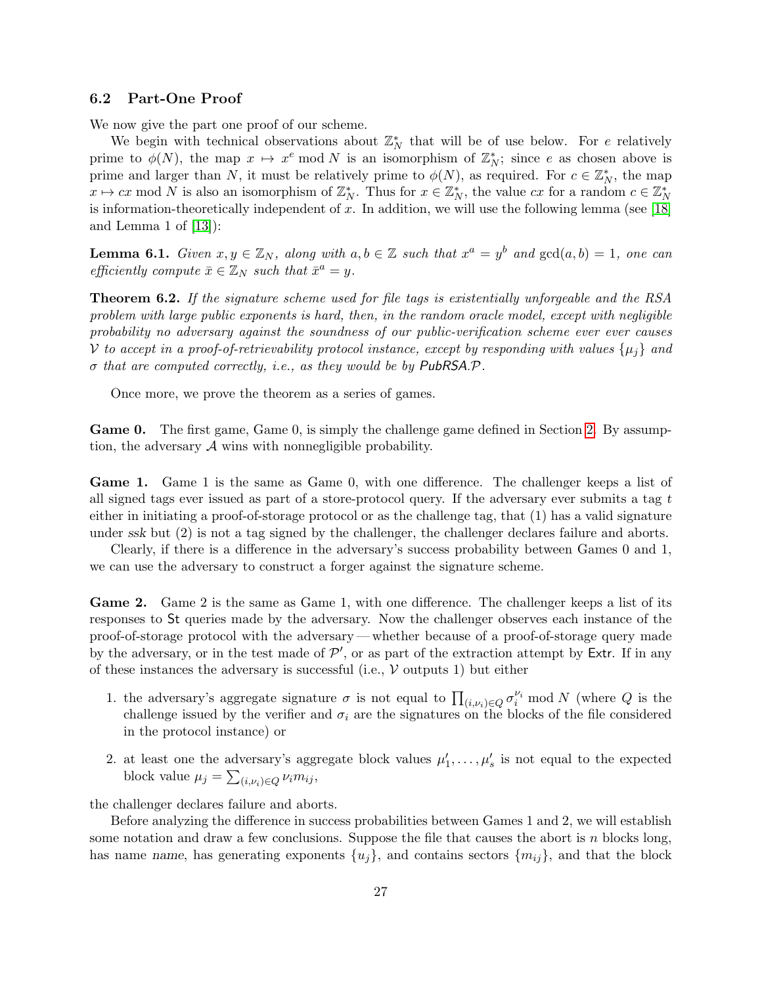#### 6.2 Part-One Proof

We now give the part one proof of our scheme.

We begin with technical observations about  $\mathbb{Z}_N^*$  that will be of use below. For e relatively prime to  $\phi(N)$ , the map  $x \mapsto x^e \mod N$  is an isomorphism of  $\mathbb{Z}_N^*$ ; since e as chosen above is prime and larger than N, it must be relatively prime to  $\phi(N)$ , as required. For  $c \in \mathbb{Z}_N^*$ , the map  $x \mapsto cx \mod N$  is also an isomorphism of  $\mathbb{Z}_N^*$ . Thus for  $x \in \mathbb{Z}_N^*$ , the value  $cx$  for a random  $c \in \mathbb{Z}_N^*$ is information-theoretically independent of x. In addition, we will use the following lemma (see [\[18\]](#page-30-12) and Lemma 1 of [\[13\]](#page-30-13)):

<span id="page-26-0"></span>**Lemma 6.1.** Given  $x, y \in \mathbb{Z}_N$ , along with  $a, b \in \mathbb{Z}$  such that  $x^a = y^b$  and  $gcd(a, b) = 1$ , one can efficiently compute  $\bar{x} \in \mathbb{Z}_N$  such that  $\bar{x}^a = y$ .

<span id="page-26-1"></span>Theorem 6.2. If the signature scheme used for file tags is existentially unforgeable and the RSA problem with large public exponents is hard, then, in the random oracle model, except with negligible probability no adversary against the soundness of our public-verification scheme ever ever causes V to accept in a proof-of-retrievability protocol instance, except by responding with values  $\{\mu_i\}$  and  $\sigma$  that are computed correctly, i.e., as they would be by PubRSA.  $\mathcal{P}$ .

Once more, we prove the theorem as a series of games.

Game 0. The first game, Game 0, is simply the challenge game defined in Section [2.](#page-6-0) By assumption, the adversary A wins with nonnegligible probability.

Game 1. Game 1 is the same as Game 0, with one difference. The challenger keeps a list of all signed tags ever issued as part of a store-protocol query. If the adversary ever submits a tag t either in initiating a proof-of-storage protocol or as the challenge tag, that (1) has a valid signature under ssk but (2) is not a tag signed by the challenger, the challenger declares failure and aborts.

Clearly, if there is a difference in the adversary's success probability between Games 0 and 1, we can use the adversary to construct a forger against the signature scheme.

Game 2. Game 2 is the same as Game 1, with one difference. The challenger keeps a list of its responses to St queries made by the adversary. Now the challenger observes each instance of the proof-of-storage protocol with the adversary — whether because of a proof-of-storage query made by the adversary, or in the test made of  $\mathcal{P}'$ , or as part of the extraction attempt by Extr. If in any of these instances the adversary is successful (i.e.,  $\mathcal V$  outputs 1) but either

- 1. the adversary's aggregate signature  $\sigma$  is not equal to  $\prod_{(i,\nu_i)\in Q} \sigma_i^{\nu_i}$  mod N (where Q is the challenge issued by the verifier and  $\sigma_i$  are the signatures on the blocks of the file considered in the protocol instance) or
- 2. at least one the adversary's aggregate block values  $\mu'_1, \ldots, \mu'_s$  is not equal to the expected block value  $\mu_j = \sum_{(i,\nu_i)\in Q} \nu_i m_{ij},$

the challenger declares failure and aborts.

Before analyzing the difference in success probabilities between Games 1 and 2, we will establish some notation and draw a few conclusions. Suppose the file that causes the abort is  $n$  blocks long, has name name, has generating exponents  $\{u_j\}$ , and contains sectors  $\{m_{ij}\}$ , and that the block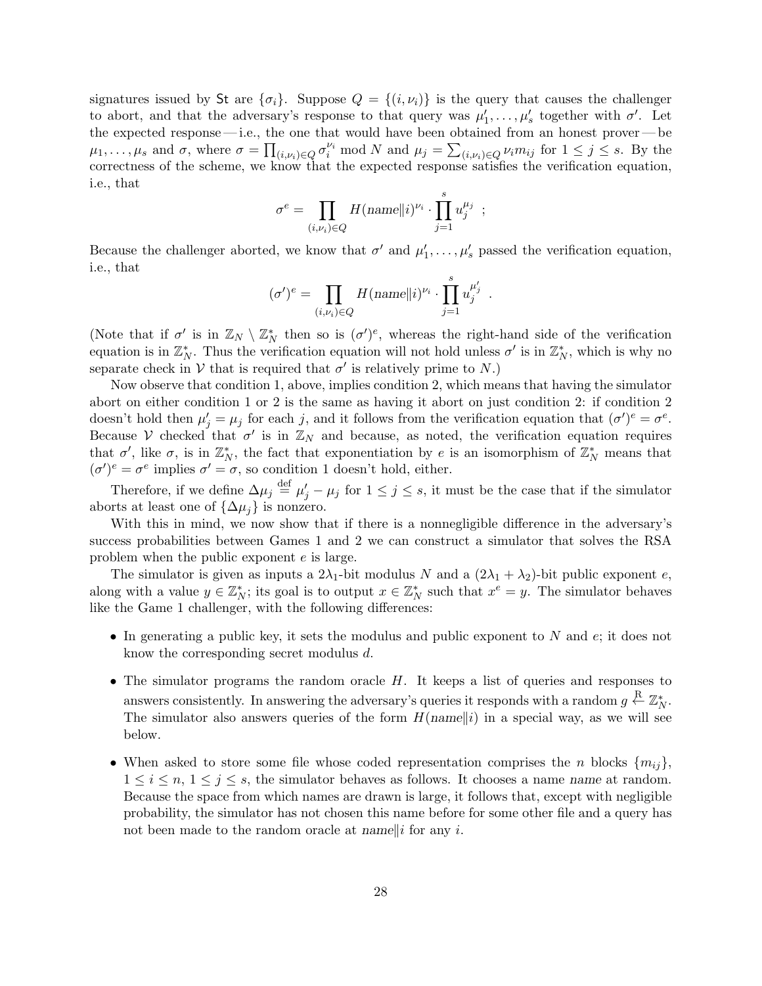signatures issued by St are  $\{\sigma_i\}$ . Suppose  $Q = \{(i, \nu_i)\}\$ is the query that causes the challenger to abort, and that the adversary's response to that query was  $\mu'_1, \ldots, \mu'_s$  together with  $\sigma'$ . Let the expected response — i.e., the one that would have been obtained from an honest prover — be  $\mu_1,\ldots,\mu_s$  and  $\sigma$ , where  $\sigma = \prod_{(i,\nu_i)\in Q} \sigma_i^{\nu_i}$  mod N and  $\mu_j = \sum_{(i,\nu_i)\in Q} \nu_i m_{ij}$  for  $1 \leq j \leq s$ . By the correctness of the scheme, we know that the expected response satisfies the verification equation, i.e., that

$$
\sigma^{e} = \prod_{(i,\nu_i)\in Q} H(\text{name}||i)^{\nu_i} \cdot \prod_{j=1}^{s} u_j^{\mu_j} ;
$$

Because the challenger aborted, we know that  $\sigma'$  and  $\mu'_1, \ldots, \mu'_s$  passed the verification equation, i.e., that

$$
(\sigma')^e = \prod_{(i,\nu_i)\in Q} H(\text{name}||i)^{\nu_i} \cdot \prod_{j=1}^s u_j^{\mu'_j}
$$

.

(Note that if  $\sigma'$  is in  $\mathbb{Z}_N \setminus \mathbb{Z}_N^*$  then so is  $(\sigma')^e$ , whereas the right-hand side of the verification equation is in  $\mathbb{Z}_N^*$ . Thus the verification equation will not hold unless  $\sigma'$  is in  $\mathbb{Z}_N^*$ , which is why no separate check in  $V$  that is required that  $\sigma'$  is relatively prime to N.)

Now observe that condition 1, above, implies condition 2, which means that having the simulator abort on either condition 1 or 2 is the same as having it abort on just condition 2: if condition 2 doesn't hold then  $\mu'_j = \mu_j$  for each j, and it follows from the verification equation that  $(\sigma')^e = \sigma^e$ . Because V checked that  $\sigma'$  is in  $\mathbb{Z}_N$  and because, as noted, the verification equation requires that  $\sigma'$ , like  $\sigma$ , is in  $\mathbb{Z}_N^*$ , the fact that exponentiation by e is an isomorphism of  $\mathbb{Z}_N^*$  means that  $(\sigma')^e = \sigma^e$  implies  $\sigma' = \sigma$ , so condition 1 doesn't hold, either.

Therefore, if we define  $\Delta \mu_j \stackrel{\text{def}}{=} \mu'_j - \mu_j$  for  $1 \leq j \leq s$ , it must be the case that if the simulator aborts at least one of  $\{\Delta \mu_i\}$  is nonzero.

With this in mind, we now show that if there is a nonnegligible difference in the adversary's success probabilities between Games 1 and 2 we can construct a simulator that solves the RSA problem when the public exponent e is large.

The simulator is given as inputs a  $2\lambda_1$ -bit modulus N and a  $(2\lambda_1 + \lambda_2)$ -bit public exponent e, along with a value  $y \in \mathbb{Z}_N^*$ ; its goal is to output  $x \in \mathbb{Z}_N^*$  such that  $x^e = y$ . The simulator behaves like the Game 1 challenger, with the following differences:

- In generating a public key, it sets the modulus and public exponent to  $N$  and  $e$ ; it does not know the corresponding secret modulus d.
- $\bullet$  The simulator programs the random oracle  $H$ . It keeps a list of queries and responses to answers consistently. In answering the adversary's queries it responds with a random  $g \stackrel{R}{\leftarrow} \mathbb{Z}_N^*$ . The simulator also answers queries of the form  $H(name||i)$  in a special way, as we will see below.
- When asked to store some file whose coded representation comprises the n blocks  $\{m_{ij}\},$  $1 \leq i \leq n, 1 \leq j \leq s$ , the simulator behaves as follows. It chooses a name name at random. Because the space from which names are drawn is large, it follows that, except with negligible probability, the simulator has not chosen this name before for some other file and a query has not been made to the random oracle at namelli for any i.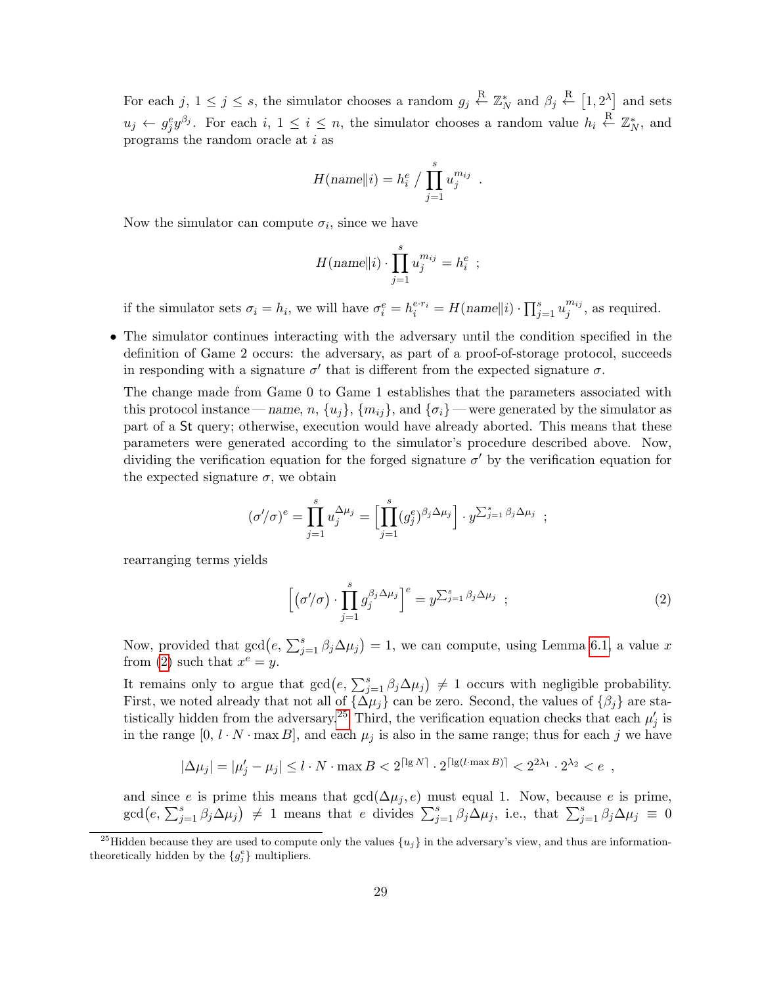For each  $j, 1 \leq j \leq s$ , the simulator chooses a random  $g_j \stackrel{\text{R}}{\leftarrow} \mathbb{Z}_N^*$  and  $\beta_j \stackrel{\text{R}}{\leftarrow} [1, 2^{\lambda}]$  and sets  $u_j \leftarrow g_j^e y^{\beta_j}$ . For each  $i, 1 \leq i \leq n$ , the simulator chooses a random value  $h_i \stackrel{\text{R}}{\leftarrow} \mathbb{Z}_N^*$ , and programs the random oracle at i as

$$
H(\text{name}||i) = h_i^e / \prod_{j=1}^s u_j^{m_{ij}}.
$$

Now the simulator can compute  $\sigma_i$ , since we have

$$
H(\text{name}||i) \cdot \prod_{j=1}^{s} u_j^{m_{ij}} = h_i^e ;
$$

if the simulator sets  $\sigma_i = h_i$ , we will have  $\sigma_i^e = h_i^{e \cdot r_i} = H(\text{name}||i) \cdot \prod_{j=1}^s u_j^{m_{ij}}$  $j^{m_{ij}}$ , as required.

• The simulator continues interacting with the adversary until the condition specified in the definition of Game 2 occurs: the adversary, as part of a proof-of-storage protocol, succeeds in responding with a signature  $\sigma'$  that is different from the expected signature  $\sigma$ .

The change made from Game 0 to Game 1 establishes that the parameters associated with this protocol instance — name, n,  $\{u_i\}$ ,  $\{m_{ij}\}$ , and  $\{\sigma_i\}$  — were generated by the simulator as part of a St query; otherwise, execution would have already aborted. This means that these parameters were generated according to the simulator's procedure described above. Now, dividing the verification equation for the forged signature  $\sigma'$  by the verification equation for the expected signature  $\sigma$ , we obtain

$$
(\sigma'/\sigma)^e = \prod_{j=1}^s u_j^{\Delta \mu_j} = \left[ \prod_{j=1}^s (g_j^e)^{\beta_j \Delta \mu_j} \right] \cdot y^{\sum_{j=1}^s \beta_j \Delta \mu_j} ;
$$

rearranging terms yields

<span id="page-28-0"></span>
$$
\[ \left( \sigma' / \sigma \right) \cdot \prod_{j=1}^{s} g_j^{\beta_j \Delta \mu_j} \right]^e = y^{\sum_{j=1}^{s} \beta_j \Delta \mu_j} ; \tag{2}
$$

Now, provided that  $gcd(e, \sum_{j=1}^s \beta_j \Delta \mu_j) = 1$ , we can compute, using Lemma [6.1,](#page-26-0) a value x from [\(2\)](#page-28-0) such that  $x^e = y$ .

It remains only to argue that  $gcd(e, \sum_{j=1}^s \beta_j \Delta \mu_j) \neq 1$  occurs with negligible probability. First, we noted already that not all of  $\{\Delta \mu_j\}$  can be zero. Second, the values of  $\{\beta_j\}$  are sta-tistically hidden from the adversary.<sup>[25](#page-28-1)</sup> Third, the verification equation checks that each  $\mu'_j$  is in the range  $[0, l \cdot N \cdot \max B]$ , and each  $\mu_j$  is also in the same range; thus for each j we have

$$
|\Delta \mu_j| = |\mu'_j - \mu_j| \le l \cdot N \cdot \max B < 2^{\lceil \lg N \rceil} \cdot 2^{\lceil \lg(l \cdot \max B) \rceil} < 2^{2\lambda_1} \cdot 2^{\lambda_2} < e \enspace ,
$$

and since e is prime this means that  $gcd(\Delta \mu_j, e)$  must equal 1. Now, because e is prime,  $gcd(e, \sum_{j=1}^s \beta_j \Delta \mu_j) \neq 1$  means that e divides  $\sum_{j=1}^s \beta_j \Delta \mu_j$ , i.e., that  $\sum_{j=1}^s \beta_j \Delta \mu_j \equiv 0$ 

<span id="page-28-1"></span><sup>&</sup>lt;sup>25</sup>Hidden because they are used to compute only the values  $\{u_j\}$  in the adversary's view, and thus are informationtheoretically hidden by the  $\{g_j^e\}$  multipliers.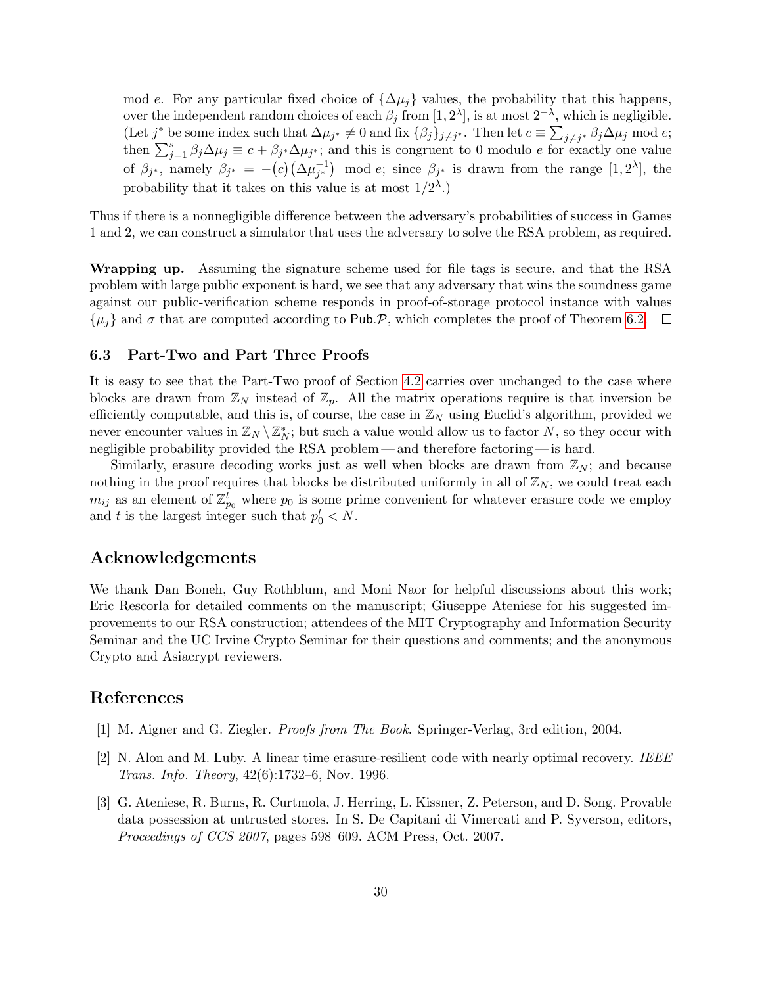mod e. For any particular fixed choice of  $\{\Delta \mu_i\}$  values, the probability that this happens, over the independent random choices of each  $\beta_j$  from  $[1, 2^{\lambda}]$ , is at most  $2^{-\lambda}$ , which is negligible. (Let j<sup>\*</sup> be some index such that  $\Delta \mu_{j^*} \neq 0$  and fix  $\{\beta_j\}_{j \neq j^*}$ . Then let  $c \equiv \sum_{j \neq j^*} \beta_j \Delta \mu_j$  mod  $e$ ; then  $\sum_{j=1}^{s} \beta_j \Delta \mu_j \equiv c + \beta_{j^*} \Delta \mu_{j^*}$ ; and this is congruent to 0 modulo e for exactly one value of  $\beta_{j^*}$ , namely  $\beta_{j^*} = -(c)(\Delta \mu_{j^*}^{-1})$  mod e; since  $\beta_{j^*}$  is drawn from the range  $[1, 2^{\lambda}]$ , the probability that it takes on this value is at most  $1/2^{\lambda}$ .)

Thus if there is a nonnegligible difference between the adversary's probabilities of success in Games 1 and 2, we can construct a simulator that uses the adversary to solve the RSA problem, as required.

Wrapping up. Assuming the signature scheme used for file tags is secure, and that the RSA problem with large public exponent is hard, we see that any adversary that wins the soundness game against our public-verification scheme responds in proof-of-storage protocol instance with values  $\{\mu_j\}$  and  $\sigma$  that are computed according to Pub. P, which completes the proof of Theorem [6.2.](#page-26-1)  $\Box$ 

### 6.3 Part-Two and Part Three Proofs

It is easy to see that the Part-Two proof of Section [4.2](#page-18-0) carries over unchanged to the case where blocks are drawn from  $\mathbb{Z}_N$  instead of  $\mathbb{Z}_p$ . All the matrix operations require is that inversion be efficiently computable, and this is, of course, the case in  $\mathbb{Z}_N$  using Euclid's algorithm, provided we never encounter values in  $\mathbb{Z}_N \setminus \mathbb{Z}_N^*$ ; but such a value would allow us to factor N, so they occur with negligible probability provided the RSA problem — and therefore factoring — is hard.

Similarly, erasure decoding works just as well when blocks are drawn from  $\mathbb{Z}_N$ ; and because nothing in the proof requires that blocks be distributed uniformly in all of  $\mathbb{Z}_N$ , we could treat each  $m_{ij}$  as an element of  $\mathbb{Z}_{p_0}^t$  where  $p_0$  is some prime convenient for whatever erasure code we employ and t is the largest integer such that  $p_0^t < N$ .

### Acknowledgements

We thank Dan Boneh, Guy Rothblum, and Moni Naor for helpful discussions about this work; Eric Rescorla for detailed comments on the manuscript; Giuseppe Ateniese for his suggested improvements to our RSA construction; attendees of the MIT Cryptography and Information Security Seminar and the UC Irvine Crypto Seminar for their questions and comments; and the anonymous Crypto and Asiacrypt reviewers.

# References

- <span id="page-29-2"></span>[1] M. Aigner and G. Ziegler. Proofs from The Book. Springer-Verlag, 3rd edition, 2004.
- <span id="page-29-1"></span>[2] N. Alon and M. Luby. A linear time erasure-resilient code with nearly optimal recovery. IEEE Trans. Info. Theory, 42(6):1732–6, Nov. 1996.
- <span id="page-29-0"></span>[3] G. Ateniese, R. Burns, R. Curtmola, J. Herring, L. Kissner, Z. Peterson, and D. Song. Provable data possession at untrusted stores. In S. De Capitani di Vimercati and P. Syverson, editors, Proceedings of CCS 2007, pages 598–609. ACM Press, Oct. 2007.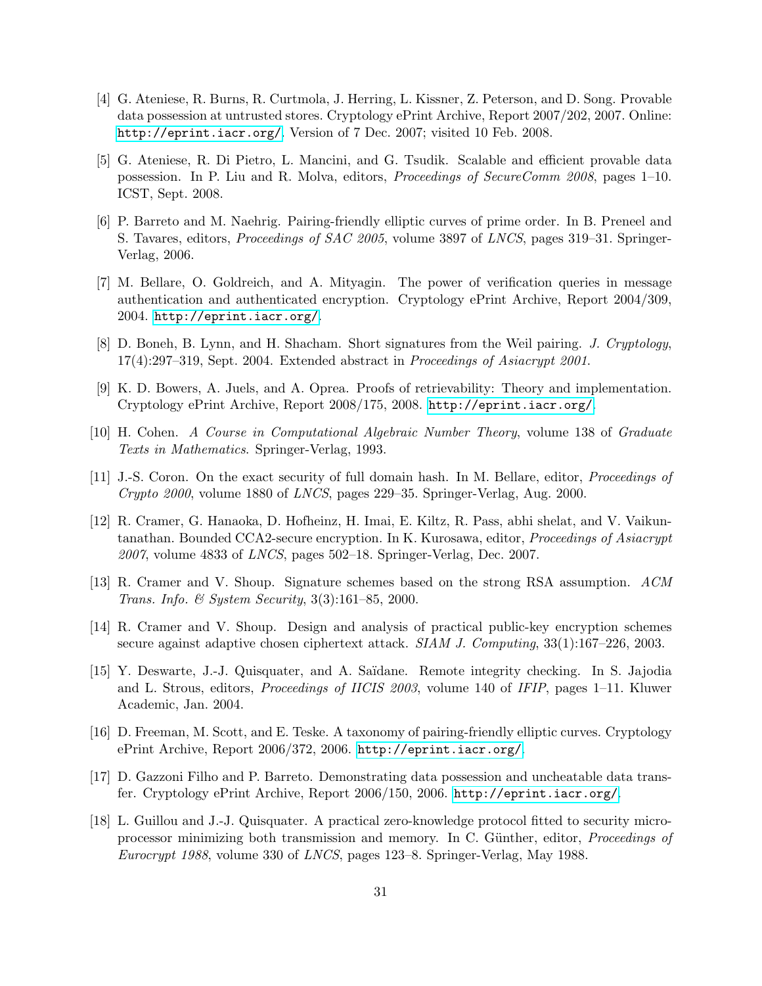- <span id="page-30-8"></span>[4] G. Ateniese, R. Burns, R. Curtmola, J. Herring, L. Kissner, Z. Peterson, and D. Song. Provable data possession at untrusted stores. Cryptology ePrint Archive, Report 2007/202, 2007. Online: <http://eprint.iacr.org/>. Version of 7 Dec. 2007; visited 10 Feb. 2008.
- <span id="page-30-3"></span>[5] G. Ateniese, R. Di Pietro, L. Mancini, and G. Tsudik. Scalable and efficient provable data possession. In P. Liu and R. Molva, editors, Proceedings of SecureComm 2008, pages 1–10. ICST, Sept. 2008.
- <span id="page-30-5"></span>[6] P. Barreto and M. Naehrig. Pairing-friendly elliptic curves of prime order. In B. Preneel and S. Tavares, editors, Proceedings of SAC 2005, volume 3897 of LNCS, pages 319–31. Springer-Verlag, 2006.
- <span id="page-30-11"></span>[7] M. Bellare, O. Goldreich, and A. Mityagin. The power of verification queries in message authentication and authenticated encryption. Cryptology ePrint Archive, Report 2004/309, 2004. <http://eprint.iacr.org/>.
- <span id="page-30-4"></span>[8] D. Boneh, B. Lynn, and H. Shacham. Short signatures from the Weil pairing. J. Cryptology, 17(4):297–319, Sept. 2004. Extended abstract in Proceedings of Asiacrypt 2001.
- <span id="page-30-7"></span>[9] K. D. Bowers, A. Juels, and A. Oprea. Proofs of retrievability: Theory and implementation. Cryptology ePrint Archive, Report 2008/175, 2008. <http://eprint.iacr.org/>.
- <span id="page-30-10"></span>[10] H. Cohen. A Course in Computational Algebraic Number Theory, volume 138 of Graduate Texts in Mathematics. Springer-Verlag, 1993.
- <span id="page-30-14"></span>[11] J.-S. Coron. On the exact security of full domain hash. In M. Bellare, editor, Proceedings of Crypto 2000, volume 1880 of LNCS, pages 229–35. Springer-Verlag, Aug. 2000.
- <span id="page-30-2"></span>[12] R. Cramer, G. Hanaoka, D. Hofheinz, H. Imai, E. Kiltz, R. Pass, abhi shelat, and V. Vaikuntanathan. Bounded CCA2-secure encryption. In K. Kurosawa, editor, Proceedings of Asiacrypt  $2007$ , volume 4833 of *LNCS*, pages 502–18. Springer-Verlag, Dec. 2007.
- <span id="page-30-13"></span>[13] R. Cramer and V. Shoup. Signature schemes based on the strong RSA assumption. ACM Trans. Info. & System Security, 3(3):161–85, 2000.
- <span id="page-30-9"></span>[14] R. Cramer and V. Shoup. Design and analysis of practical public-key encryption schemes secure against adaptive chosen ciphertext attack. SIAM J. Computing, 33(1):167–226, 2003.
- <span id="page-30-0"></span>[15] Y. Deswarte, J.-J. Quisquater, and A. Saïdane. Remote integrity checking. In S. Jajodia and L. Strous, editors, Proceedings of IICIS 2003, volume 140 of IFIP, pages 1–11. Kluwer Academic, Jan. 2004.
- <span id="page-30-6"></span>[16] D. Freeman, M. Scott, and E. Teske. A taxonomy of pairing-friendly elliptic curves. Cryptology ePrint Archive, Report 2006/372, 2006. <http://eprint.iacr.org/>.
- <span id="page-30-1"></span>[17] D. Gazzoni Filho and P. Barreto. Demonstrating data possession and uncheatable data transfer. Cryptology ePrint Archive, Report 2006/150, 2006. <http://eprint.iacr.org/>.
- <span id="page-30-12"></span>[18] L. Guillou and J.-J. Quisquater. A practical zero-knowledge protocol fitted to security microprocessor minimizing both transmission and memory. In C. Günther, editor, *Proceedings of* Eurocrypt 1988, volume 330 of LNCS, pages 123–8. Springer-Verlag, May 1988.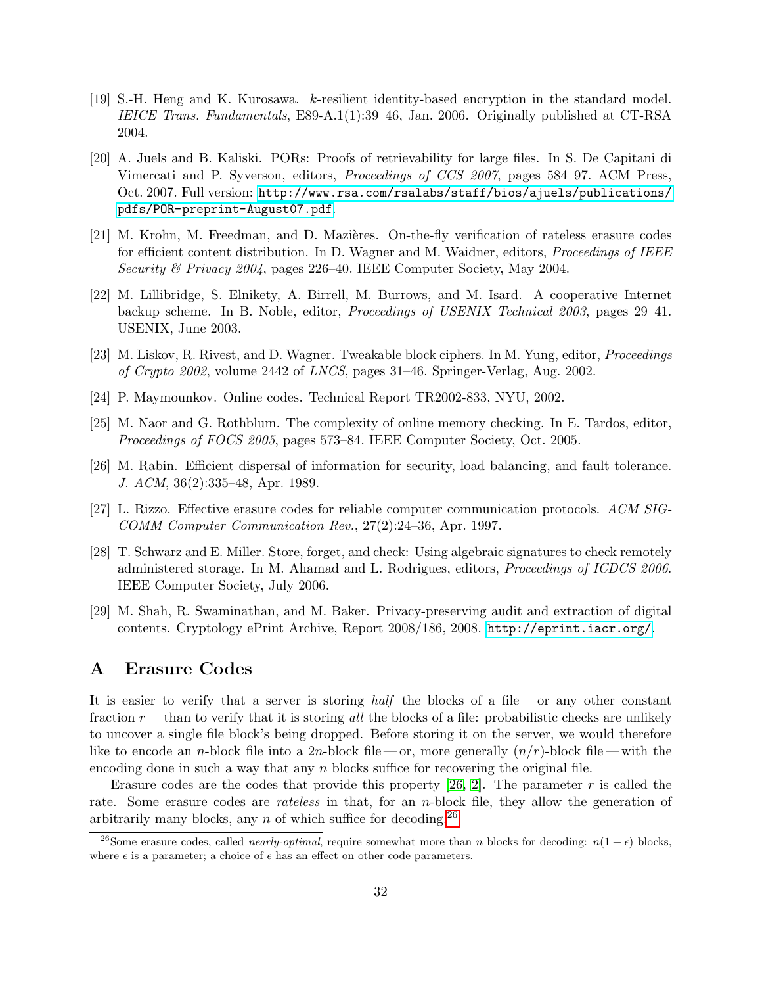- <span id="page-31-4"></span>[19] S.-H. Heng and K. Kurosawa. k-resilient identity-based encryption in the standard model. IEICE Trans. Fundamentals, E89-A.1(1):39–46, Jan. 2006. Originally published at CT-RSA 2004.
- <span id="page-31-2"></span>[20] A. Juels and B. Kaliski. PORs: Proofs of retrievability for large files. In S. De Capitani di Vimercati and P. Syverson, editors, Proceedings of CCS 2007, pages 584–97. ACM Press, Oct. 2007. Full version: [http://www.rsa.com/rsalabs/staff/bios/ajuels/publications/](http://www.rsa.com/rsalabs/staff/bios/ajuels/publications/pdfs/POR-preprint-August07.pdf) [pdfs/POR-preprint-August07.pdf](http://www.rsa.com/rsalabs/staff/bios/ajuels/publications/pdfs/POR-preprint-August07.pdf).
- <span id="page-31-11"></span>[21] M. Krohn, M. Freedman, and D. Mazières. On-the-fly verification of rateless erasure codes for efficient content distribution. In D. Wagner and M. Waidner, editors, *Proceedings of IEEE* Security & Privacy 2004, pages 226–40. IEEE Computer Society, May 2004.
- <span id="page-31-3"></span>[22] M. Lillibridge, S. Elnikety, A. Birrell, M. Burrows, and M. Isard. A cooperative Internet backup scheme. In B. Noble, editor, Proceedings of USENIX Technical 2003, pages 29–41. USENIX, June 2003.
- <span id="page-31-12"></span>[23] M. Liskov, R. Rivest, and D. Wagner. Tweakable block ciphers. In M. Yung, editor, Proceedings of Crypto 2002, volume 2442 of LNCS, pages 31–46. Springer-Verlag, Aug. 2002.
- <span id="page-31-10"></span>[24] P. Maymounkov. Online codes. Technical Report TR2002-833, NYU, 2002.
- <span id="page-31-1"></span>[25] M. Naor and G. Rothblum. The complexity of online memory checking. In E. Tardos, editor, Proceedings of FOCS 2005, pages 573–84. IEEE Computer Society, Oct. 2005.
- <span id="page-31-7"></span>[26] M. Rabin. Efficient dispersal of information for security, load balancing, and fault tolerance. J. ACM, 36(2):335–48, Apr. 1989.
- <span id="page-31-9"></span>[27] L. Rizzo. Effective erasure codes for reliable computer communication protocols. ACM SIG-COMM Computer Communication Rev., 27(2):24–36, Apr. 1997.
- <span id="page-31-0"></span>[28] T. Schwarz and E. Miller. Store, forget, and check: Using algebraic signatures to check remotely administered storage. In M. Ahamad and L. Rodrigues, editors, Proceedings of ICDCS 2006. IEEE Computer Society, July 2006.
- <span id="page-31-5"></span>[29] M. Shah, R. Swaminathan, and M. Baker. Privacy-preserving audit and extraction of digital contents. Cryptology ePrint Archive, Report 2008/186, 2008. <http://eprint.iacr.org/>.

### <span id="page-31-6"></span>A Erasure Codes

It is easier to verify that a server is storing *half* the blocks of a file — or any other constant fraction  $r$ —than to verify that it is storing all the blocks of a file: probabilistic checks are unlikely to uncover a single file block's being dropped. Before storing it on the server, we would therefore like to encode an *n*-block file into a 2*n*-block file — or, more generally  $(n/r)$ -block file — with the encoding done in such a way that any  $n$  blocks suffice for recovering the original file.

Erasure codes are the codes that provide this property  $[26, 2]$  $[26, 2]$ . The parameter r is called the rate. Some erasure codes are *rateless* in that, for an *n*-block file, they allow the generation of arbitrarily many blocks, any n of which suffice for decoding.<sup>[26](#page-31-8)</sup>

<span id="page-31-8"></span><sup>&</sup>lt;sup>26</sup>Some erasure codes, called *nearly-optimal*, require somewhat more than *n* blocks for decoding:  $n(1 + \epsilon)$  blocks, where  $\epsilon$  is a parameter; a choice of  $\epsilon$  has an effect on other code parameters.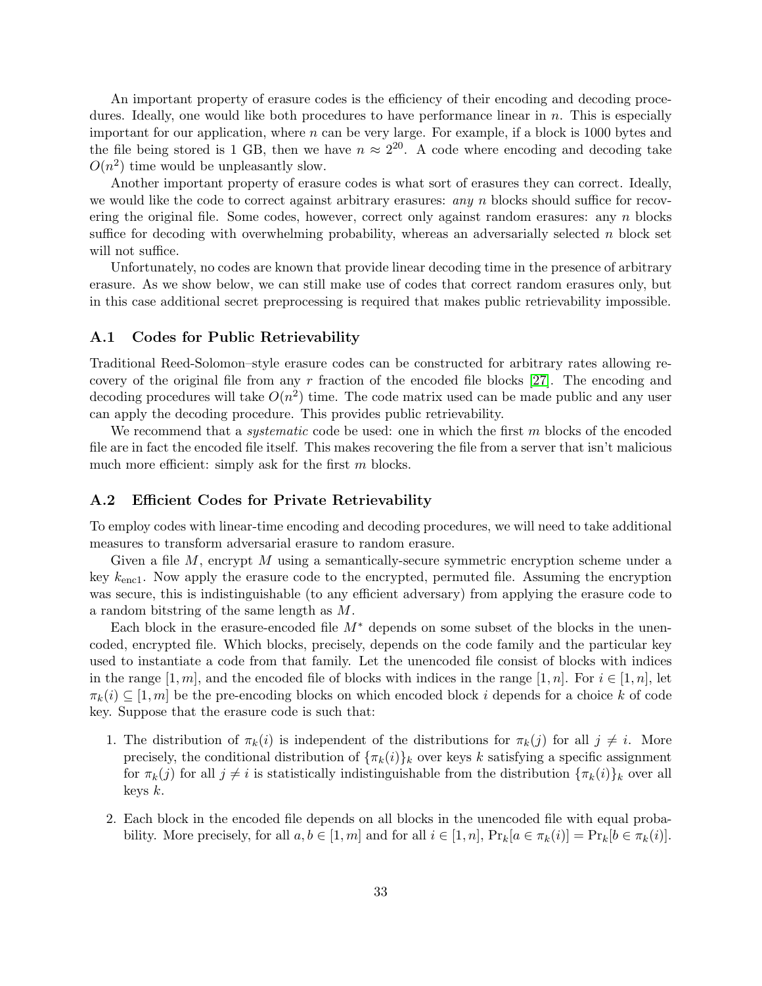An important property of erasure codes is the efficiency of their encoding and decoding procedures. Ideally, one would like both procedures to have performance linear in  $n$ . This is especially important for our application, where  $n$  can be very large. For example, if a block is 1000 bytes and the file being stored is 1 GB, then we have  $n \approx 2^{20}$ . A code where encoding and decoding take  $O(n^2)$  time would be unpleasantly slow.

Another important property of erasure codes is what sort of erasures they can correct. Ideally, we would like the code to correct against arbitrary erasures:  $any\ n$  blocks should suffice for recovering the original file. Some codes, however, correct only against random erasures: any  $n$  blocks suffice for decoding with overwhelming probability, whereas an adversarially selected n block set will not suffice.

Unfortunately, no codes are known that provide linear decoding time in the presence of arbitrary erasure. As we show below, we can still make use of codes that correct random erasures only, but in this case additional secret preprocessing is required that makes public retrievability impossible.

### <span id="page-32-0"></span>A.1 Codes for Public Retrievability

Traditional Reed-Solomon–style erasure codes can be constructed for arbitrary rates allowing recovery of the original file from any r fraction of the encoded file blocks  $[27]$ . The encoding and decoding procedures will take  $O(n^2)$  time. The code matrix used can be made public and any user can apply the decoding procedure. This provides public retrievability.

We recommend that a *systematic* code be used: one in which the first  $m$  blocks of the encoded file are in fact the encoded file itself. This makes recovering the file from a server that isn't malicious much more efficient: simply ask for the first  $m$  blocks.

### A.2 Efficient Codes for Private Retrievability

To employ codes with linear-time encoding and decoding procedures, we will need to take additional measures to transform adversarial erasure to random erasure.

Given a file  $M$ , encrypt  $M$  using a semantically-secure symmetric encryption scheme under a key  $k_{\text{encl}}$ . Now apply the erasure code to the encrypted, permuted file. Assuming the encryption was secure, this is indistinguishable (to any efficient adversary) from applying the erasure code to a random bitstring of the same length as M.

Each block in the erasure-encoded file  $M^*$  depends on some subset of the blocks in the unencoded, encrypted file. Which blocks, precisely, depends on the code family and the particular key used to instantiate a code from that family. Let the unencoded file consist of blocks with indices in the range  $[1, m]$ , and the encoded file of blocks with indices in the range  $[1, n]$ . For  $i \in [1, n]$ , let  $\pi_k(i) \subseteq [1,m]$  be the pre-encoding blocks on which encoded block i depends for a choice k of code key. Suppose that the erasure code is such that:

- 1. The distribution of  $\pi_k(i)$  is independent of the distributions for  $\pi_k(j)$  for all  $j \neq i$ . More precisely, the conditional distribution of  $\{\pi_k(i)\}_k$  over keys k satisfying a specific assignment for  $\pi_k(j)$  for all  $j \neq i$  is statistically indistinguishable from the distribution  $\{\pi_k(i)\}_k$  over all keys k.
- 2. Each block in the encoded file depends on all blocks in the unencoded file with equal probability. More precisely, for all  $a, b \in [1, m]$  and for all  $i \in [1, n]$ ,  $Pr_k[a \in \pi_k(i)] = Pr_k[b \in \pi_k(i)]$ .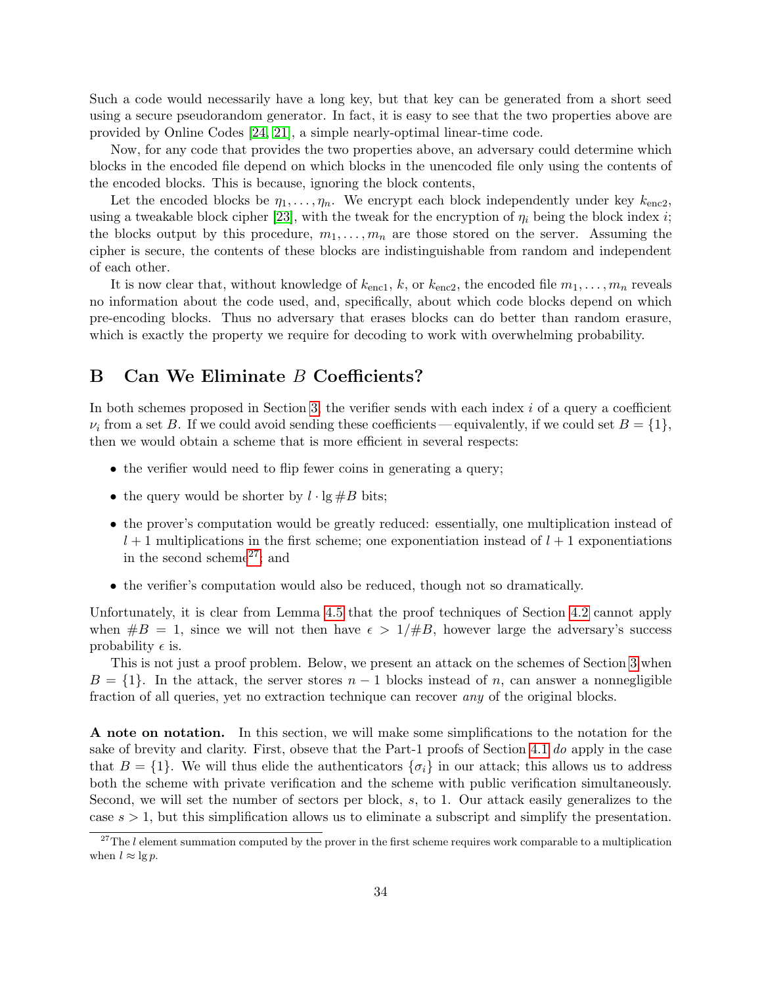Such a code would necessarily have a long key, but that key can be generated from a short seed using a secure pseudorandom generator. In fact, it is easy to see that the two properties above are provided by Online Codes [\[24,](#page-31-10) [21\]](#page-31-11), a simple nearly-optimal linear-time code.

Now, for any code that provides the two properties above, an adversary could determine which blocks in the encoded file depend on which blocks in the unencoded file only using the contents of the encoded blocks. This is because, ignoring the block contents,

Let the encoded blocks be  $\eta_1, \ldots, \eta_n$ . We encrypt each block independently under key  $k_{\text{enc2}}$ , using a tweakable block cipher [\[23\]](#page-31-12), with the tweak for the encryption of  $\eta_i$  being the block index i; the blocks output by this procedure,  $m_1, \ldots, m_n$  are those stored on the server. Assuming the cipher is secure, the contents of these blocks are indistinguishable from random and independent of each other.

It is now clear that, without knowledge of  $k_{\text{enc1}}$ , k, or  $k_{\text{enc2}}$ , the encoded file  $m_1, \ldots, m_n$  reveals no information about the code used, and, specifically, about which code blocks depend on which pre-encoding blocks. Thus no adversary that erases blocks can do better than random erasure, which is exactly the property we require for decoding to work with overwhelming probability.

# <span id="page-33-0"></span>B Can We Eliminate B Coefficients?

In both schemes proposed in Section [3,](#page-9-0) the verifier sends with each index  $i$  of a query a coefficient  $\nu_i$  from a set B. If we could avoid sending these coefficients — equivalently, if we could set  $B = \{1\}$ , then we would obtain a scheme that is more efficient in several respects:

- the verifier would need to flip fewer coins in generating a query;
- the query would be shorter by  $l \cdot \lg \# B$  bits;
- the prover's computation would be greatly reduced: essentially, one multiplication instead of  $l + 1$  multiplications in the first scheme; one exponentiation instead of  $l + 1$  exponentiations in the second scheme<sup>[27](#page-33-1)</sup>; and
- the verifier's computation would also be reduced, though not so dramatically.

Unfortunately, it is clear from Lemma [4.5](#page-19-0) that the proof techniques of Section [4.2](#page-18-0) cannot apply when  $\#B = 1$ , since we will not then have  $\epsilon > 1/\#B$ , however large the adversary's success probability  $\epsilon$  is.

This is not just a proof problem. Below, we present an attack on the schemes of Section [3](#page-9-0) when  $B = \{1\}$ . In the attack, the server stores  $n-1$  blocks instead of n, can answer a nonnegligible fraction of all queries, yet no extraction technique can recover any of the original blocks.

A note on notation. In this section, we will make some simplifications to the notation for the sake of brevity and clarity. First, obseve that the Part-1 proofs of Section [4.1](#page-12-1) do apply in the case that  $B = \{1\}$ . We will thus elide the authenticators  $\{\sigma_i\}$  in our attack; this allows us to address both the scheme with private verification and the scheme with public verification simultaneously. Second, we will set the number of sectors per block, s, to 1. Our attack easily generalizes to the case  $s > 1$ , but this simplification allows us to eliminate a subscript and simplify the presentation.

<span id="page-33-1"></span> $27$ The l element summation computed by the prover in the first scheme requires work comparable to a multiplication when  $l \approx \lg p$ .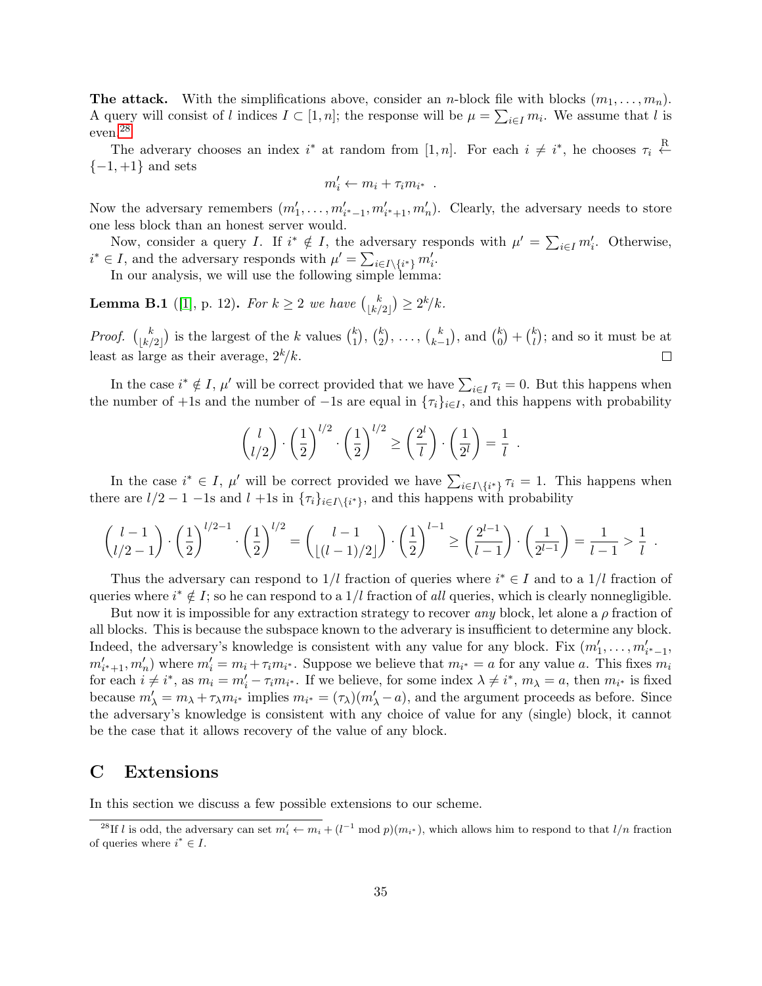**The attack.** With the simplifications above, consider an *n*-block file with blocks  $(m_1, \ldots, m_n)$ . A query will consist of l indices  $I \subset [1, n]$ ; the response will be  $\mu = \sum_{i \in I} m_i$ . We assume that l is even.[28](#page-34-0)

The adverary chooses an index  $i^*$  at random from [1, n]. For each  $i \neq i^*$ , he chooses  $\tau_i \stackrel{\text{R}}{\leftarrow}$  ${-1,+1}$  and sets

$$
m'_i \leftarrow m_i + \tau_i m_{i^*} \enspace .
$$

Now the adversary remembers  $(m'_1, \ldots, m'_{i^*-1}, m'_{i^*+1}, m'_n)$ . Clearly, the adversary needs to store one less block than an honest server would.

Now, consider a query I. If  $i^* \notin I$ , the adversary responds with  $\mu' = \sum_{i \in I} m'_i$ . Otherwise,  $i^* \in I$ , and the adversary responds with  $\mu' = \sum_{i \in I \setminus \{i^*\}} m'_i$ .

In our analysis, we will use the following simple lemma:

**Lemma B.1** ([\[1\]](#page-29-2), p. 12). For  $k \geq 2$  we have  $\binom{k}{k}$  $\binom{k}{|k/2|} \geq 2^k/k$ .

Proof.  $\binom{k}{k}$  $\binom{k}{\lfloor k/2 \rfloor}$  is the largest of the k values  $\binom{k}{1}$  $_{1}^{k}), (_{2}^{k}$  $\binom{k}{2}, \ldots, \binom{k}{k-1}$  $_{k-1}^{k}$ ), and  $_{0}^{k}$  $\binom{k}{0} + \binom{k}{l}$  $\binom{k}{l}$ ; and so it must be at least as large as their average,  $2^k/k$ .  $\Box$ 

In the case  $i^* \notin I$ ,  $\mu'$  will be correct provided that we have  $\sum_{i \in I} \tau_i = 0$ . But this happens when the number of +1s and the number of  $-1$ s are equal in  $\{\tau_i\}_{i\in I}$ , and this happens with probability

$$
\binom{l}{l/2} \cdot \left(\frac{1}{2}\right)^{l/2} \cdot \left(\frac{1}{2}\right)^{l/2} \ge \left(\frac{2^l}{l}\right) \cdot \left(\frac{1}{2^l}\right) = \frac{1}{l}.
$$

In the case  $i^* \in I$ ,  $\mu'$  will be correct provided we have  $\sum_{i \in I \setminus \{i^*\}} \tau_i = 1$ . This happens when there are  $l/2 - 1$  -1s and  $l + 1s$  in  $\{\tau_i\}_{i \in I \setminus \{i^*\}}$ , and this happens with probability

$$
\binom{l-1}{l/2-1} \cdot \left(\frac{1}{2}\right)^{l/2-1} \cdot \left(\frac{1}{2}\right)^{l/2} = \binom{l-1}{\lfloor (l-1)/2 \rfloor} \cdot \left(\frac{1}{2}\right)^{l-1} \ge \left(\frac{2^{l-1}}{l-1}\right) \cdot \left(\frac{1}{2^{l-1}}\right) = \frac{1}{l-1} > \frac{1}{l}.
$$

Thus the adversary can respond to  $1/l$  fraction of queries where  $i^* \in I$  and to a  $1/l$  fraction of queries where  $i^* \notin I$ ; so he can respond to a 1/l fraction of all queries, which is clearly nonnegligible.

But now it is impossible for any extraction strategy to recover any block, let alone a  $\rho$  fraction of all blocks. This is because the subspace known to the adverary is insufficient to determine any block. Indeed, the adversary's knowledge is consistent with any value for any block. Fix  $(m'_1, \ldots, m'_{i^*-1},$  $m'_{i^*+1}, m'_n$ ) where  $m'_i = m_i + \tau_i m_{i^*}$ . Suppose we believe that  $m_{i^*} = a$  for any value a. This fixes  $m_i$ for each  $i \neq i^*$ , as  $m_i = m'_i - \tau_i m_{i^*}$ . If we believe, for some index  $\lambda \neq i^*$ ,  $m_\lambda = a$ , then  $m_{i^*}$  is fixed because  $m'_\lambda = m_\lambda + \tau_\lambda m_{i^*}$  implies  $m_{i^*} = (\tau_\lambda)(m'_\lambda - a)$ , and the argument proceeds as before. Since the adversary's knowledge is consistent with any choice of value for any (single) block, it cannot be the case that it allows recovery of the value of any block.

### C Extensions

In this section we discuss a few possible extensions to our scheme.

<span id="page-34-0"></span><sup>&</sup>lt;sup>28</sup>If l is odd, the adversary can set  $m'_i \leftarrow m_i + (l^{-1} \mod p)(m_{i^*})$ , which allows him to respond to that  $l/n$  fraction of queries where  $i^* \in I$ .